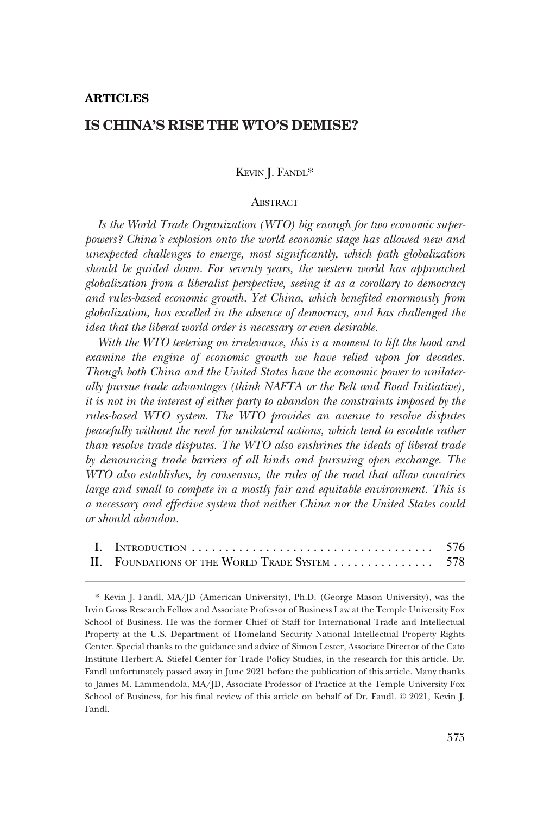# **ARTICLES**

# **IS CHINA'S RISE THE WTO'S DEMISE?**

# KEVIN J. FANDL\*

# **ABSTRACT**

*Is the World Trade Organization (WTO) big enough for two economic superpowers? China's explosion onto the world economic stage has allowed new and unexpected challenges to emerge, most significantly, which path globalization should be guided down. For seventy years, the western world has approached globalization from a liberalist perspective, seeing it as a corollary to democracy and rules-based economic growth. Yet China, which benefited enormously from globalization, has excelled in the absence of democracy, and has challenged the idea that the liberal world order is necessary or even desirable.* 

*With the WTO teetering on irrelevance, this is a moment to lift the hood and examine the engine of economic growth we have relied upon for decades. Though both China and the United States have the economic power to unilaterally pursue trade advantages (think NAFTA or the Belt and Road Initiative), it is not in the interest of either party to abandon the constraints imposed by the rules-based WTO system. The WTO provides an avenue to resolve disputes peacefully without the need for unilateral actions, which tend to escalate rather than resolve trade disputes. The WTO also enshrines the ideals of liberal trade by denouncing trade barriers of all kinds and pursuing open exchange. The WTO also establishes, by consensus, the rules of the road that allow countries large and small to compete in a mostly fair and equitable environment. This is a necessary and effective system that neither China nor the United States could or should abandon.* 

| II. FOUNDATIONS OF THE WORLD TRADE SYSTEM 578 |  |
|-----------------------------------------------|--|

<sup>\*</sup> Kevin J. Fandl, MA/JD (American University), Ph.D. (George Mason University), was the Irvin Gross Research Fellow and Associate Professor of Business Law at the Temple University Fox School of Business. He was the former Chief of Staff for International Trade and Intellectual Property at the U.S. Department of Homeland Security National Intellectual Property Rights Center. Special thanks to the guidance and advice of Simon Lester, Associate Director of the Cato Institute Herbert A. Stiefel Center for Trade Policy Studies, in the research for this article. Dr. Fandl unfortunately passed away in June 2021 before the publication of this article. Many thanks to James M. Lammendola, MA/JD, Associate Professor of Practice at the Temple University Fox School of Business, for his final review of this article on behalf of Dr. Fandl. © 2021, Kevin J. Fandl.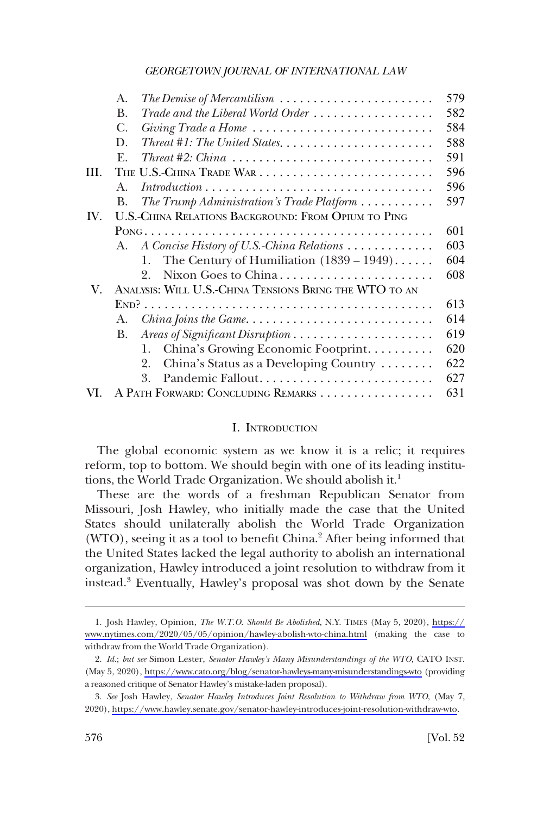<span id="page-1-0"></span>

|      | A.                   | The Demise of Mercantilism $\ldots \ldots \ldots \ldots \ldots \ldots \ldots$                | 579 |
|------|----------------------|----------------------------------------------------------------------------------------------|-----|
|      | <b>B.</b>            | Trade and the Liberal World Order                                                            | 582 |
|      | С.                   | Giving Trade a Home                                                                          | 584 |
|      | D.                   |                                                                                              | 588 |
|      | $\mathbf{F}_{\cdot}$ |                                                                                              | 591 |
| III. |                      |                                                                                              | 596 |
|      | $A_{\cdot}$          | $Introduction \dots \dots \dots \dots \dots \dots \dots \dots \dots \dots \dots \dots \dots$ | 596 |
|      | B.                   | The Trump Administration's Trade Platform                                                    | 597 |
| IV.  |                      | U.S.-CHINA RELATIONS BACKGROUND: FROM OPIUM TO PING                                          |     |
|      |                      |                                                                                              | 601 |
|      | A.                   | A Concise History of U.S.-China Relations                                                    | 603 |
|      |                      | The Century of Humiliation $(1839 - 1949)$<br>1.                                             | 604 |
|      |                      | Nixon Goes to China<br>9                                                                     | 608 |
| V.   |                      | ANALYSIS: WILL U.S.-CHINA TENSIONS BRING THE WTO TO AN                                       |     |
|      |                      |                                                                                              | 613 |
|      | А.                   | <i>China Joins the Game.</i> $\ldots \ldots \ldots \ldots \ldots \ldots \ldots \ldots$       | 614 |
|      | В.                   |                                                                                              | 619 |
|      |                      | China's Growing Economic Footprint<br>1.                                                     | 620 |
|      |                      | China's Status as a Developing Country<br>2.                                                 | 622 |
|      |                      | 3.                                                                                           | 627 |
| VL.  |                      | A PATH FORWARD: CONCLUDING REMARKS                                                           | 631 |

#### I. INTRODUCTION

The global economic system as we know it is a relic; it requires reform, top to bottom. We should begin with one of its leading institutions, the World Trade Organization. We should abolish it.<sup>1</sup>

These are the words of a freshman Republican Senator from Missouri, Josh Hawley, who initially made the case that the United States should unilaterally abolish the World Trade Organization (WTO), seeing it as a tool to benefit China.<sup>2</sup> After being informed that the United States lacked the legal authority to abolish an international organization, Hawley introduced a joint resolution to withdraw from it instead.3 Eventually, Hawley's proposal was shot down by the Senate

Josh Hawley, Opinion, *The W.T.O. Should Be Abolished*, N.Y. TIMES (May 5, 2020), [https://](https://www.nytimes.com/2020/05/05/opinion/hawley-abolish-wto-china.html)  1. [www.nytimes.com/2020/05/05/opinion/hawley-abolish-wto-china.html](https://www.nytimes.com/2020/05/05/opinion/hawley-abolish-wto-china.html) (making the case to withdraw from the World Trade Organization).

*Id.*; *but see* Simon Lester, *Senator Hawley's Many Misunderstandings of the WTO*, CATO INST. 2. (May 5, 2020), <https://www.cato.org/blog/senator-hawleys-many-misunderstandings-wto>(providing a reasoned critique of Senator Hawley's mistake-laden proposal).

*See* Josh Hawley, *Senator Hawley Introduces Joint Resolution to Withdraw from WTO*, (May 7, 3. 2020),<https://www.hawley.senate.gov/senator-hawley-introduces-joint-resolution-withdraw-wto>.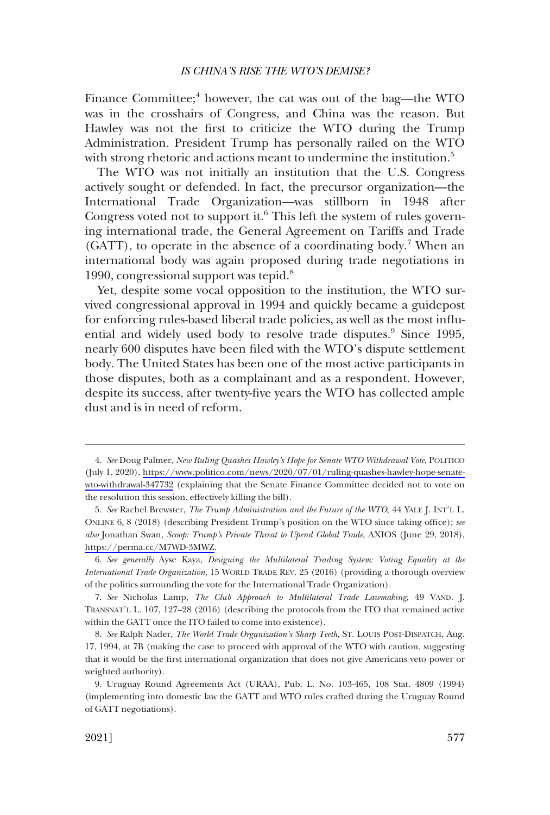Finance Committee;<sup>4</sup> however, the cat was out of the bag—the WTO was in the crosshairs of Congress, and China was the reason. But Hawley was not the first to criticize the WTO during the Trump Administration. President Trump has personally railed on the WTO with strong rhetoric and actions meant to undermine the institution.<sup>5</sup>

The WTO was not initially an institution that the U.S. Congress actively sought or defended. In fact, the precursor organization—the International Trade Organization—was stillborn in 1948 after Congress voted not to support it. $6$  This left the system of rules governing international trade, the General Agreement on Tariffs and Trade  $(GATT)$ , to operate in the absence of a coordinating body.<sup>7</sup> When an international body was again proposed during trade negotiations in 1990, congressional support was tepid. $8$ 

Yet, despite some vocal opposition to the institution, the WTO survived congressional approval in 1994 and quickly became a guidepost for enforcing rules-based liberal trade policies, as well as the most influential and widely used body to resolve trade disputes.<sup>9</sup> Since 1995, nearly 600 disputes have been filed with the WTO's dispute settlement body. The United States has been one of the most active participants in those disputes, both as a complainant and as a respondent. However, despite its success, after twenty-five years the WTO has collected ample dust and is in need of reform.

*See* Doug Palmer, *New Ruling Quashes Hawley's Hope for Senate WTO Withdrawal Vote*, POLITICO 4. (July 1, 2020), [https://www.politico.com/news/2020/07/01/ruling-quashes-hawley-hope-senate](https://www.politico.com/news/2020/07/01/ruling-quashes-hawley-hope-senate-wto-withdrawal-347732)[wto-withdrawal-347732](https://www.politico.com/news/2020/07/01/ruling-quashes-hawley-hope-senate-wto-withdrawal-347732) (explaining that the Senate Finance Committee decided not to vote on the resolution this session, effectively killing the bill).

*See* Rachel Brewster, *The Trump Administration and the Future of the WTO*, 44 YALE J. INT'L L. 5. ONLINE 6, 8 (2018) (describing President Trump's position on the WTO since taking office); *see also* Jonathan Swan, *Scoop: Trump's Private Threat to Upend Global Trade*, AXIOS (June 29, 2018), [https://perma.cc/M7WD-3MWZ.](https://perma.cc/M7WD-3MWZ)

<sup>6.</sup> *See generally* Ayse Kaya, *Designing the Multilateral Trading System: Voting Equality at the International Trade Organization*, 15 WORLD TRADE REV. 25 (2016) (providing a thorough overview of the politics surrounding the vote for the International Trade Organization).

<sup>7.</sup> *See* Nicholas Lamp, *The Club Approach to Multilateral Trade Lawmaking*, 49 VAND. J. TRANSNAT'L L. 107, 127–28 (2016) (describing the protocols from the ITO that remained active within the GATT once the ITO failed to come into existence).

<sup>8.</sup> *See* Ralph Nader, *The World Trade Organization's Sharp Teeth*, ST. LOUIS POST-DISPATCH, Aug. 17, 1994, at 7B (making the case to proceed with approval of the WTO with caution, suggesting that it would be the first international organization that does not give Americans veto power or weighted authority).

<sup>9.</sup> Uruguay Round Agreements Act (URAA), Pub. L. No. 103-465, 108 Stat. 4809 (1994) (implementing into domestic law the GATT and WTO rules crafted during the Uruguay Round of GATT negotiations).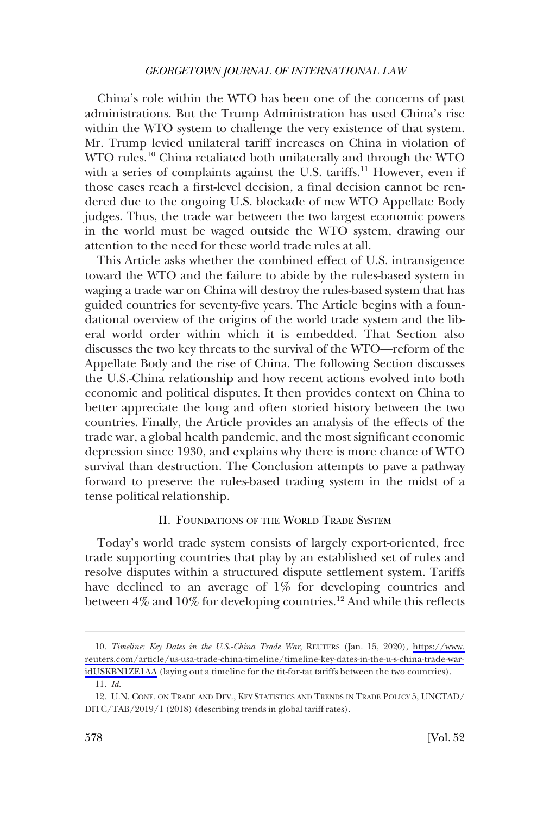<span id="page-3-0"></span>China's role within the WTO has been one of the concerns of past administrations. But the Trump Administration has used China's rise within the WTO system to challenge the very existence of that system. Mr. Trump levied unilateral tariff increases on China in violation of WTO rules.<sup>10</sup> China retaliated both unilaterally and through the WTO with a series of complaints against the U.S. tariffs.<sup>11</sup> However, even if those cases reach a first-level decision, a final decision cannot be rendered due to the ongoing U.S. blockade of new WTO Appellate Body judges. Thus, the trade war between the two largest economic powers in the world must be waged outside the WTO system, drawing our attention to the need for these world trade rules at all.

This Article asks whether the combined effect of U.S. intransigence toward the WTO and the failure to abide by the rules-based system in waging a trade war on China will destroy the rules-based system that has guided countries for seventy-five years. The Article begins with a foundational overview of the origins of the world trade system and the liberal world order within which it is embedded. That Section also discusses the two key threats to the survival of the WTO—reform of the Appellate Body and the rise of China. The following Section discusses the U.S.-China relationship and how recent actions evolved into both economic and political disputes. It then provides context on China to better appreciate the long and often storied history between the two countries. Finally, the Article provides an analysis of the effects of the trade war, a global health pandemic, and the most significant economic depression since 1930, and explains why there is more chance of WTO survival than destruction. The Conclusion attempts to pave a pathway forward to preserve the rules-based trading system in the midst of a tense political relationship.

# II. FOUNDATIONS OF THE WORLD TRADE SYSTEM

Today's world trade system consists of largely export-oriented, free trade supporting countries that play by an established set of rules and resolve disputes within a structured dispute settlement system. Tariffs have declined to an average of 1% for developing countries and between 4% and 10% for developing countries.<sup>12</sup> And while this reflects

*Timeline: Key Dates in the U.S.-China Trade War*, REUTERS (Jan. 15, 2020), [https://www.](https://www.reuters.com/article/us-usa-trade-china-timeline/timeline-key-dates-in-the-u-s-china-trade-war-idUSKBN1ZE1AA) 10. [reuters.com/article/us-usa-trade-china-timeline/timeline-key-dates-in-the-u-s-china-trade-war](https://www.reuters.com/article/us-usa-trade-china-timeline/timeline-key-dates-in-the-u-s-china-trade-war-idUSKBN1ZE1AA)[idUSKBN1ZE1AA](https://www.reuters.com/article/us-usa-trade-china-timeline/timeline-key-dates-in-the-u-s-china-trade-war-idUSKBN1ZE1AA) (laying out a timeline for the tit-for-tat tariffs between the two countries).

<sup>11.</sup> *Id.* 

<sup>12.</sup> U.N. CONF. ON TRADE AND DEV., KEY STATISTICS AND TRENDS IN TRADE POLICY 5, UNCTAD/ DITC/TAB/2019/1 (2018) (describing trends in global tariff rates).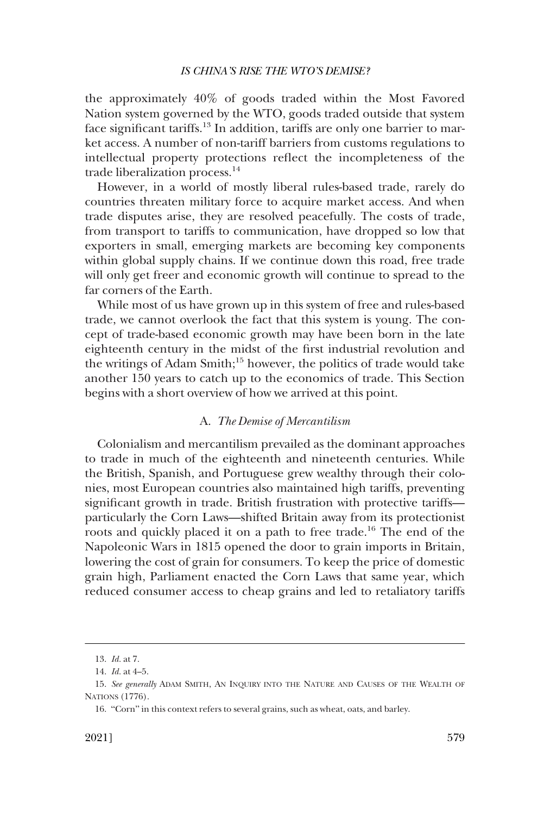<span id="page-4-0"></span>the approximately 40% of goods traded within the Most Favored Nation system governed by the WTO, goods traded outside that system face significant tariffs.13 In addition, tariffs are only one barrier to market access. A number of non-tariff barriers from customs regulations to intellectual property protections reflect the incompleteness of the trade liberalization process.14

However, in a world of mostly liberal rules-based trade, rarely do countries threaten military force to acquire market access. And when trade disputes arise, they are resolved peacefully. The costs of trade, from transport to tariffs to communication, have dropped so low that exporters in small, emerging markets are becoming key components within global supply chains. If we continue down this road, free trade will only get freer and economic growth will continue to spread to the far corners of the Earth.

While most of us have grown up in this system of free and rules-based trade, we cannot overlook the fact that this system is young. The concept of trade-based economic growth may have been born in the late eighteenth century in the midst of the first industrial revolution and the writings of Adam Smith;<sup>15</sup> however, the politics of trade would take another 150 years to catch up to the economics of trade. This Section begins with a short overview of how we arrived at this point.

# A. *The Demise of Mercantilism*

Colonialism and mercantilism prevailed as the dominant approaches to trade in much of the eighteenth and nineteenth centuries. While the British, Spanish, and Portuguese grew wealthy through their colonies, most European countries also maintained high tariffs, preventing significant growth in trade. British frustration with protective tariffs particularly the Corn Laws—shifted Britain away from its protectionist roots and quickly placed it on a path to free trade.<sup>16</sup> The end of the Napoleonic Wars in 1815 opened the door to grain imports in Britain, lowering the cost of grain for consumers. To keep the price of domestic grain high, Parliament enacted the Corn Laws that same year, which reduced consumer access to cheap grains and led to retaliatory tariffs

<sup>13.</sup> *Id.* at 7.

<sup>14.</sup> *Id.* at 4–5.

<sup>15.</sup> *See generally* ADAM SMITH, AN INQUIRY INTO THE NATURE AND CAUSES OF THE WEALTH OF NATIONS (1776).

<sup>16.</sup> "Corn" in this context refers to several grains, such as wheat, oats, and barley.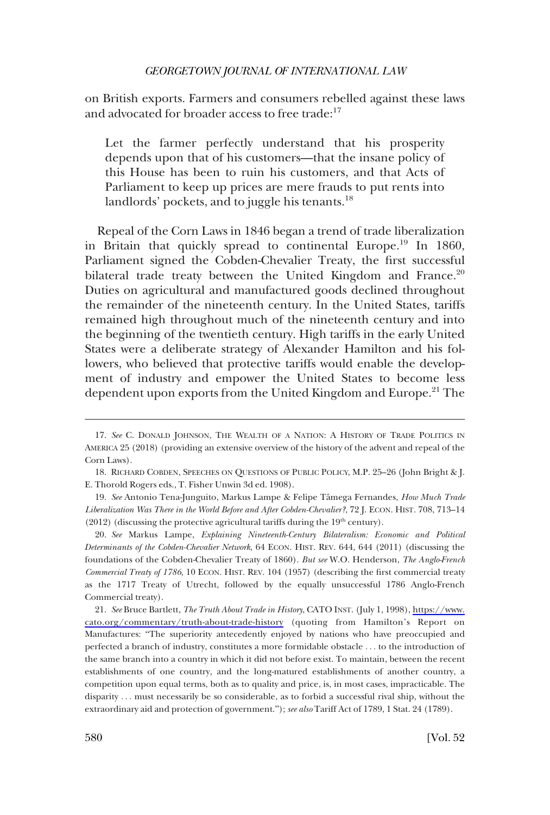on British exports. Farmers and consumers rebelled against these laws and advocated for broader access to free trade:<sup>17</sup>

Let the farmer perfectly understand that his prosperity depends upon that of his customers—that the insane policy of this House has been to ruin his customers, and that Acts of Parliament to keep up prices are mere frauds to put rents into landlords' pockets, and to juggle his tenants.<sup>18</sup>

Repeal of the Corn Laws in 1846 began a trend of trade liberalization in Britain that quickly spread to continental Europe.<sup>19</sup> In 1860, Parliament signed the Cobden-Chevalier Treaty, the first successful bilateral trade treaty between the United Kingdom and France.<sup>20</sup> Duties on agricultural and manufactured goods declined throughout the remainder of the nineteenth century. In the United States, tariffs remained high throughout much of the nineteenth century and into the beginning of the twentieth century. High tariffs in the early United States were a deliberate strategy of Alexander Hamilton and his followers, who believed that protective tariffs would enable the development of industry and empower the United States to become less dependent upon exports from the United Kingdom and Europe.<sup>21</sup> The

20. *See* Markus Lampe, *Explaining Nineteenth-Century Bilateralism: Economic and Political Determinants of the Cobden-Chevalier Network*, 64 ECON. HIST. REV. 644, 644 (2011) (discussing the foundations of the Cobden-Chevalier Treaty of 1860). *But see* W.O. Henderson, *The Anglo-French Commercial Treaty of 1786*, 10 ECON. HIST. REV. 104 (1957) (describing the first commercial treaty as the 1717 Treaty of Utrecht, followed by the equally unsuccessful 1786 Anglo-French Commercial treaty).

*See* Bruce Bartlett, *The Truth About Trade in History*, CATO INST. (July 1, 1998), [https://www.](https://www.cato.org/commentary/truth-about-trade-history) 21. [cato.org/commentary/truth-about-trade-history](https://www.cato.org/commentary/truth-about-trade-history) (quoting from Hamilton's Report on Manufactures: "The superiority antecedently enjoyed by nations who have preoccupied and perfected a branch of industry, constitutes a more formidable obstacle . . . to the introduction of the same branch into a country in which it did not before exist. To maintain, between the recent establishments of one country, and the long-matured establishments of another country, a competition upon equal terms, both as to quality and price, is, in most cases, impracticable. The disparity . . . must necessarily be so considerable, as to forbid a successful rival ship, without the extraordinary aid and protection of government."); *see also* Tariff Act of 1789, 1 Stat. 24 (1789).

<sup>17.</sup> *See* C. DONALD JOHNSON, THE WEALTH OF A NATION: A HISTORY OF TRADE POLITICS IN AMERICA 25 (2018) (providing an extensive overview of the history of the advent and repeal of the Corn Laws).

<sup>18.</sup> RICHARD COBDEN, SPEECHES ON QUESTIONS OF PUBLIC POLICY, M.P. 25–26 (John Bright & J. E. Thorold Rogers eds., T. Fisher Unwin 3d ed. 1908).

<sup>19.</sup> See Antonio Tena-Junguito, Markus Lampe & Felipe Tâmega Fernandes, *How Much Trade Liberalization Was There in the World Before and After Cobden-Chevalier?*, 72 J. ECON. HIST. 708, 713–14 (2012) (discussing the protective agricultural tariffs during the  $19<sup>th</sup>$  century).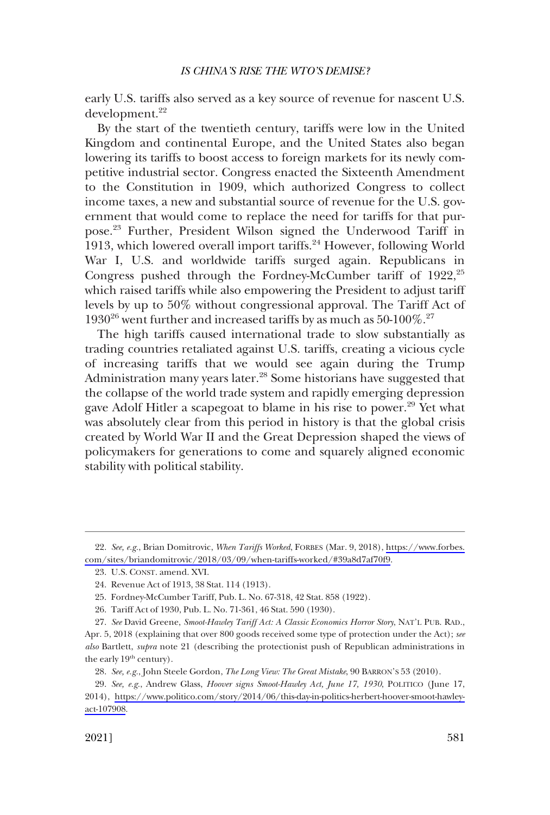early U.S. tariffs also served as a key source of revenue for nascent U.S. development.<sup>22</sup>

By the start of the twentieth century, tariffs were low in the United Kingdom and continental Europe, and the United States also began lowering its tariffs to boost access to foreign markets for its newly competitive industrial sector. Congress enacted the Sixteenth Amendment to the Constitution in 1909, which authorized Congress to collect income taxes, a new and substantial source of revenue for the U.S. government that would come to replace the need for tariffs for that purpose.23 Further, President Wilson signed the Underwood Tariff in 1913, which lowered overall import tariffs.<sup>24</sup> However, following World War I, U.S. and worldwide tariffs surged again. Republicans in Congress pushed through the Fordney-McCumber tariff of  $1922$ ,<sup>25</sup> which raised tariffs while also empowering the President to adjust tariff levels by up to 50% without congressional approval. The Tariff Act of  $1930^{26}$  went further and increased tariffs by as much as  $50\text{-}100\%$ <sup>27</sup>

The high tariffs caused international trade to slow substantially as trading countries retaliated against U.S. tariffs, creating a vicious cycle of increasing tariffs that we would see again during the Trump Administration many years later.<sup>28</sup> Some historians have suggested that the collapse of the world trade system and rapidly emerging depression gave Adolf Hitler a scapegoat to blame in his rise to power.<sup>29</sup> Yet what was absolutely clear from this period in history is that the global crisis created by World War II and the Great Depression shaped the views of policymakers for generations to come and squarely aligned economic stability with political stability.

*See, e.g.*, Brian Domitrovic, *When Tariffs Worked*, FORBES (Mar. 9, 2018), [https://www.forbes.](https://www.forbes.com/sites/briandomitrovic/2018/03/09/when-tariffs-worked/#39a8d7af70f9) 22. [com/sites/briandomitrovic/2018/03/09/when-tariffs-worked/#39a8d7af70f9](https://www.forbes.com/sites/briandomitrovic/2018/03/09/when-tariffs-worked/#39a8d7af70f9).

<sup>23.</sup> U.S. CONST. amend. XVI.

<sup>24.</sup> Revenue Act of 1913, 38 Stat. 114 (1913).

<sup>25.</sup> Fordney-McCumber Tariff, Pub. L. No. 67-318, 42 Stat. 858 (1922).

<sup>26.</sup> Tariff Act of 1930, Pub. L. No. 71-361, 46 Stat. 590 (1930).

<sup>27.</sup> *See* David Greene, *Smoot-Hawley Tariff Act: A Classic Economics Horror Story*, NAT'L PUB. RAD.,

Apr. 5, 2018 (explaining that over 800 goods received some type of protection under the Act); *see also* Bartlett, *supra* note 21 (describing the protectionist push of Republican administrations in the early  $19<sup>th</sup>$  century).

<sup>28.</sup> *See, e.g.*, John Steele Gordon, *The Long View: The Great Mistake*, 90 BARRON'S 53 (2010).

*See, e.g.*, Andrew Glass, *Hoover signs Smoot-Hawley Act, June 17, 1930*, POLITICO (June 17, 29. 2014), [https://www.politico.com/story/2014/06/this-day-in-politics-herbert-hoover-smoot-hawley](https://www.politico.com/story/2014/06/this-day-in-politics-herbert-hoover-smoot-hawley-act-107908)[act-107908](https://www.politico.com/story/2014/06/this-day-in-politics-herbert-hoover-smoot-hawley-act-107908).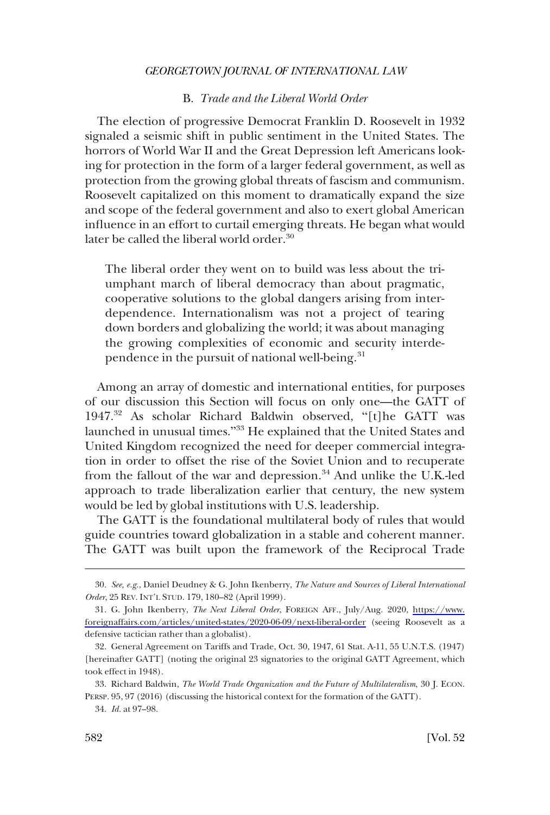# B. *Trade and the Liberal World Order*

<span id="page-7-0"></span>The election of progressive Democrat Franklin D. Roosevelt in 1932 signaled a seismic shift in public sentiment in the United States. The horrors of World War II and the Great Depression left Americans looking for protection in the form of a larger federal government, as well as protection from the growing global threats of fascism and communism. Roosevelt capitalized on this moment to dramatically expand the size and scope of the federal government and also to exert global American influence in an effort to curtail emerging threats. He began what would later be called the liberal world order.<sup>30</sup>

The liberal order they went on to build was less about the triumphant march of liberal democracy than about pragmatic, cooperative solutions to the global dangers arising from interdependence. Internationalism was not a project of tearing down borders and globalizing the world; it was about managing the growing complexities of economic and security interdependence in the pursuit of national well-being.<sup>31</sup>

Among an array of domestic and international entities, for purposes of our discussion this Section will focus on only one—the GATT of 1947.32 As scholar Richard Baldwin observed, "[t]he GATT was launched in unusual times."33 He explained that the United States and United Kingdom recognized the need for deeper commercial integration in order to offset the rise of the Soviet Union and to recuperate from the fallout of the war and depression.<sup>34</sup> And unlike the U.K.-led approach to trade liberalization earlier that century, the new system would be led by global institutions with U.S. leadership.

The GATT is the foundational multilateral body of rules that would guide countries toward globalization in a stable and coherent manner. The GATT was built upon the framework of the Reciprocal Trade

<sup>30.</sup> *See, e.g.*, Daniel Deudney & G. John Ikenberry, *The Nature and Sources of Liberal International Order*, 25 REV. INT'L STUD. 179, 180–82 (April 1999).

G. John Ikenberry, *The Next Liberal Order*, FOREIGN AFF., July/Aug. 2020, [https://www.](https://www.foreignaffairs.com/articles/united-states/2020-06-09/next-liberal-order) 31. [foreignaffairs.com/articles/united-states/2020-06-09/next-liberal-order](https://www.foreignaffairs.com/articles/united-states/2020-06-09/next-liberal-order) (seeing Roosevelt as a defensive tactician rather than a globalist).

<sup>32.</sup> General Agreement on Tariffs and Trade, Oct. 30, 1947, 61 Stat. A-11, 55 U.N.T.S. (1947) [hereinafter GATT] (noting the original 23 signatories to the original GATT Agreement, which took effect in 1948).

<sup>33.</sup> Richard Baldwin, *The World Trade Organization and the Future of Multilateralism*, 30 J. ECON. PERSP. 95, 97 (2016) (discussing the historical context for the formation of the GATT).

<sup>34.</sup> *Id.* at 97–98.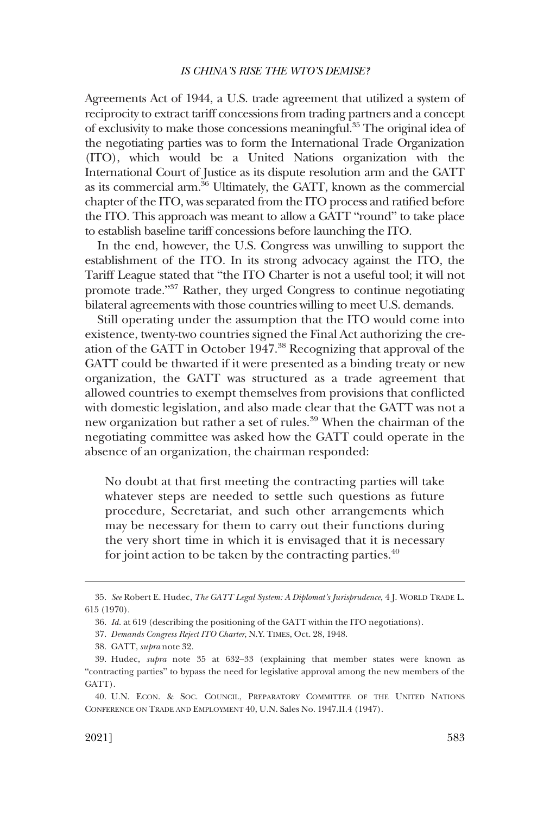Agreements Act of 1944, a U.S. trade agreement that utilized a system of reciprocity to extract tariff concessions from trading partners and a concept of exclusivity to make those concessions meaningful.35 The original idea of the negotiating parties was to form the International Trade Organization (ITO), which would be a United Nations organization with the International Court of Justice as its dispute resolution arm and the GATT as its commercial arm.36 Ultimately, the GATT, known as the commercial chapter of the ITO, was separated from the ITO process and ratified before the ITO. This approach was meant to allow a GATT "round" to take place to establish baseline tariff concessions before launching the ITO.

In the end, however, the U.S. Congress was unwilling to support the establishment of the ITO. In its strong advocacy against the ITO, the Tariff League stated that "the ITO Charter is not a useful tool; it will not promote trade."37 Rather, they urged Congress to continue negotiating bilateral agreements with those countries willing to meet U.S. demands.

Still operating under the assumption that the ITO would come into existence, twenty-two countries signed the Final Act authorizing the creation of the GATT in October 1947.38 Recognizing that approval of the GATT could be thwarted if it were presented as a binding treaty or new organization, the GATT was structured as a trade agreement that allowed countries to exempt themselves from provisions that conflicted with domestic legislation, and also made clear that the GATT was not a new organization but rather a set of rules.<sup>39</sup> When the chairman of the negotiating committee was asked how the GATT could operate in the absence of an organization, the chairman responded:

No doubt at that first meeting the contracting parties will take whatever steps are needed to settle such questions as future procedure, Secretariat, and such other arrangements which may be necessary for them to carry out their functions during the very short time in which it is envisaged that it is necessary for joint action to be taken by the contracting parties.<sup>40</sup>

<sup>35.</sup> *See* Robert E. Hudec, *The GATT Legal System: A Diplomat's Jurisprudence*, 4 J. WORLD TRADE L. 615 (1970).

<sup>36.</sup> *Id.* at 619 (describing the positioning of the GATT within the ITO negotiations).

<sup>37.</sup> *Demands Congress Reject ITO Charter*, N.Y. TIMES, Oct. 28, 1948.

<sup>38.</sup> GATT, *supra* note 32.

<sup>39.</sup> Hudec, *supra* note 35 at 632–33 (explaining that member states were known as "contracting parties" to bypass the need for legislative approval among the new members of the GATT).

<sup>40.</sup> U.N. ECON. & SOC. COUNCIL, PREPARATORY COMMITTEE OF THE UNITED NATIONS CONFERENCE ON TRADE AND EMPLOYMENT 40, U.N. Sales No. 1947.II.4 (1947).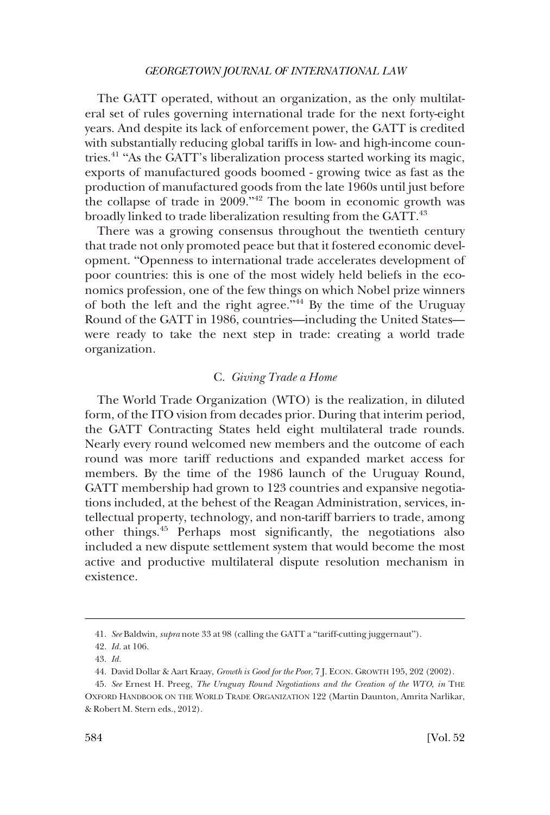<span id="page-9-0"></span>The GATT operated, without an organization, as the only multilateral set of rules governing international trade for the next forty-eight years. And despite its lack of enforcement power, the GATT is credited with substantially reducing global tariffs in low- and high-income countries.41 "As the GATT's liberalization process started working its magic, exports of manufactured goods boomed - growing twice as fast as the production of manufactured goods from the late 1960s until just before the collapse of trade in 2009."42 The boom in economic growth was broadly linked to trade liberalization resulting from the GATT.<sup>43</sup>

There was a growing consensus throughout the twentieth century that trade not only promoted peace but that it fostered economic development. "Openness to international trade accelerates development of poor countries: this is one of the most widely held beliefs in the economics profession, one of the few things on which Nobel prize winners of both the left and the right agree.<sup> $\frac{1}{4}$ </sup> By the time of the Uruguay Round of the GATT in 1986, countries—including the United States were ready to take the next step in trade: creating a world trade organization.

# C. *Giving Trade a Home*

The World Trade Organization (WTO) is the realization, in diluted form, of the ITO vision from decades prior. During that interim period, the GATT Contracting States held eight multilateral trade rounds. Nearly every round welcomed new members and the outcome of each round was more tariff reductions and expanded market access for members. By the time of the 1986 launch of the Uruguay Round, GATT membership had grown to 123 countries and expansive negotiations included, at the behest of the Reagan Administration, services, intellectual property, technology, and non-tariff barriers to trade, among other things.45 Perhaps most significantly, the negotiations also included a new dispute settlement system that would become the most active and productive multilateral dispute resolution mechanism in existence.

<sup>41.</sup> *See* Baldwin, *supra* note 33 at 98 (calling the GATT a "tariff-cutting juggernaut").

<sup>42.</sup> *Id.* at 106.

<sup>43.</sup> *Id.* 

<sup>44.</sup> David Dollar & Aart Kraay, *Growth is Good for the Poor*, 7 J. ECON. GROWTH 195, 202 (2002).

<sup>45.</sup> *See* Ernest H. Preeg, *The Uruguay Round Negotiations and the Creation of the WTO*, *in* THE OXFORD HANDBOOK ON THE WORLD TRADE ORGANIZATION 122 (Martin Daunton, Amrita Narlikar, & Robert M. Stern eds., 2012).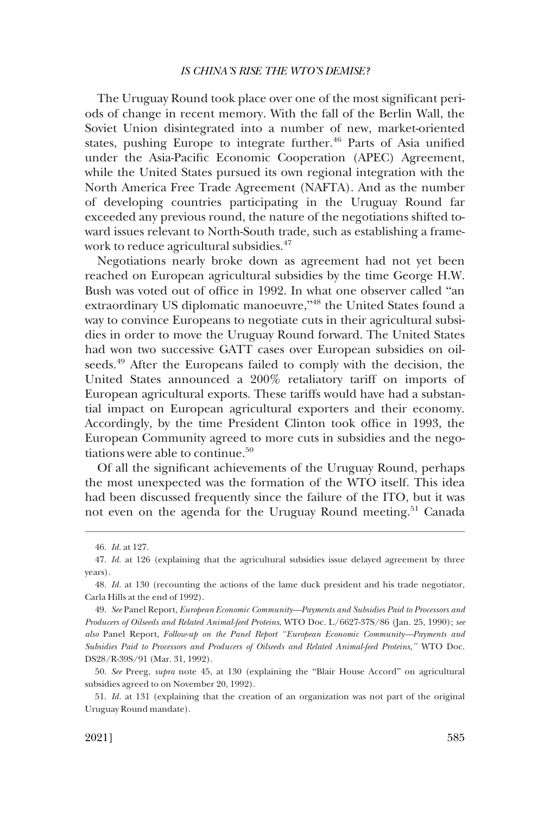The Uruguay Round took place over one of the most significant periods of change in recent memory. With the fall of the Berlin Wall, the Soviet Union disintegrated into a number of new, market-oriented states, pushing Europe to integrate further.<sup>46</sup> Parts of Asia unified under the Asia-Pacific Economic Cooperation (APEC) Agreement, while the United States pursued its own regional integration with the North America Free Trade Agreement (NAFTA). And as the number of developing countries participating in the Uruguay Round far exceeded any previous round, the nature of the negotiations shifted toward issues relevant to North-South trade, such as establishing a framework to reduce agricultural subsidies.<sup>47</sup>

Negotiations nearly broke down as agreement had not yet been reached on European agricultural subsidies by the time George H.W. Bush was voted out of office in 1992. In what one observer called "an extraordinary US diplomatic manoeuvre,"<sup>48</sup> the United States found a way to convince Europeans to negotiate cuts in their agricultural subsidies in order to move the Uruguay Round forward. The United States had won two successive GATT cases over European subsidies on oilseeds.<sup>49</sup> After the Europeans failed to comply with the decision, the United States announced a 200% retaliatory tariff on imports of European agricultural exports. These tariffs would have had a substantial impact on European agricultural exporters and their economy. Accordingly, by the time President Clinton took office in 1993, the European Community agreed to more cuts in subsidies and the negotiations were able to continue.<sup>50</sup>

Of all the significant achievements of the Uruguay Round, perhaps the most unexpected was the formation of the WTO itself. This idea had been discussed frequently since the failure of the ITO, but it was not even on the agenda for the Uruguay Round meeting.<sup>51</sup> Canada

<sup>46.</sup> *Id.* at 127.

<sup>47.</sup> *Id.* at 126 (explaining that the agricultural subsidies issue delayed agreement by three years).

<sup>48.</sup> *Id.* at 130 (recounting the actions of the lame duck president and his trade negotiator, Carla Hills at the end of 1992).

<sup>49.</sup> *See* Panel Report, *European Economic Community—Payments and Subsidies Paid to Processors and Producers of Oilseeds and Related Animal-feed Proteins*, WTO Doc. L/6627-37S/86 (Jan. 25, 1990); *see also* Panel Report, *Follow-up on the Panel Report "European Economic Community—Payments and Subsidies Paid to Processors and Producers of Oilseeds and Related Animal-feed Proteins,"* WTO Doc. DS28/R-39S/91 (Mar. 31, 1992).

<sup>50.</sup> *See* Preeg, *supra* note 45, at 130 (explaining the "Blair House Accord" on agricultural subsidies agreed to on November 20, 1992).

<sup>51.</sup> *Id.* at 131 (explaining that the creation of an organization was not part of the original Uruguay Round mandate).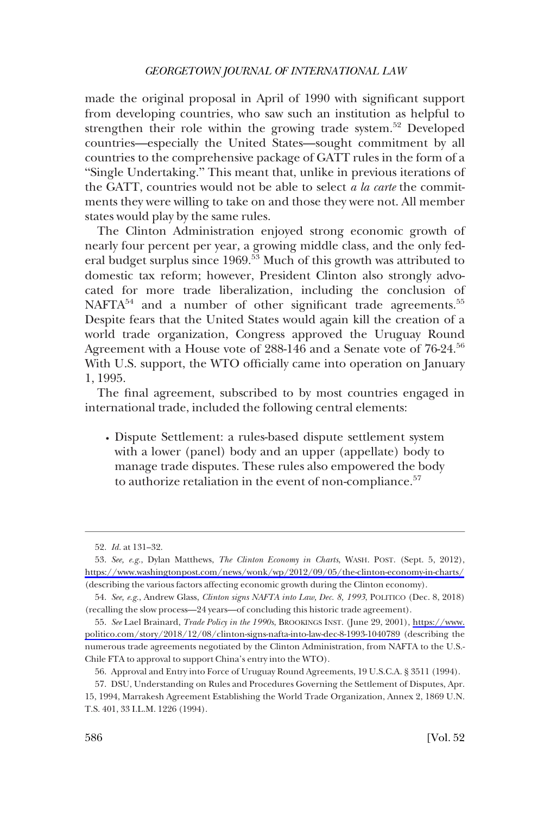made the original proposal in April of 1990 with significant support from developing countries, who saw such an institution as helpful to strengthen their role within the growing trade system.52 Developed countries—especially the United States—sought commitment by all countries to the comprehensive package of GATT rules in the form of a "Single Undertaking." This meant that, unlike in previous iterations of the GATT, countries would not be able to select *a la carte* the commitments they were willing to take on and those they were not. All member states would play by the same rules.

The Clinton Administration enjoyed strong economic growth of nearly four percent per year, a growing middle class, and the only federal budget surplus since 1969.<sup>53</sup> Much of this growth was attributed to domestic tax reform; however, President Clinton also strongly advocated for more trade liberalization, including the conclusion of NAFTA<sup>54</sup> and a number of other significant trade agreements.<sup>55</sup> Despite fears that the United States would again kill the creation of a world trade organization, Congress approved the Uruguay Round Agreement with a House vote of 288-146 and a Senate vote of 76-24.<sup>56</sup> With U.S. support, the WTO officially came into operation on January 1, 1995.

The final agreement, subscribed to by most countries engaged in international trade, included the following central elements:

� Dispute Settlement: a rules-based dispute settlement system with a lower (panel) body and an upper (appellate) body to manage trade disputes. These rules also empowered the body to authorize retaliation in the event of non-compliance.<sup>57</sup>

<sup>52.</sup> *Id.* at 131–32.

*See, e.g.*, Dylan Matthews, *The Clinton Economy in Charts*, WASH. POST. (Sept. 5, 2012), 53. <https://www.washingtonpost.com/news/wonk/wp/2012/09/05/the-clinton-economy-in-charts/> (describing the various factors affecting economic growth during the Clinton economy).

<sup>54.</sup> *See, e.g.*, Andrew Glass, *Clinton signs NAFTA into Law, Dec. 8, 1993*, POLITICO (Dec. 8, 2018) (recalling the slow process—24 years—of concluding this historic trade agreement).

*See* Lael Brainard, *Trade Policy in the 1990s*, BROOKINGS INST. (June 29, 2001), [https://www.](https://www.politico.com/story/2018/12/08/clinton-signs-nafta-into-law-dec-8-1993-1040789) 55. [politico.com/story/2018/12/08/clinton-signs-nafta-into-law-dec-8-1993-1040789](https://www.politico.com/story/2018/12/08/clinton-signs-nafta-into-law-dec-8-1993-1040789) (describing the numerous trade agreements negotiated by the Clinton Administration, from NAFTA to the U.S.- Chile FTA to approval to support China's entry into the WTO).

<sup>56.</sup> Approval and Entry into Force of Uruguay Round Agreements, 19 U.S.C.A. § 3511 (1994).

<sup>57.</sup> DSU, Understanding on Rules and Procedures Governing the Settlement of Disputes, Apr. 15, 1994, Marrakesh Agreement Establishing the World Trade Organization, Annex 2, 1869 U.N. T.S. 401, 33 I.L.M. 1226 (1994).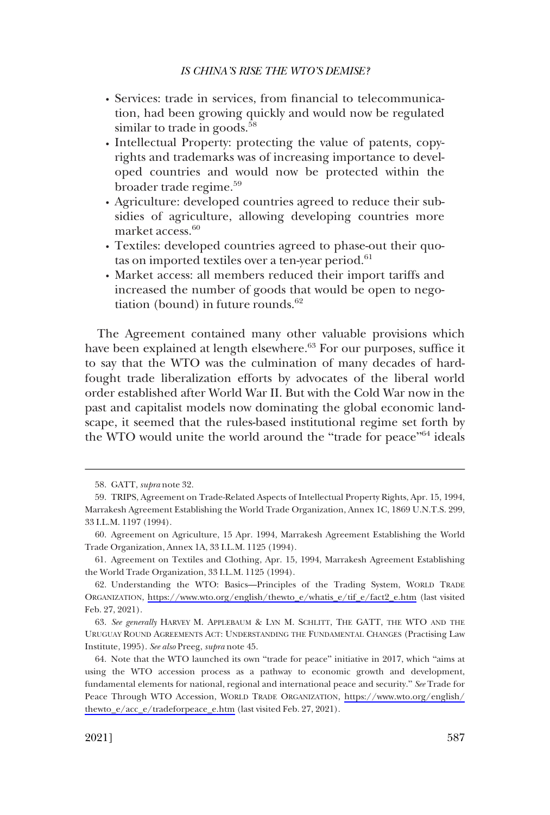- � Services: trade in services, from financial to telecommunication, had been growing quickly and would now be regulated similar to trade in goods.<sup>58</sup>
- � Intellectual Property: protecting the value of patents, copyrights and trademarks was of increasing importance to developed countries and would now be protected within the broader trade regime.<sup>59</sup>
- Agriculture: developed countries agreed to reduce their subsidies of agriculture, allowing developing countries more market access.<sup>60</sup>
- � Textiles: developed countries agreed to phase-out their quotas on imported textiles over a ten-year period. $61$
- � Market access: all members reduced their import tariffs and increased the number of goods that would be open to negotiation (bound) in future rounds. $62$

The Agreement contained many other valuable provisions which have been explained at length elsewhere.<sup>63</sup> For our purposes, suffice it to say that the WTO was the culmination of many decades of hardfought trade liberalization efforts by advocates of the liberal world order established after World War II. But with the Cold War now in the past and capitalist models now dominating the global economic landscape, it seemed that the rules-based institutional regime set forth by the WTO would unite the world around the "trade for peace"<sup>64</sup> ideals

<sup>58.</sup> GATT, *supra* note 32.

<sup>59.</sup> TRIPS, Agreement on Trade-Related Aspects of Intellectual Property Rights, Apr. 15, 1994, Marrakesh Agreement Establishing the World Trade Organization, Annex 1C, 1869 U.N.T.S. 299, 33 I.L.M. 1197 (1994).

<sup>60.</sup> Agreement on Agriculture, 15 Apr. 1994, Marrakesh Agreement Establishing the World Trade Organization, Annex 1A, 33 I.L.M. 1125 (1994).

<sup>61.</sup> Agreement on Textiles and Clothing, Apr. 15, 1994, Marrakesh Agreement Establishing the World Trade Organization, 33 I.L.M. 1125 (1994).

Understanding the WTO: Basics—Principles of the Trading System, WORLD TRADE 62. ORGANIZATION, [https://www.wto.org/english/thewto\\_e/whatis\\_e/tif\\_e/fact2\\_e.htm](https://www.wto.org/english/thewto_e/whatis_e/tif_e/fact2_e.htm) (last visited Feb. 27, 2021).

<sup>63.</sup> *See generally* HARVEY M. APPLEBAUM & LYN M. SCHLITT, THE GATT, THE WTO AND THE URUGUAY ROUND AGREEMENTS ACT: UNDERSTANDING THE FUNDAMENTAL CHANGES (Practising Law Institute, 1995). *See also* Preeg, *supra* note 45.

<sup>64.</sup> Note that the WTO launched its own "trade for peace" initiative in 2017, which "aims at using the WTO accession process as a pathway to economic growth and development, fundamental elements for national, regional and international peace and security." *See* Trade for Peace Through WTO Accession, WORLD TRADE ORGANIZATION, [https://www.wto.org/english/](https://www.wto.org/english/thewto_e/acc_e/tradeforpeace_e.htm) [thewto\\_e/acc\\_e/tradeforpeace\\_e.htm](https://www.wto.org/english/thewto_e/acc_e/tradeforpeace_e.htm) (last visited Feb. 27, 2021).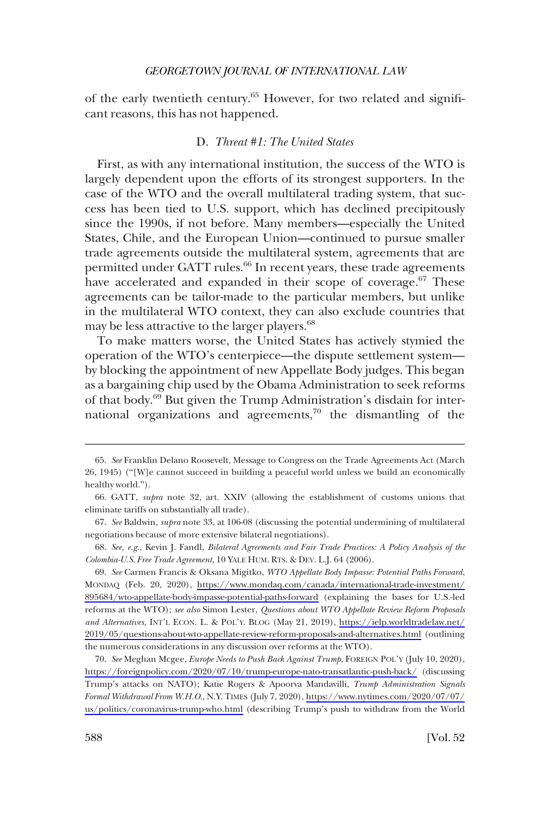<span id="page-13-0"></span>of the early twentieth century.<sup>65</sup> However, for two related and significant reasons, this has not happened.

# D. *Threat #1: The United States*

First, as with any international institution, the success of the WTO is largely dependent upon the efforts of its strongest supporters. In the case of the WTO and the overall multilateral trading system, that success has been tied to U.S. support, which has declined precipitously since the 1990s, if not before. Many members—especially the United States, Chile, and the European Union—continued to pursue smaller trade agreements outside the multilateral system, agreements that are permitted under GATT rules.<sup>66</sup> In recent years, these trade agreements have accelerated and expanded in their scope of coverage.<sup>67</sup> These agreements can be tailor-made to the particular members, but unlike in the multilateral WTO context, they can also exclude countries that may be less attractive to the larger players.<sup>68</sup>

To make matters worse, the United States has actively stymied the operation of the WTO's centerpiece—the dispute settlement system by blocking the appointment of new Appellate Body judges. This began as a bargaining chip used by the Obama Administration to seek reforms of that body.<sup>69</sup> But given the Trump Administration's disdain for international organizations and agreements,<sup>70</sup> the dismantling of the

*See* Carmen Francis & Oksana Migitko, *WTO Appellate Body Impasse: Potential Paths Forward*, 69. MONDAQ (Feb. 20, 2020), [https://www.mondaq.com/canada/international-trade-investment/](https://www.mondaq.com/canada/international-trade-investment/895684/wto-appellate-body-impasse-potential-paths-forward) [895684/wto-appellate-body-impasse-potential-paths-forward](https://www.mondaq.com/canada/international-trade-investment/895684/wto-appellate-body-impasse-potential-paths-forward) (explaining the bases for U.S.-led reforms at the WTO); *see also* Simon Lester, *Questions about WTO Appellate Review Reform Proposals and Alternatives*, INT'L ECON. L. & POL'Y. BLOG (May 21, 2019), [https://ielp.worldtradelaw.net/](https://ielp.worldtradelaw.net/2019/05/questions-about-wto-appellate-review-reform-proposals-and-alternatives.html) [2019/05/questions-about-wto-appellate-review-reform-proposals-and-alternatives.html](https://ielp.worldtradelaw.net/2019/05/questions-about-wto-appellate-review-reform-proposals-and-alternatives.html) (outlining the numerous considerations in any discussion over reforms at the WTO).

*See* Meghan Mcgee, *Europe Needs to Push Back Against Trump*, FOREIGN POL'Y (July 10, 2020), 70. <https://foreignpolicy.com/2020/07/10/trump-europe-nato-transatlantic-push-back/>(discussing Trump's attacks on NATO); Katie Rogers & Apoorva Mandavilli, *Trump Administration Signals Formal Withdrawal From W.H.O*., N.Y. TIMES (July 7, 2020), [https://www.nytimes.com/2020/07/07/](https://www.nytimes.com/2020/07/07/us/politics/coronavirus-trump-who.html)  [us/politics/coronavirus-trump-who.html](https://www.nytimes.com/2020/07/07/us/politics/coronavirus-trump-who.html) (describing Trump's push to withdraw from the World

<sup>65.</sup> *See* Franklin Delano Roosevelt, Message to Congress on the Trade Agreements Act (March 26, 1945) ("[W]e cannot succeed in building a peaceful world unless we build an economically healthy world.").

<sup>66.</sup> GATT, *supra* note 32, art. XXIV (allowing the establishment of customs unions that eliminate tariffs on substantially all trade).

<sup>67.</sup> *See* Baldwin, *supra* note 33, at 106-08 (discussing the potential undermining of multilateral negotiations because of more extensive bilateral negotiations).

<sup>68.</sup> *See, e.g.*, Kevin J. Fandl, *Bilateral Agreements and Fair Trade Practices: A Policy Analysis of the Colombia-U.S. Free Trade Agreement*, 10 YALE HUM. RTS. & DEV. L.J. 64 (2006).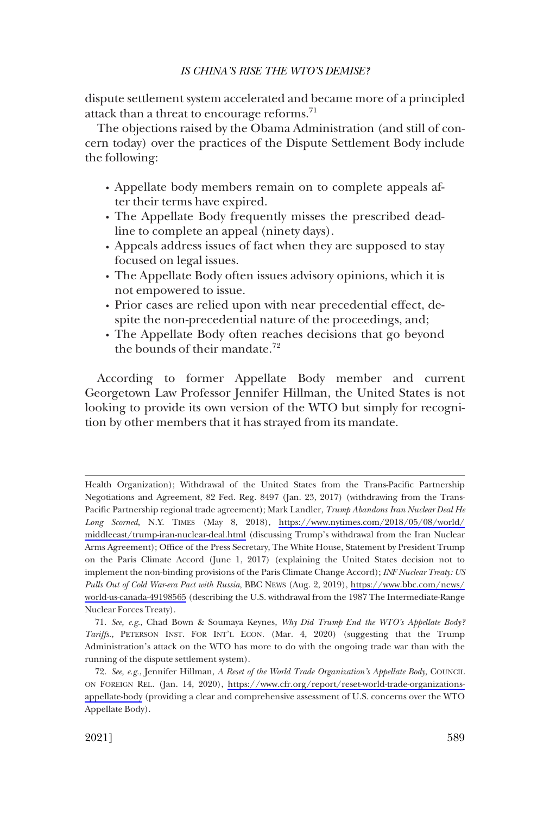dispute settlement system accelerated and became more of a principled attack than a threat to encourage reforms.<sup>71</sup>

The objections raised by the Obama Administration (and still of concern today) over the practices of the Dispute Settlement Body include the following:

- � Appellate body members remain on to complete appeals after their terms have expired.
- � The Appellate Body frequently misses the prescribed deadline to complete an appeal (ninety days).
- � Appeals address issues of fact when they are supposed to stay focused on legal issues.
- � The Appellate Body often issues advisory opinions, which it is not empowered to issue.
- � Prior cases are relied upon with near precedential effect, despite the non-precedential nature of the proceedings, and;
- � The Appellate Body often reaches decisions that go beyond the bounds of their mandate.<sup>72</sup>

According to former Appellate Body member and current Georgetown Law Professor Jennifer Hillman, the United States is not looking to provide its own version of the WTO but simply for recognition by other members that it has strayed from its mandate.

Health Organization); Withdrawal of the United States from the Trans-Pacific Partnership Negotiations and Agreement, 82 Fed. Reg. 8497 (Jan. 23, 2017) (withdrawing from the Trans-Pacific Partnership regional trade agreement); Mark Landler, *Trump Abandons Iran Nuclear Deal He Long Scorned*, N.Y. TIMES (May 8, 2018), [https://www.nytimes.com/2018/05/08/world/](https://www.nytimes.com/2018/05/08/world/middleeast/trump-iran-nuclear-deal.html)  [middleeast/trump-iran-nuclear-deal.html](https://www.nytimes.com/2018/05/08/world/middleeast/trump-iran-nuclear-deal.html) (discussing Trump's withdrawal from the Iran Nuclear Arms Agreement); Office of the Press Secretary, The White House, Statement by President Trump on the Paris Climate Accord (June 1, 2017) (explaining the United States decision not to implement the non-binding provisions of the Paris Climate Change Accord); *INF Nuclear Treaty: US Pulls Out of Cold War-era Pact with Russia*, BBC NEWS (Aug. 2, 2019), [https://www.bbc.com/news/](https://www.bbc.com/news/world-us-canada-49198565)  [world-us-canada-49198565](https://www.bbc.com/news/world-us-canada-49198565) (describing the U.S. withdrawal from the 1987 The Intermediate-Range Nuclear Forces Treaty).

<sup>71.</sup> *See, e.g.*, Chad Bown & Soumaya Keynes*, Why Did Trump End the WTO's Appellate Body? Tariffs.*, PETERSON INST. FOR INT'L ECON. (Mar. 4, 2020) (suggesting that the Trump Administration's attack on the WTO has more to do with the ongoing trade war than with the running of the dispute settlement system).

*See, e.g.*, Jennifer Hillman, *A Reset of the World Trade Organization's Appellate Body*, COUNCIL 72. ON FOREIGN REL. (Jan. 14, 2020), [https://www.cfr.org/report/reset-world-trade-organizations](https://www.cfr.org/report/reset-world-trade-organizations-appellate-body)[appellate-body](https://www.cfr.org/report/reset-world-trade-organizations-appellate-body) (providing a clear and comprehensive assessment of U.S. concerns over the WTO Appellate Body).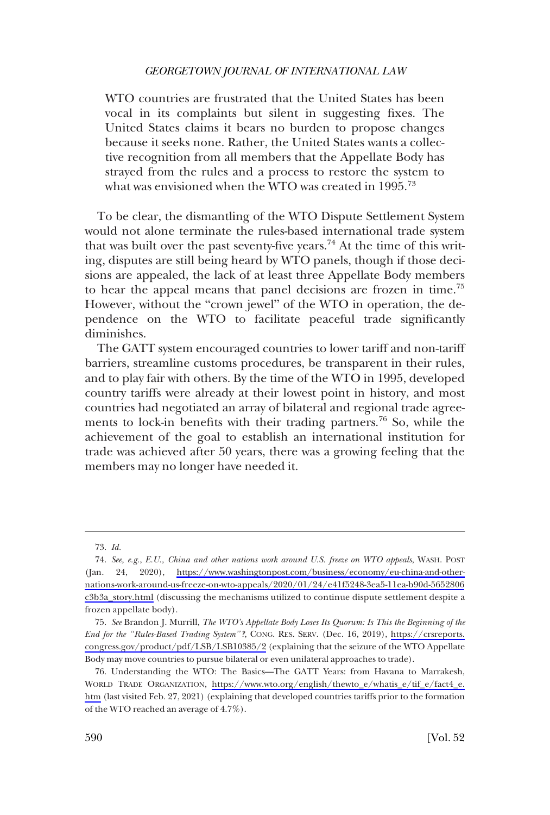WTO countries are frustrated that the United States has been vocal in its complaints but silent in suggesting fixes. The United States claims it bears no burden to propose changes because it seeks none. Rather, the United States wants a collective recognition from all members that the Appellate Body has strayed from the rules and a process to restore the system to what was envisioned when the WTO was created in 1995.<sup>73</sup>

To be clear, the dismantling of the WTO Dispute Settlement System would not alone terminate the rules-based international trade system that was built over the past seventy-five years.<sup>74</sup> At the time of this writing, disputes are still being heard by WTO panels, though if those decisions are appealed, the lack of at least three Appellate Body members to hear the appeal means that panel decisions are frozen in time.75 However, without the "crown jewel" of the WTO in operation, the dependence on the WTO to facilitate peaceful trade significantly diminishes.

The GATT system encouraged countries to lower tariff and non-tariff barriers, streamline customs procedures, be transparent in their rules, and to play fair with others. By the time of the WTO in 1995, developed country tariffs were already at their lowest point in history, and most countries had negotiated an array of bilateral and regional trade agreements to lock-in benefits with their trading partners.<sup>76</sup> So, while the achievement of the goal to establish an international institution for trade was achieved after 50 years, there was a growing feeling that the members may no longer have needed it.

<sup>73.</sup> *Id.* 

*See, e.g.*, *E.U., China and other nations work around U.S. freeze on WTO appeals*, WASH. POST 74. (Jan. 24, 2020), [https://www.washingtonpost.com/business/economy/eu-china-and-other](https://www.washingtonpost.com/business/economy/eu-china-and-other-nations-work-around-us-freeze-on-wto-appeals/2020/01/24/e41f5248-3ea5-11ea-b90d-5652806c3b3a_story.html)[nations-work-around-us-freeze-on-wto-appeals/2020/01/24/e41f5248-3ea5-11ea-b90d-5652806](https://www.washingtonpost.com/business/economy/eu-china-and-other-nations-work-around-us-freeze-on-wto-appeals/2020/01/24/e41f5248-3ea5-11ea-b90d-5652806c3b3a_story.html)  [c3b3a\\_story.html](https://www.washingtonpost.com/business/economy/eu-china-and-other-nations-work-around-us-freeze-on-wto-appeals/2020/01/24/e41f5248-3ea5-11ea-b90d-5652806c3b3a_story.html) (discussing the mechanisms utilized to continue dispute settlement despite a frozen appellate body).

*See* Brandon J. Murrill, *The WTO's Appellate Body Loses Its Quorum: Is This the Beginning of the*  75. *End for the "Rules-Based Trading System"?*, CONG. RES. SERV. (Dec. 16, 2019), [https://crsreports.](https://crsreports.congress.gov/product/pdf/LSB/LSB10385/2) [congress.gov/product/pdf/LSB/LSB10385/2](https://crsreports.congress.gov/product/pdf/LSB/LSB10385/2) (explaining that the seizure of the WTO Appellate Body may move countries to pursue bilateral or even unilateral approaches to trade).

<sup>76.</sup> Understanding the WTO: The Basics—The GATT Years: from Havana to Marrakesh, WORLD TRADE ORGANIZATION, [https://www.wto.org/english/thewto\\_e/whatis\\_e/tif\\_e/fact4\\_e.](https://www.wto.org/english/thewto_e/whatis_e/tif_e/fact4_e.htm) [htm](https://www.wto.org/english/thewto_e/whatis_e/tif_e/fact4_e.htm) (last visited Feb. 27, 2021) (explaining that developed countries tariffs prior to the formation of the WTO reached an average of 4.7%).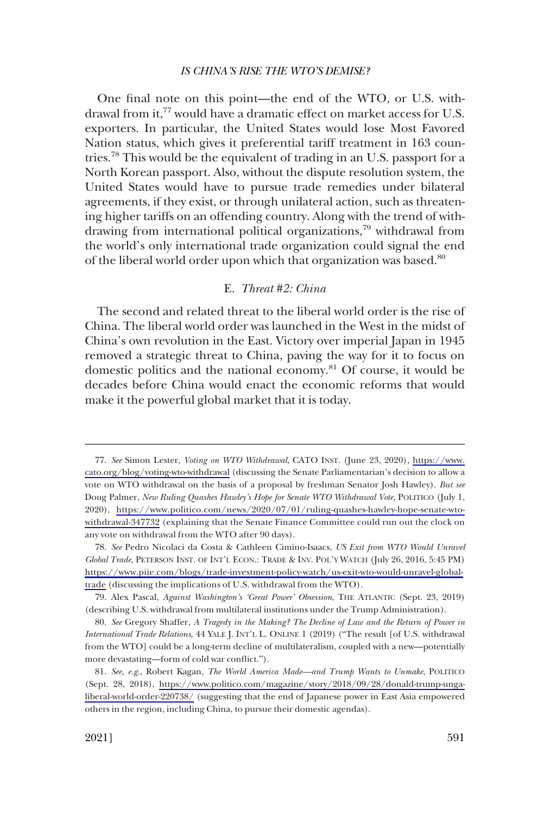<span id="page-16-0"></span>One final note on this point—the end of the WTO, or U.S. withdrawal from it,<sup>77</sup> would have a dramatic effect on market access for U.S. exporters. In particular, the United States would lose Most Favored Nation status, which gives it preferential tariff treatment in 163 countries.78 This would be the equivalent of trading in an U.S. passport for a North Korean passport. Also, without the dispute resolution system, the United States would have to pursue trade remedies under bilateral agreements, if they exist, or through unilateral action, such as threatening higher tariffs on an offending country. Along with the trend of withdrawing from international political organizations,<sup>79</sup> withdrawal from the world's only international trade organization could signal the end of the liberal world order upon which that organization was based.<sup>80</sup>

# E. *Threat #2: China*

The second and related threat to the liberal world order is the rise of China. The liberal world order was launched in the West in the midst of China's own revolution in the East. Victory over imperial Japan in 1945 removed a strategic threat to China, paving the way for it to focus on domestic politics and the national economy.<sup>81</sup> Of course, it would be decades before China would enact the economic reforms that would make it the powerful global market that it is today.

*See* Simon Lester, *Voting on WTO Withdrawal*, CATO INST. (June 23, 2020), [https://www.](https://www.cato.org/blog/voting-wto-withdrawal) 77. [cato.org/blog/voting-wto-withdrawal](https://www.cato.org/blog/voting-wto-withdrawal) (discussing the Senate Parliamentarian's decision to allow a vote on WTO withdrawal on the basis of a proposal by freshman Senator Josh Hawley). *But see*  Doug Palmer, *New Ruling Quashes Hawley's Hope for Senate WTO Withdrawal Vote*, POLITICO (July 1, 2020), [https://www.politico.com/news/2020/07/01/ruling-quashes-hawley-hope-senate-wto](https://www.politico.com/news/2020/07/01/ruling-quashes-hawley-hope-senate-wto-withdrawal-347732)[withdrawal-347732](https://www.politico.com/news/2020/07/01/ruling-quashes-hawley-hope-senate-wto-withdrawal-347732) (explaining that the Senate Finance Committee could run out the clock on any vote on withdrawal from the WTO after 90 days).

*See* Pedro Nicolaci da Costa & Cathleen Cimino-Isaacs, *US Exit from WTO Would Unravel*  78. *Global Trade*, PETERSON INST. OF INT'L ECON.: TRADE & INV. POL'Y WATCH (July 26, 2016, 5:45 PM) [https://www.piie.com/blogs/trade-investment-policy-watch/us-exit-wto-would-unravel-global](https://www.piie.com/blogs/trade-investment-policy-watch/us-exit-wto-would-unravel-global-trade)[trade](https://www.piie.com/blogs/trade-investment-policy-watch/us-exit-wto-would-unravel-global-trade) (discussing the implications of U.S. withdrawal from the WTO).

<sup>79.</sup> Alex Pascal, *Against Washington's 'Great Power' Obsession*, THE ATLANTIC (Sept. 23, 2019) (describing U.S. withdrawal from multilateral institutions under the Trump Administration).

<sup>80.</sup> *See* Gregory Shaffer, *A Tragedy in the Making? The Decline of Law and the Return of Power in International Trade Relations*, 44 YALE J. INT'L L. ONLINE 1 (2019) ("The result [of U.S. withdrawal from the WTO] could be a long-term decline of multilateralism, coupled with a new—potentially more devastating—form of cold war conflict.").

*See, e.g.*, Robert Kagan, *The World America Made—and Trump Wants to Unmake*, POLITICO 81. (Sept. 28, 2018), [https://www.politico.com/magazine/story/2018/09/28/donald-trump-unga](https://www.politico.com/magazine/story/2018/09/28/donald-trump-unga-liberal-world-order-220738/)[liberal-world-order-220738/](https://www.politico.com/magazine/story/2018/09/28/donald-trump-unga-liberal-world-order-220738/) (suggesting that the end of Japanese power in East Asia empowered others in the region, including China, to pursue their domestic agendas).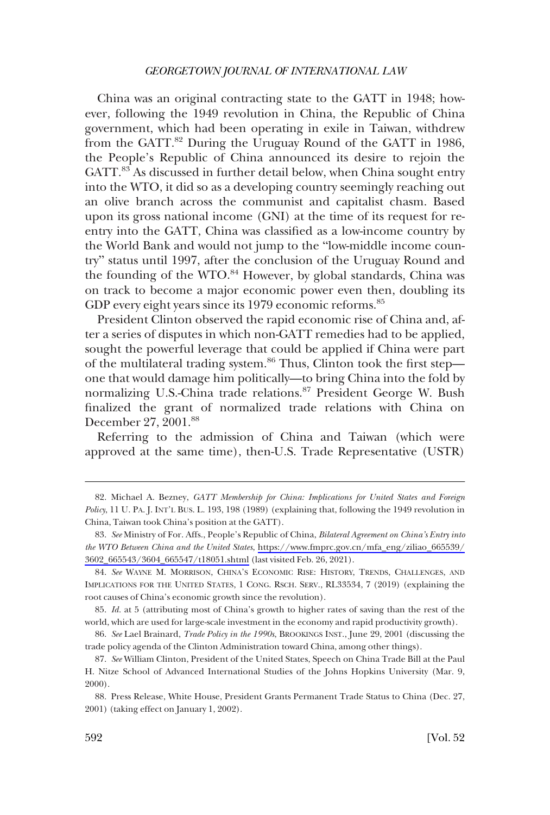China was an original contracting state to the GATT in 1948; however, following the 1949 revolution in China, the Republic of China government, which had been operating in exile in Taiwan, withdrew from the GATT.<sup>82</sup> During the Uruguay Round of the GATT in 1986, the People's Republic of China announced its desire to rejoin the GATT.<sup>83</sup> As discussed in further detail below, when China sought entry into the WTO, it did so as a developing country seemingly reaching out an olive branch across the communist and capitalist chasm. Based upon its gross national income (GNI) at the time of its request for reentry into the GATT, China was classified as a low-income country by the World Bank and would not jump to the "low-middle income country" status until 1997, after the conclusion of the Uruguay Round and the founding of the WTO.<sup>84</sup> However, by global standards, China was on track to become a major economic power even then, doubling its GDP every eight years since its 1979 economic reforms.<sup>85</sup>

President Clinton observed the rapid economic rise of China and, after a series of disputes in which non-GATT remedies had to be applied, sought the powerful leverage that could be applied if China were part of the multilateral trading system.<sup>86</sup> Thus, Clinton took the first step one that would damage him politically—to bring China into the fold by normalizing U.S.-China trade relations.<sup>87</sup> President George W. Bush finalized the grant of normalized trade relations with China on December 27, 2001.<sup>88</sup>

Referring to the admission of China and Taiwan (which were approved at the same time), then-U.S. Trade Representative (USTR)

<sup>82.</sup> Michael A. Bezney, *GATT Membership for China: Implications for United States and Foreign Policy*, 11 U. PA. J. INT'L BUS. L. 193, 198 (1989) (explaining that, following the 1949 revolution in China, Taiwan took China's position at the GATT).

*See* Ministry of For. Affs., People's Republic of China, *Bilateral Agreement on China's Entry into*  83. *the WTO Between China and the United States*, [https://www.fmprc.gov.cn/mfa\\_eng/ziliao\\_665539/](https://www.fmprc.gov.cn/mfa_eng/ziliao_665539/3602_665543/3604_665547/t18051.shtml)  [3602\\_665543/3604\\_665547/t18051.shtml](https://www.fmprc.gov.cn/mfa_eng/ziliao_665539/3602_665543/3604_665547/t18051.shtml) (last visited Feb. 26, 2021).

<sup>84.</sup> *See* WAYNE M. MORRISON, CHINA'S ECONOMIC RISE: HISTORY, TRENDS, CHALLENGES, AND IMPLICATIONS FOR THE UNITED STATES, 1 CONG. RSCH. SERV., RL33534, 7 (2019) (explaining the root causes of China's economic growth since the revolution).

<sup>85.</sup> *Id.* at 5 (attributing most of China's growth to higher rates of saving than the rest of the world, which are used for large-scale investment in the economy and rapid productivity growth).

<sup>86.</sup> *See* Lael Brainard, *Trade Policy in the 1990s*, BROOKINGS INST., June 29, 2001 (discussing the trade policy agenda of the Clinton Administration toward China, among other things).

<sup>87.</sup> *See* William Clinton, President of the United States, Speech on China Trade Bill at the Paul H. Nitze School of Advanced International Studies of the Johns Hopkins University (Mar. 9, 2000).

<sup>88.</sup> Press Release, White House, President Grants Permanent Trade Status to China (Dec. 27, 2001) (taking effect on January 1, 2002).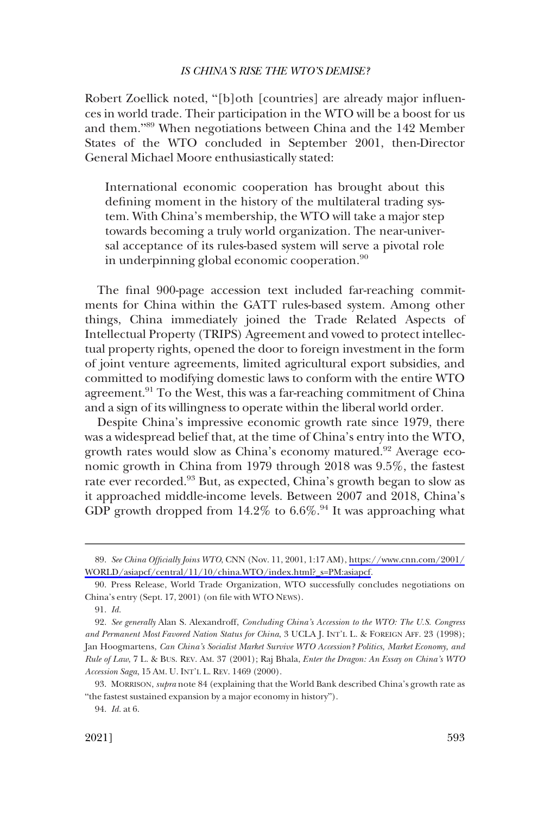Robert Zoellick noted, "[b]oth [countries] are already major influences in world trade. Their participation in the WTO will be a boost for us and them."<sup>89</sup> When negotiations between China and the 142 Member States of the WTO concluded in September 2001, then-Director General Michael Moore enthusiastically stated:

International economic cooperation has brought about this defining moment in the history of the multilateral trading system. With China's membership, the WTO will take a major step towards becoming a truly world organization. The near-universal acceptance of its rules-based system will serve a pivotal role in underpinning global economic cooperation.<sup>90</sup>

The final 900-page accession text included far-reaching commitments for China within the GATT rules-based system. Among other things, China immediately joined the Trade Related Aspects of Intellectual Property (TRIPS) Agreement and vowed to protect intellectual property rights, opened the door to foreign investment in the form of joint venture agreements, limited agricultural export subsidies, and committed to modifying domestic laws to conform with the entire WTO agreement.<sup>91</sup> To the West, this was a far-reaching commitment of China and a sign of its willingness to operate within the liberal world order.

Despite China's impressive economic growth rate since 1979, there was a widespread belief that, at the time of China's entry into the WTO, growth rates would slow as China's economy matured.<sup>92</sup> Average economic growth in China from 1979 through 2018 was 9.5%, the fastest rate ever recorded.93 But, as expected, China's growth began to slow as it approached middle-income levels. Between 2007 and 2018, China's GDP growth dropped from  $14.2\%$  to  $6.6\%$ .<sup>94</sup> It was approaching what

*See China Officially Joins WTO*, CNN (Nov. 11, 2001, 1:17 AM), [https://www.cnn.com/2001/](https://www.cnn.com/2001/WORLD/asiapcf/central/11/10/china.WTO/index.html?_s=PM:asiapcf) 89. [WORLD/asiapcf/central/11/10/china.WTO/index.html?\\_s=PM:asiapcf.](https://www.cnn.com/2001/WORLD/asiapcf/central/11/10/china.WTO/index.html?_s=PM:asiapcf)

<sup>90.</sup> Press Release, World Trade Organization, WTO successfully concludes negotiations on China's entry (Sept. 17, 2001) (on file with WTO NEWS).

<sup>91.</sup> *Id.* 

<sup>92.</sup> *See generally* Alan S. Alexandroff, *Concluding China's Accession to the WTO: The U.S. Congress and Permanent Most Favored Nation Status for China*, 3 UCLA J. INT'L L. & FOREIGN AFF. 23 (1998); Jan Hoogmartens, *Can China's Socialist Market Survive WTO Accession? Politics, Market Economy, and Rule of Law*, 7 L. & BUS. REV. AM. 37 (2001); Raj Bhala, *Enter the Dragon: An Essay on China's WTO Accession Saga*, 15 AM. U. INT'L L. REV. 1469 (2000).

<sup>93.</sup> MORRISON, *supra* note 84 (explaining that the World Bank described China's growth rate as "the fastest sustained expansion by a major economy in history").

<sup>94.</sup> *Id.* at 6.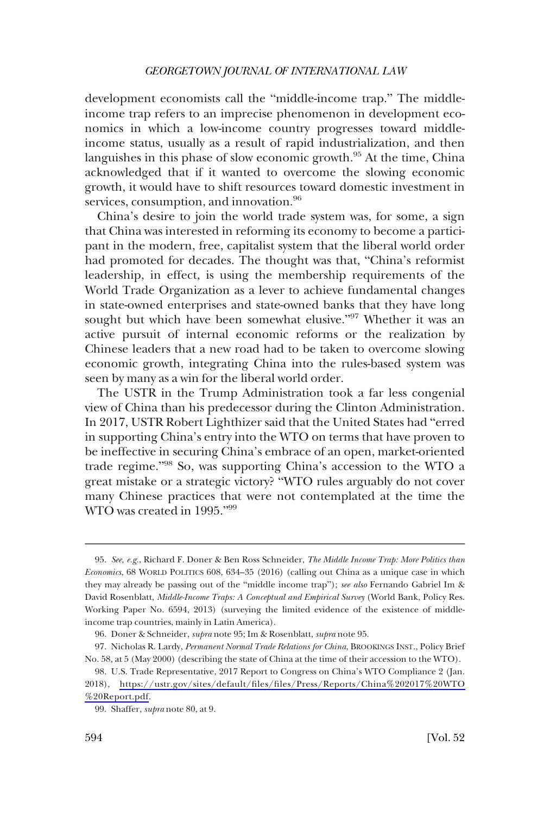development economists call the "middle-income trap." The middleincome trap refers to an imprecise phenomenon in development economics in which a low-income country progresses toward middleincome status, usually as a result of rapid industrialization, and then languishes in this phase of slow economic growth.<sup>95</sup> At the time, China acknowledged that if it wanted to overcome the slowing economic growth, it would have to shift resources toward domestic investment in services, consumption, and innovation.<sup>96</sup>

China's desire to join the world trade system was, for some, a sign that China was interested in reforming its economy to become a participant in the modern, free, capitalist system that the liberal world order had promoted for decades. The thought was that, "China's reformist leadership, in effect, is using the membership requirements of the World Trade Organization as a lever to achieve fundamental changes in state-owned enterprises and state-owned banks that they have long sought but which have been somewhat elusive."97 Whether it was an active pursuit of internal economic reforms or the realization by Chinese leaders that a new road had to be taken to overcome slowing economic growth, integrating China into the rules-based system was seen by many as a win for the liberal world order.

The USTR in the Trump Administration took a far less congenial view of China than his predecessor during the Clinton Administration. In 2017, USTR Robert Lighthizer said that the United States had "erred in supporting China's entry into the WTO on terms that have proven to be ineffective in securing China's embrace of an open, market-oriented trade regime."<sup>98</sup> So, was supporting China's accession to the WTO a great mistake or a strategic victory? "WTO rules arguably do not cover many Chinese practices that were not contemplated at the time the WTO was created in 1995."<sup>99</sup>

<sup>95.</sup> *See, e.g.*, Richard F. Doner & Ben Ross Schneider, *The Middle Income Trap: More Politics than Economics*, 68 WORLD POLITICS 608, 634–35 (2016) (calling out China as a unique case in which they may already be passing out of the "middle income trap"); *see also* Fernando Gabriel Im & David Rosenblatt, *Middle-Income Traps: A Conceptual and Empirical Survey* (World Bank, Policy Res. Working Paper No. 6594, 2013) (surveying the limited evidence of the existence of middleincome trap countries, mainly in Latin America).

<sup>96.</sup> Doner & Schneider, *supra* note 95; Im & Rosenblatt, *supra* note 95.

<sup>97.</sup> Nicholas R. Lardy, *Permanent Normal Trade Relations for China*, BROOKINGS INST., Policy Brief No. 58, at 5 (May 2000) (describing the state of China at the time of their accession to the WTO).

U.S. Trade Representative, 2017 Report to Congress on China's WTO Compliance 2 (Jan. 98. 2018), [https://ustr.gov/sites/default/files/files/Press/Reports/China%202017%20WTO](https://ustr.gov/sites/default/files/files/Press/Reports/China%202017%20WTO%20Report.pdf) [%20Report.pdf.](https://ustr.gov/sites/default/files/files/Press/Reports/China%202017%20WTO%20Report.pdf)

<sup>99.</sup> Shaffer, *supra* note 80, at 9.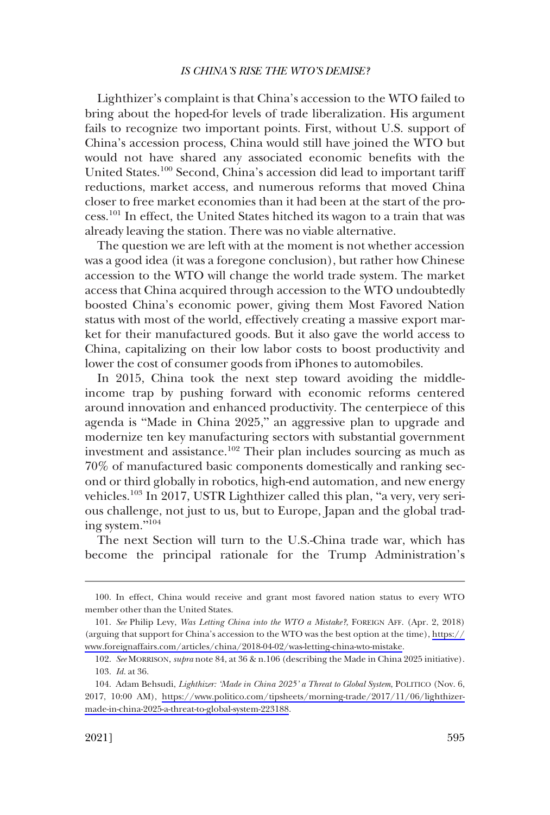Lighthizer's complaint is that China's accession to the WTO failed to bring about the hoped-for levels of trade liberalization. His argument fails to recognize two important points. First, without U.S. support of China's accession process, China would still have joined the WTO but would not have shared any associated economic benefits with the United States.100 Second, China's accession did lead to important tariff reductions, market access, and numerous reforms that moved China closer to free market economies than it had been at the start of the process.101 In effect, the United States hitched its wagon to a train that was already leaving the station. There was no viable alternative.

The question we are left with at the moment is not whether accession was a good idea (it was a foregone conclusion), but rather how Chinese accession to the WTO will change the world trade system. The market access that China acquired through accession to the WTO undoubtedly boosted China's economic power, giving them Most Favored Nation status with most of the world, effectively creating a massive export market for their manufactured goods. But it also gave the world access to China, capitalizing on their low labor costs to boost productivity and lower the cost of consumer goods from iPhones to automobiles.

In 2015, China took the next step toward avoiding the middleincome trap by pushing forward with economic reforms centered around innovation and enhanced productivity. The centerpiece of this agenda is "Made in China 2025," an aggressive plan to upgrade and modernize ten key manufacturing sectors with substantial government investment and assistance.102 Their plan includes sourcing as much as 70% of manufactured basic components domestically and ranking second or third globally in robotics, high-end automation, and new energy vehicles.103 In 2017, USTR Lighthizer called this plan, "a very, very serious challenge, not just to us, but to Europe, Japan and the global trading system."<sup>104</sup>

The next Section will turn to the U.S.-China trade war, which has become the principal rationale for the Trump Administration's

<sup>100.</sup> In effect, China would receive and grant most favored nation status to every WTO member other than the United States.

*See* Philip Levy, *Was Letting China into the WTO a Mistake?*, FOREIGN AFF. (Apr. 2, 2018) 101. (arguing that support for China's accession to the WTO was the best option at the time), [https://](https://www.foreignaffairs.com/articles/china/2018-04-02/was-letting-china-wto-mistake) [www.foreignaffairs.com/articles/china/2018-04-02/was-letting-china-wto-mistake.](https://www.foreignaffairs.com/articles/china/2018-04-02/was-letting-china-wto-mistake)

<sup>102.</sup> *See* MORRISON, *supra* note 84, at 36 & n.106 (describing the Made in China 2025 initiative). 103. *Id.* at 36.

<sup>104.</sup> Adam Behsudi, *Lighthizer: 'Made in China 2025' a Threat to Global System*, POLITICO (Nov. 6, 2017, 10:00 AM), [https://www.politico.com/tipsheets/morning-trade/2017/11/06/lighthizer](https://www.politico.com/tipsheets/morning-trade/2017/11/06/lighthizer-made-in-china-2025-a-threat-to-global-system-223188)[made-in-china-2025-a-threat-to-global-system-223188](https://www.politico.com/tipsheets/morning-trade/2017/11/06/lighthizer-made-in-china-2025-a-threat-to-global-system-223188).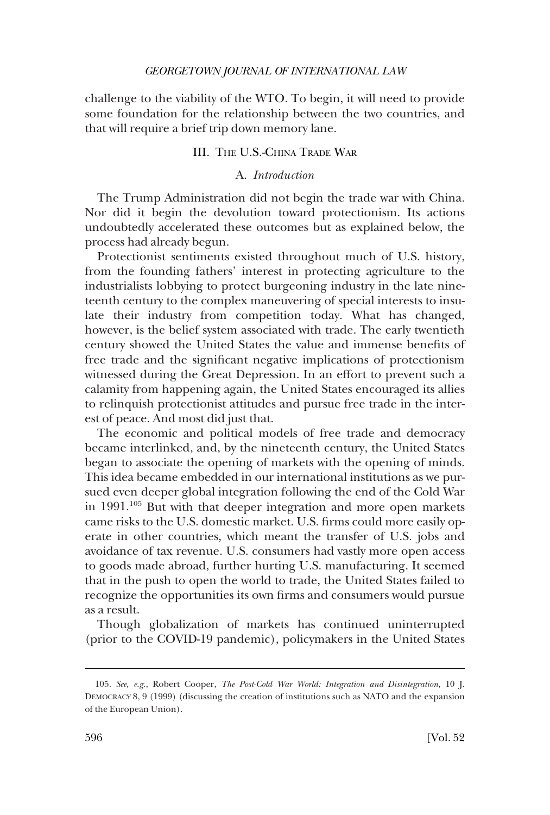<span id="page-21-0"></span>challenge to the viability of the WTO. To begin, it will need to provide some foundation for the relationship between the two countries, and that will require a brief trip down memory lane.

# III. THE U.S.-CHINA TRADE WAR

# A. *Introduction*

The Trump Administration did not begin the trade war with China. Nor did it begin the devolution toward protectionism. Its actions undoubtedly accelerated these outcomes but as explained below, the process had already begun.

Protectionist sentiments existed throughout much of U.S. history, from the founding fathers' interest in protecting agriculture to the industrialists lobbying to protect burgeoning industry in the late nineteenth century to the complex maneuvering of special interests to insulate their industry from competition today. What has changed, however, is the belief system associated with trade. The early twentieth century showed the United States the value and immense benefits of free trade and the significant negative implications of protectionism witnessed during the Great Depression. In an effort to prevent such a calamity from happening again, the United States encouraged its allies to relinquish protectionist attitudes and pursue free trade in the interest of peace. And most did just that.

The economic and political models of free trade and democracy became interlinked, and, by the nineteenth century, the United States began to associate the opening of markets with the opening of minds. This idea became embedded in our international institutions as we pursued even deeper global integration following the end of the Cold War in  $1991$ <sup> $105$ </sup> But with that deeper integration and more open markets came risks to the U.S. domestic market. U.S. firms could more easily operate in other countries, which meant the transfer of U.S. jobs and avoidance of tax revenue. U.S. consumers had vastly more open access to goods made abroad, further hurting U.S. manufacturing. It seemed that in the push to open the world to trade, the United States failed to recognize the opportunities its own firms and consumers would pursue as a result.

Though globalization of markets has continued uninterrupted (prior to the COVID-19 pandemic), policymakers in the United States

<sup>105.</sup> *See, e.g.*, Robert Cooper, *The Post-Cold War World: Integration and Disintegration*, 10 J. DEMOCRACY 8, 9 (1999) (discussing the creation of institutions such as NATO and the expansion of the European Union).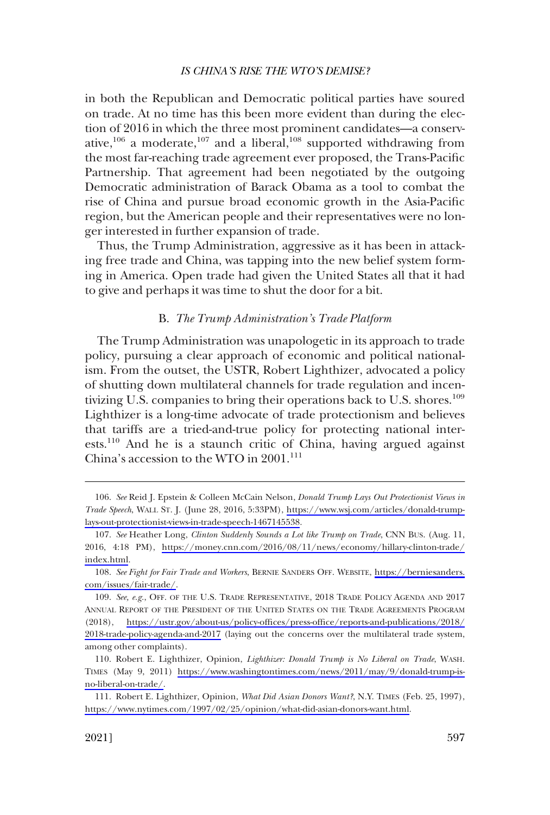<span id="page-22-0"></span>in both the Republican and Democratic political parties have soured on trade. At no time has this been more evident than during the election of 2016 in which the three most prominent candidates—a conservative,<sup>106</sup> a moderate,<sup>107</sup> and a liberal,<sup>108</sup> supported withdrawing from the most far-reaching trade agreement ever proposed, the Trans-Pacific Partnership. That agreement had been negotiated by the outgoing Democratic administration of Barack Obama as a tool to combat the rise of China and pursue broad economic growth in the Asia-Pacific region, but the American people and their representatives were no longer interested in further expansion of trade.

Thus, the Trump Administration, aggressive as it has been in attacking free trade and China, was tapping into the new belief system forming in America. Open trade had given the United States all that it had to give and perhaps it was time to shut the door for a bit.

# B. *The Trump Administration's Trade Platform*

The Trump Administration was unapologetic in its approach to trade policy, pursuing a clear approach of economic and political nationalism. From the outset, the USTR, Robert Lighthizer, advocated a policy of shutting down multilateral channels for trade regulation and incentivizing U.S. companies to bring their operations back to U.S. shores.<sup>109</sup> Lighthizer is a long-time advocate of trade protectionism and believes that tariffs are a tried-and-true policy for protecting national interests.<sup>110</sup> And he is a staunch critic of China, having argued against China's accession to the WTO in  $2001$ .<sup>111</sup>

*See* Reid J. Epstein & Colleen McCain Nelson, *Donald Trump Lays Out Protectionist Views in*  106. *Trade Speech*, WALL ST. J. (June 28, 2016, 5:33PM), [https://www.wsj.com/articles/donald-trump](https://www.wsj.com/articles/donald-trump-lays-out-protectionist-views-in-trade-speech-1467145538)[lays-out-protectionist-views-in-trade-speech-1467145538](https://www.wsj.com/articles/donald-trump-lays-out-protectionist-views-in-trade-speech-1467145538).

*See* Heather Long, *Clinton Suddenly Sounds a Lot like Trump on Trade*, CNN BUS. (Aug. 11, 107. 2016, 4:18 PM), [https://money.cnn.com/2016/08/11/news/economy/hillary-clinton-trade/](https://money.cnn.com/2016/08/11/news/economy/hillary-clinton-trade/index.html) [index.html](https://money.cnn.com/2016/08/11/news/economy/hillary-clinton-trade/index.html).

*See Fight for Fair Trade and Workers*, BERNIE SANDERS OFF. WEBSITE, [https://berniesanders.](https://berniesanders.com/issues/fair-trade/) 108. [com/issues/fair-trade/.](https://berniesanders.com/issues/fair-trade/)

<sup>109.</sup> See, e.g., OFF. OF THE U.S. TRADE REPRESENTATIVE, 2018 TRADE POLICY AGENDA AND 2017 ANNUAL REPORT OF THE PRESIDENT OF THE UNITED STATES ON THE TRADE AGREEMENTS PROGRAM (2018), [https://ustr.gov/about-us/policy-offices/press-office/reports-and-publications/2018/](https://ustr.gov/about-us/policy-offices/press-office/reports-and-publications/2018/2018-trade-policy-agenda-and-2017) [2018-trade-policy-agenda-and-2017](https://ustr.gov/about-us/policy-offices/press-office/reports-and-publications/2018/2018-trade-policy-agenda-and-2017) (laying out the concerns over the multilateral trade system, among other complaints).

<sup>110.</sup> Robert E. Lighthizer, Opinion, *Lighthizer: Donald Trump is No Liberal on Trade*, WASH. TIMES (May 9, 2011) [https://www.washingtontimes.com/news/2011/may/9/donald-trump-is](https://www.washingtontimes.com/news/2011/may/9/donald-trump-is-no-liberal-on-trade/)[no-liberal-on-trade/](https://www.washingtontimes.com/news/2011/may/9/donald-trump-is-no-liberal-on-trade/).

<sup>111.</sup> Robert E. Lighthizer, Opinion, *What Did Asian Donors Want?*, N.Y. TIMES (Feb. 25, 1997), [https://www.nytimes.com/1997/02/25/opinion/what-did-asian-donors-want.html.](https://www.nytimes.com/1997/02/25/opinion/what-did-asian-donors-want.html)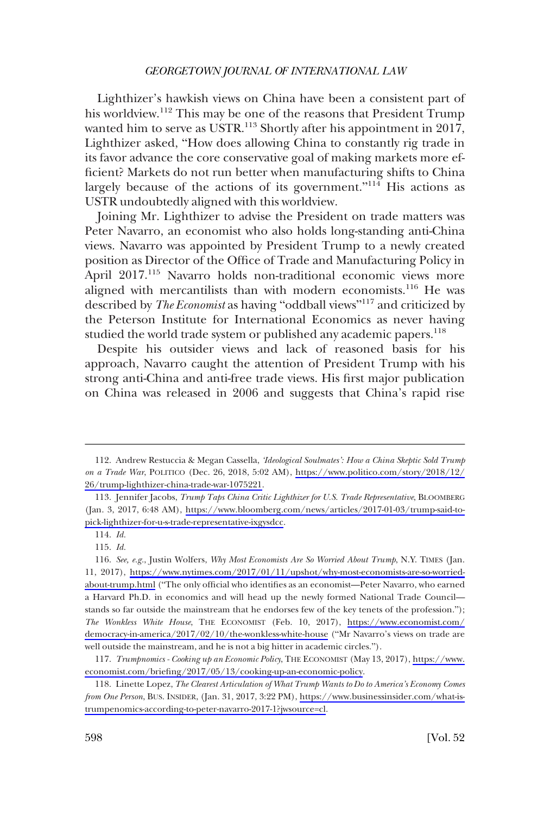Lighthizer's hawkish views on China have been a consistent part of his worldview.<sup>112</sup> This may be one of the reasons that President Trump wanted him to serve as USTR.<sup>113</sup> Shortly after his appointment in 2017, Lighthizer asked, "How does allowing China to constantly rig trade in its favor advance the core conservative goal of making markets more efficient? Markets do not run better when manufacturing shifts to China largely because of the actions of its government."<sup>114</sup> His actions as USTR undoubtedly aligned with this worldview.

Joining Mr. Lighthizer to advise the President on trade matters was Peter Navarro, an economist who also holds long-standing anti-China views. Navarro was appointed by President Trump to a newly created position as Director of the Office of Trade and Manufacturing Policy in April 2017.<sup>115</sup> Navarro holds non-traditional economic views more aligned with mercantilists than with modern economists.<sup>116</sup> He was described by *The Economist* as having "oddball views"<sup>117</sup> and criticized by the Peterson Institute for International Economics as never having studied the world trade system or published any academic papers.<sup>118</sup>

Despite his outsider views and lack of reasoned basis for his approach, Navarro caught the attention of President Trump with his strong anti-China and anti-free trade views. His first major publication on China was released in 2006 and suggests that China's rapid rise

Andrew Restuccia & Megan Cassella, *'Ideological Soulmates': How a China Skeptic Sold Trump*  112. *on a Trade War*, POLITICO (Dec. 26, 2018, 5:02 AM), [https://www.politico.com/story/2018/12/](https://www.politico.com/story/2018/12/26/trump-lighthizer-china-trade-war-1075221) [26/trump-lighthizer-china-trade-war-1075221.](https://www.politico.com/story/2018/12/26/trump-lighthizer-china-trade-war-1075221)

<sup>113.</sup> Jennifer Jacobs, *Trump Taps China Critic Lighthizer for U.S. Trade Representative*, BLOOMBERG (Jan. 3, 2017, 6:48 AM), [https://www.bloomberg.com/news/articles/2017-01-03/trump-said-to](https://www.bloomberg.com/news/articles/2017-01-03/trump-said-to-pick-lighthizer-for-u-s-trade-representative-ixgysdcc)[pick-lighthizer-for-u-s-trade-representative-ixgysdcc.](https://www.bloomberg.com/news/articles/2017-01-03/trump-said-to-pick-lighthizer-for-u-s-trade-representative-ixgysdcc)

<sup>114.</sup> *Id.* 

<sup>115.</sup> *Id.* 

*See, e.g.*, Justin Wolfers, *Why Most Economists Are So Worried About Trump*, N.Y. TIMES (Jan. 116. 11, 2017), [https://www.nytimes.com/2017/01/11/upshot/why-most-economists-are-so-worried](https://www.nytimes.com/2017/01/11/upshot/why-most-economists-are-so-worried-about-trump.html)[about-trump.html](https://www.nytimes.com/2017/01/11/upshot/why-most-economists-are-so-worried-about-trump.html) ("The only official who identifies as an economist—Peter Navarro, who earned a Harvard Ph.D. in economics and will head up the newly formed National Trade Council stands so far outside the mainstream that he endorses few of the key tenets of the profession."); *The Wonkless White House*, THE ECONOMIST (Feb. 10, 2017), [https://www.economist.com/](https://www.economist.com/democracy-in-america/2017/02/10/the-wonkless-white-house) [democracy-in-america/2017/02/10/the-wonkless-white-house](https://www.economist.com/democracy-in-america/2017/02/10/the-wonkless-white-house) ("Mr Navarro's views on trade are well outside the mainstream, and he is not a big hitter in academic circles.").

*Trumpnomics - Cooking up an Economic Policy*, THE ECONOMIST (May 13, 2017), [https://www.](https://www.economist.com/briefing/2017/05/13/cooking-up-an-economic-policy) 117. [economist.com/briefing/2017/05/13/cooking-up-an-economic-policy.](https://www.economist.com/briefing/2017/05/13/cooking-up-an-economic-policy)

Linette Lopez, *The Clearest Articulation of What Trump Wants to Do to America's Economy Comes*  118. *from One Person*, BUS. INSIDER, (Jan. 31, 2017, 3:22 PM), [https://www.businessinsider.com/what-is](https://www.businessinsider.com/what-is-trumpenomics-according-to-peter-navarro-2017-1?jwsource=cl)[trumpenomics-according-to-peter-navarro-2017-1?jwsource=cl](https://www.businessinsider.com/what-is-trumpenomics-according-to-peter-navarro-2017-1?jwsource=cl).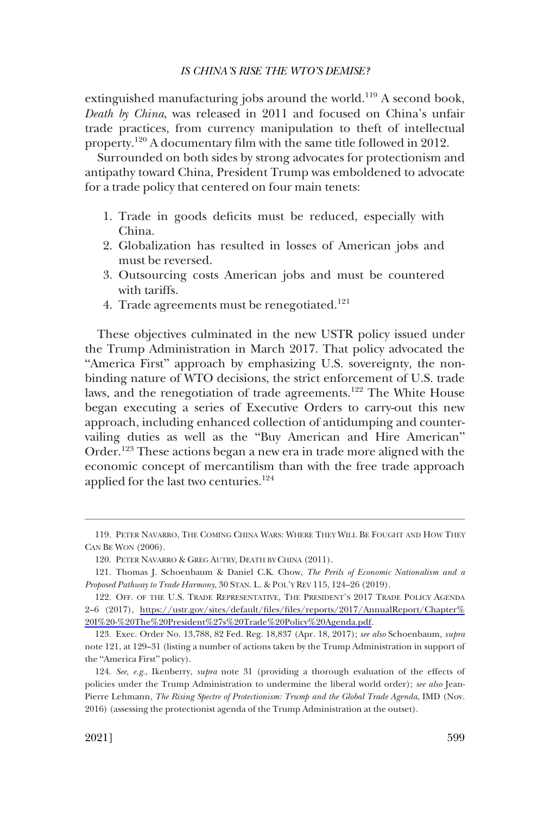extinguished manufacturing jobs around the world.<sup>119</sup> A second book, *Death by China*, was released in 2011 and focused on China's unfair trade practices, from currency manipulation to theft of intellectual property.120 A documentary film with the same title followed in 2012.

Surrounded on both sides by strong advocates for protectionism and antipathy toward China, President Trump was emboldened to advocate for a trade policy that centered on four main tenets:

- 1. Trade in goods deficits must be reduced, especially with China.
- 2. Globalization has resulted in losses of American jobs and must be reversed.
- 3. Outsourcing costs American jobs and must be countered with tariffs.
- 4. Trade agreements must be renegotiated.<sup>121</sup>

These objectives culminated in the new USTR policy issued under the Trump Administration in March 2017. That policy advocated the "America First" approach by emphasizing U.S. sovereignty, the nonbinding nature of WTO decisions, the strict enforcement of U.S. trade laws, and the renegotiation of trade agreements.<sup>122</sup> The White House began executing a series of Executive Orders to carry-out this new approach, including enhanced collection of antidumping and countervailing duties as well as the "Buy American and Hire American" Order.123 These actions began a new era in trade more aligned with the economic concept of mercantilism than with the free trade approach applied for the last two centuries.124

<sup>119.</sup> PETER NAVARRO, THE COMING CHINA WARS: WHERE THEY WILL BE FOUGHT AND HOW THEY CAN BE WON (2006).

<sup>120.</sup> PETER NAVARRO & GREG AUTRY, DEATH BY CHINA (2011).

<sup>121.</sup> Thomas J. Schoenbaum & Daniel C.K. Chow, *The Perils of Economic Nationalism and a Proposed Pathway to Trade Harmony*, 30 STAN. L. & POL'Y REV 115, 124–26 (2019).

<sup>122.</sup> OFF. OF THE U.S. TRADE REPRESENTATIVE, THE PRESIDENT'S 2017 TRADE POLICY AGENDA 2–6 (2017), [https://ustr.gov/sites/default/files/files/reports/2017/AnnualReport/Chapter%](https://ustr.gov/sites/default/files/files/reports/2017/AnnualReport/Chapter%20I%20-%20The%20President%27s%20Trade%20Policy%20Agenda.pdf)  [20I%20-%20The%20President%27s%20Trade%20Policy%20Agenda.pdf](https://ustr.gov/sites/default/files/files/reports/2017/AnnualReport/Chapter%20I%20-%20The%20President%27s%20Trade%20Policy%20Agenda.pdf).

<sup>123.</sup> Exec. Order No. 13,788, 82 Fed. Reg. 18,837 (Apr. 18, 2017); *see also* Schoenbaum, *supra*  note 121, at 129–31 (listing a number of actions taken by the Trump Administration in support of the "America First" policy).

<sup>124.</sup> *See, e.g.*, Ikenberry, *supra* note 31 (providing a thorough evaluation of the effects of policies under the Trump Administration to undermine the liberal world order); *see also* Jean-Pierre Lehmann, *The Rising Spectre of Protectionism: Trump and the Global Trade Agenda*, IMD (Nov. 2016) (assessing the protectionist agenda of the Trump Administration at the outset).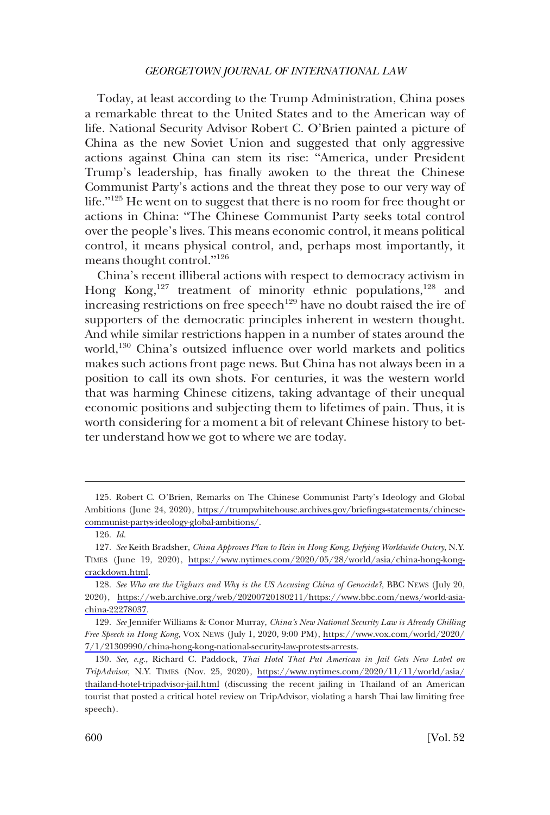Today, at least according to the Trump Administration, China poses a remarkable threat to the United States and to the American way of life. National Security Advisor Robert C. O'Brien painted a picture of China as the new Soviet Union and suggested that only aggressive actions against China can stem its rise: "America, under President Trump's leadership, has finally awoken to the threat the Chinese Communist Party's actions and the threat they pose to our very way of life."<sup>125</sup> He went on to suggest that there is no room for free thought or actions in China: "The Chinese Communist Party seeks total control over the people's lives. This means economic control, it means political control, it means physical control, and, perhaps most importantly, it means thought control."<sup>126</sup>

China's recent illiberal actions with respect to democracy activism in Hong Kong,<sup>127</sup> treatment of minority ethnic populations,<sup>128</sup> and increasing restrictions on free speech<sup>129</sup> have no doubt raised the ire of supporters of the democratic principles inherent in western thought. And while similar restrictions happen in a number of states around the world,<sup>130</sup> China's outsized influence over world markets and politics makes such actions front page news. But China has not always been in a position to call its own shots. For centuries, it was the western world that was harming Chinese citizens, taking advantage of their unequal economic positions and subjecting them to lifetimes of pain. Thus, it is worth considering for a moment a bit of relevant Chinese history to better understand how we got to where we are today.

<sup>125.</sup> Robert C. O'Brien, Remarks on The Chinese Communist Party's Ideology and Global Ambitions (June 24, 2020), [https://trumpwhitehouse.archives.gov/briefings-statements/chinese](https://trumpwhitehouse.archives.gov/briefings-statements/chinese-communist-partys-ideology-global-ambitions/)[communist-partys-ideology-global-ambitions/.](https://trumpwhitehouse.archives.gov/briefings-statements/chinese-communist-partys-ideology-global-ambitions/)

<sup>126.</sup> *Id.* 

*See* Keith Bradsher, *China Approves Plan to Rein in Hong Kong, Defying Worldwide Outcry*, N.Y. 127. TIMES (June 19, 2020), [https://www.nytimes.com/2020/05/28/world/asia/china-hong-kong](https://www.nytimes.com/2020/05/28/world/asia/china-hong-kong-crackdown.html)[crackdown.html](https://www.nytimes.com/2020/05/28/world/asia/china-hong-kong-crackdown.html).

*See Who are the Uighurs and Why is the US Accusing China of Genocide?*, BBC NEWS (July 20, 128. 2020), [https://web.archive.org/web/20200720180211/https://www.bbc.com/news/world-asia](https://web.archive.org/web/20200720180211/https://www.bbc.com/news/world-asia-china-22278037)[china-22278037](https://web.archive.org/web/20200720180211/https://www.bbc.com/news/world-asia-china-22278037).

*See* Jennifer Williams & Conor Murray, *China's New National Security Law is Already Chilling*  129. *Free Speech in Hong Kong*, VOX NEWS (July 1, 2020, 9:00 PM), [https://www.vox.com/world/2020/](https://www.vox.com/world/2020/7/1/21309990/china-hong-kong-national-security-law-protests-arrests) [7/1/21309990/china-hong-kong-national-security-law-protests-arrests](https://www.vox.com/world/2020/7/1/21309990/china-hong-kong-national-security-law-protests-arrests).

*See, e.g.*, Richard C. Paddock, *Thai Hotel That Put American in Jail Gets New Label on*  130. *TripAdvisor*, N.Y. TIMES (Nov. 25, 2020), [https://www.nytimes.com/2020/11/11/world/asia/](https://www.nytimes.com/2020/11/11/world/asia/thailand-hotel-tripadvisor-jail.html) [thailand-hotel-tripadvisor-jail.html](https://www.nytimes.com/2020/11/11/world/asia/thailand-hotel-tripadvisor-jail.html) (discussing the recent jailing in Thailand of an American tourist that posted a critical hotel review on TripAdvisor, violating a harsh Thai law limiting free speech).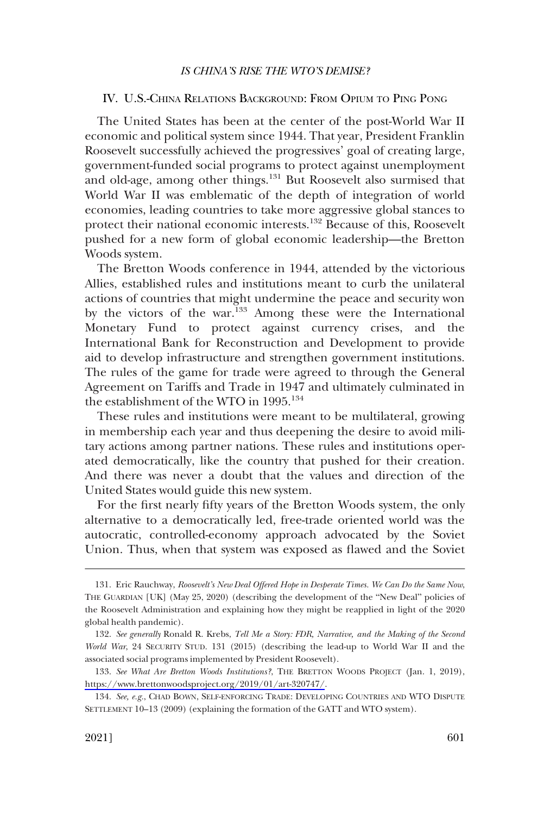# <span id="page-26-0"></span>IV. U.S.-CHINA RELATIONS BACKGROUND: FROM OPIUM TO PING PONG

The United States has been at the center of the post-World War II economic and political system since 1944. That year, President Franklin Roosevelt successfully achieved the progressives' goal of creating large, government-funded social programs to protect against unemployment and old-age, among other things.131 But Roosevelt also surmised that World War II was emblematic of the depth of integration of world economies, leading countries to take more aggressive global stances to protect their national economic interests.<sup>132</sup> Because of this, Roosevelt pushed for a new form of global economic leadership—the Bretton Woods system.

The Bretton Woods conference in 1944, attended by the victorious Allies, established rules and institutions meant to curb the unilateral actions of countries that might undermine the peace and security won by the victors of the war.<sup>133</sup> Among these were the International Monetary Fund to protect against currency crises, and the International Bank for Reconstruction and Development to provide aid to develop infrastructure and strengthen government institutions. The rules of the game for trade were agreed to through the General Agreement on Tariffs and Trade in 1947 and ultimately culminated in the establishment of the WTO in 1995.<sup>134</sup>

These rules and institutions were meant to be multilateral, growing in membership each year and thus deepening the desire to avoid military actions among partner nations. These rules and institutions operated democratically, like the country that pushed for their creation. And there was never a doubt that the values and direction of the United States would guide this new system.

For the first nearly fifty years of the Bretton Woods system, the only alternative to a democratically led, free-trade oriented world was the autocratic, controlled-economy approach advocated by the Soviet Union. Thus, when that system was exposed as flawed and the Soviet

<sup>131.</sup> Eric Rauchway, *Roosevelt's New Deal Offered Hope in Desperate Times. We Can Do the Same Now*, THE GUARDIAN [UK] (May 25, 2020) (describing the development of the "New Deal" policies of the Roosevelt Administration and explaining how they might be reapplied in light of the 2020 global health pandemic).

<sup>132.</sup> *See generally* Ronald R. Krebs, *Tell Me a Story: FDR, Narrative, and the Making of the Second World War*, 24 SECURITY STUD. 131 (2015) (describing the lead-up to World War II and the associated social programs implemented by President Roosevelt).

<sup>133.</sup> See What Are Bretton Woods Institutions?, THE BRETTON WOODS PROJECT (Jan. 1, 2019), <https://www.brettonwoodsproject.org/2019/01/art-320747/>.

<sup>134.</sup> *See, e.g.*, CHAD BOWN, SELF-ENFORCING TRADE: DEVELOPING COUNTRIES AND WTO DISPUTE SETTLEMENT 10–13 (2009) (explaining the formation of the GATT and WTO system).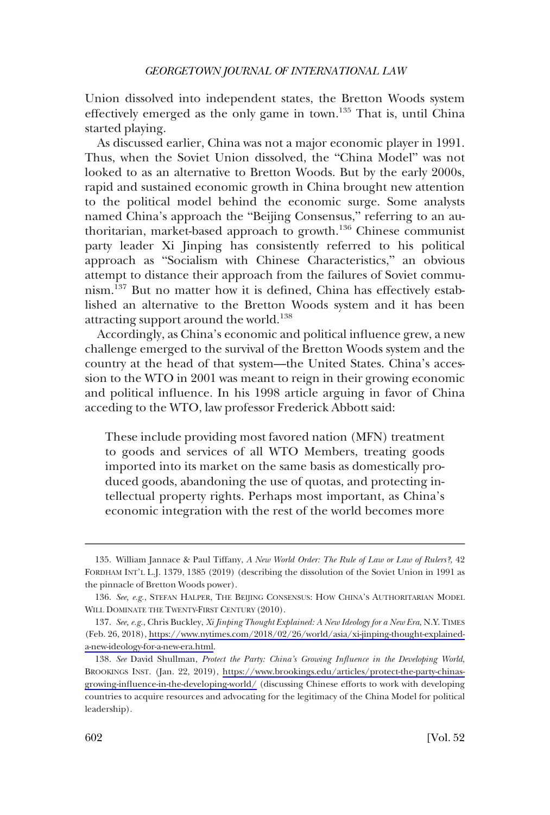Union dissolved into independent states, the Bretton Woods system effectively emerged as the only game in town.<sup>135</sup> That is, until China started playing.

As discussed earlier, China was not a major economic player in 1991. Thus, when the Soviet Union dissolved, the "China Model" was not looked to as an alternative to Bretton Woods. But by the early 2000s, rapid and sustained economic growth in China brought new attention to the political model behind the economic surge. Some analysts named China's approach the "Beijing Consensus," referring to an authoritarian, market-based approach to growth.136 Chinese communist party leader Xi Jinping has consistently referred to his political approach as "Socialism with Chinese Characteristics," an obvious attempt to distance their approach from the failures of Soviet communism.<sup>137</sup> But no matter how it is defined, China has effectively established an alternative to the Bretton Woods system and it has been attracting support around the world.<sup>138</sup>

Accordingly, as China's economic and political influence grew, a new challenge emerged to the survival of the Bretton Woods system and the country at the head of that system—the United States. China's accession to the WTO in 2001 was meant to reign in their growing economic and political influence. In his 1998 article arguing in favor of China acceding to the WTO, law professor Frederick Abbott said:

These include providing most favored nation (MFN) treatment to goods and services of all WTO Members, treating goods imported into its market on the same basis as domestically produced goods, abandoning the use of quotas, and protecting intellectual property rights. Perhaps most important, as China's economic integration with the rest of the world becomes more

<sup>135.</sup> William Jannace & Paul Tiffany, *A New World Order: The Rule of Law or Law of Rulers?*, 42 FORDHAM INT'L L.J. 1379, 1385 (2019) (describing the dissolution of the Soviet Union in 1991 as the pinnacle of Bretton Woods power).

<sup>136.</sup> *See, e.g.*, STEFAN HALPER, THE BEIJING CONSENSUS: HOW CHINA'S AUTHORITARIAN MODEL WILL DOMINATE THE TWENTY-FIRST CENTURY (2010).

*See, e.g.*, Chris Buckley, *Xi Jinping Thought Explained: A New Ideology for a New Era*, N.Y. TIMES 137. (Feb. 26, 2018), [https://www.nytimes.com/2018/02/26/world/asia/xi-jinping-thought-explained](https://www.nytimes.com/2018/02/26/world/asia/xi-jinping-thought-explained-a-new-ideology-for-a-new-era.html)[a-new-ideology-for-a-new-era.html.](https://www.nytimes.com/2018/02/26/world/asia/xi-jinping-thought-explained-a-new-ideology-for-a-new-era.html)

<sup>138.</sup> See David Shullman, Protect the Party: China's Growing Influence in the Developing World, BROOKINGS INST. (Jan. 22, 2019), [https://www.brookings.edu/articles/protect-the-party-chinas](https://www.brookings.edu/articles/protect-the-party-chinas-growing-influence-in-the-developing-world/)[growing-influence-in-the-developing-world/](https://www.brookings.edu/articles/protect-the-party-chinas-growing-influence-in-the-developing-world/) (discussing Chinese efforts to work with developing countries to acquire resources and advocating for the legitimacy of the China Model for political leadership).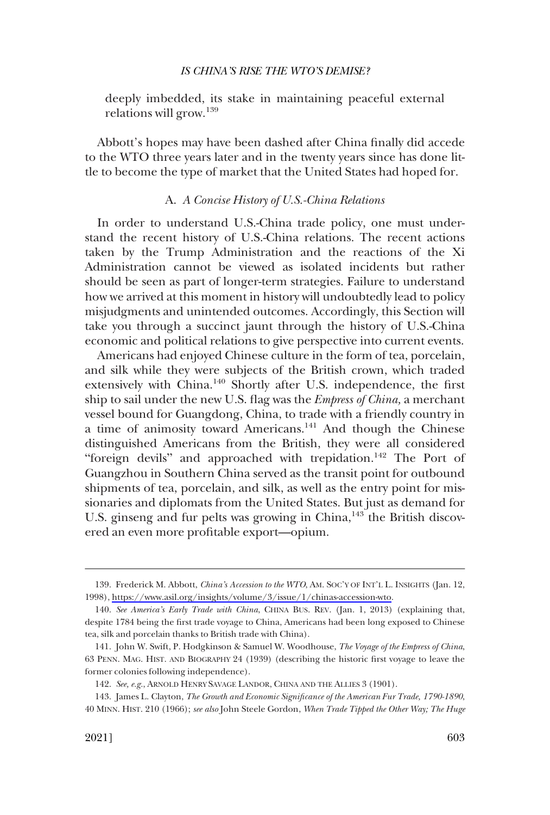<span id="page-28-0"></span>deeply imbedded, its stake in maintaining peaceful external relations will grow.<sup>139</sup>

Abbott's hopes may have been dashed after China finally did accede to the WTO three years later and in the twenty years since has done little to become the type of market that the United States had hoped for.

# A. *A Concise History of U.S.-China Relations*

In order to understand U.S.-China trade policy, one must understand the recent history of U.S.-China relations. The recent actions taken by the Trump Administration and the reactions of the Xi Administration cannot be viewed as isolated incidents but rather should be seen as part of longer-term strategies. Failure to understand how we arrived at this moment in history will undoubtedly lead to policy misjudgments and unintended outcomes. Accordingly, this Section will take you through a succinct jaunt through the history of U.S.-China economic and political relations to give perspective into current events.

Americans had enjoyed Chinese culture in the form of tea, porcelain, and silk while they were subjects of the British crown, which traded extensively with China.140 Shortly after U.S. independence, the first ship to sail under the new U.S. flag was the *Empress of China,* a merchant vessel bound for Guangdong, China, to trade with a friendly country in a time of animosity toward Americans.141 And though the Chinese distinguished Americans from the British, they were all considered "foreign devils" and approached with trepidation.<sup>142</sup> The Port of Guangzhou in Southern China served as the transit point for outbound shipments of tea, porcelain, and silk, as well as the entry point for missionaries and diplomats from the United States. But just as demand for U.S. ginseng and fur pelts was growing in China, $143$  the British discovered an even more profitable export—opium.

<sup>139.</sup> Frederick M. Abbott, *China's Accession to the WTO*, AM. SOC'Y OF INT'L L. INSIGHTS (Jan. 12, 1998),<https://www.asil.org/insights/volume/3/issue/1/chinas-accession-wto>.

<sup>140.</sup> *See America's Early Trade with China*, CHINA BUS. REV. (Jan. 1, 2013) (explaining that, despite 1784 being the first trade voyage to China, Americans had been long exposed to Chinese tea, silk and porcelain thanks to British trade with China).

<sup>141.</sup> John W. Swift, P. Hodgkinson & Samuel W. Woodhouse, *The Voyage of the Empress of China*, 63 PENN. MAG. HIST. AND BIOGRAPHY 24 (1939) (describing the historic first voyage to leave the former colonies following independence).

<sup>142.</sup> *See, e.g.*, ARNOLD HENRY SAVAGE LANDOR, CHINA AND THE ALLIES 3 (1901).

<sup>143.</sup> James L. Clayton, *The Growth and Economic Significance of the American Fur Trade, 1790-1890*, 40 MINN. HIST. 210 (1966); *see also* John Steele Gordon, *When Trade Tipped the Other Way; The Huge*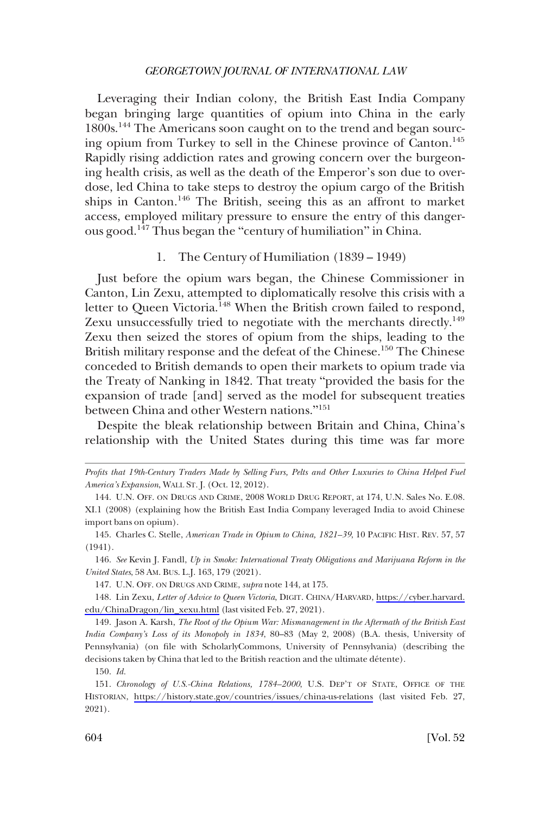<span id="page-29-0"></span>Leveraging their Indian colony, the British East India Company began bringing large quantities of opium into China in the early 1800s.<sup>144</sup> The Americans soon caught on to the trend and began sourcing opium from Turkey to sell in the Chinese province of Canton.<sup>145</sup> Rapidly rising addiction rates and growing concern over the burgeoning health crisis, as well as the death of the Emperor's son due to overdose, led China to take steps to destroy the opium cargo of the British ships in Canton.146 The British, seeing this as an affront to market access, employed military pressure to ensure the entry of this dangerous good.147 Thus began the "century of humiliation" in China.

# 1. The Century of Humiliation (1839 – 1949)

Just before the opium wars began, the Chinese Commissioner in Canton, Lin Zexu, attempted to diplomatically resolve this crisis with a letter to Queen Victoria.<sup>148</sup> When the British crown failed to respond, Zexu unsuccessfully tried to negotiate with the merchants directly.<sup>149</sup> Zexu then seized the stores of opium from the ships, leading to the British military response and the defeat of the Chinese.<sup>150</sup> The Chinese conceded to British demands to open their markets to opium trade via the Treaty of Nanking in 1842. That treaty "provided the basis for the expansion of trade [and] served as the model for subsequent treaties between China and other Western nations."<sup>151</sup>

Despite the bleak relationship between Britain and China, China's relationship with the United States during this time was far more

146. *See* Kevin J. Fandl, *Up in Smoke: International Treaty Obligations and Marijuana Reform in the United States*, 58 AM. BUS. L.J. 163, 179 (2021).

149. Jason A. Karsh, *The Root of the Opium War: Mismanagement in the Aftermath of the British East India Company's Loss of its Monopoly in 1834*, 80–83 (May 2, 2008) (B.A. thesis, University of Pennsylvania) (on file with ScholarlyCommons, University of Pennsylvania) (describing the decisions taken by China that led to the British reaction and the ultimate détente).

150. *Id.* 

*Profits that 19th-Century Traders Made by Selling Furs, Pelts and Other Luxuries to China Helped Fuel America's Expansion*, WALL ST. J. (Oct. 12, 2012).

<sup>144.</sup> U.N. OFF. ON DRUGS AND CRIME, 2008 WORLD DRUG REPORT, at 174, U.N. Sales No. E.08. XI.1 (2008) (explaining how the British East India Company leveraged India to avoid Chinese import bans on opium).

<sup>145.</sup> Charles C. Stelle, *American Trade in Opium to China, 1821–39*, 10 PACIFIC HIST. REV. 57, 57 (1941).

<sup>147.</sup> U.N. OFF. ON DRUGS AND CRIME, *supra* note 144, at 175.

Lin Zexu, *Letter of Advice to Queen Victoria*, DIGIT. CHINA/HARVARD, [https://cyber.harvard.](https://cyber.harvard.edu/ChinaDragon/lin_xexu.html) 148. [edu/ChinaDragon/lin\\_xexu.html](https://cyber.harvard.edu/ChinaDragon/lin_xexu.html) (last visited Feb. 27, 2021).

<sup>151.</sup> Chronology of U.S.-China Relations, 1784–2000, U.S. DEP'T OF STATE, OFFICE OF THE HISTORIAN, <https://history.state.gov/countries/issues/china-us-relations>(last visited Feb. 27, 2021).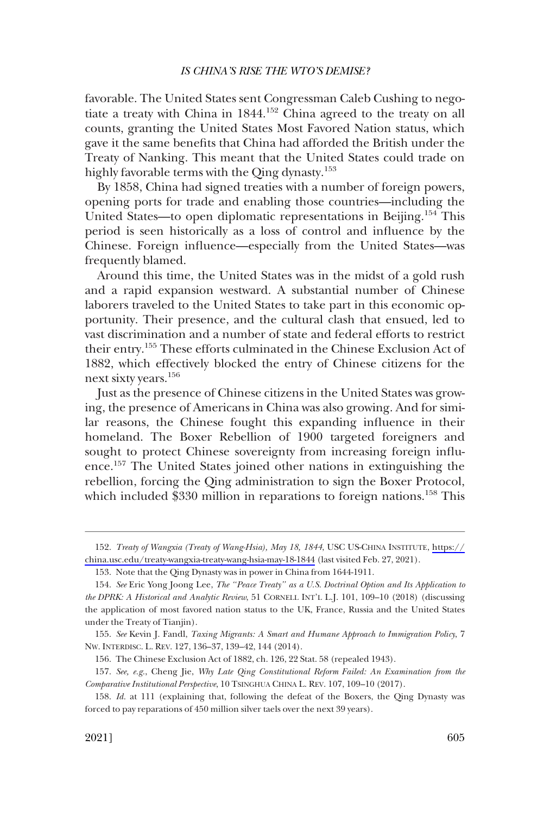favorable. The United States sent Congressman Caleb Cushing to negotiate a treaty with China in 1844.<sup>152</sup> China agreed to the treaty on all counts, granting the United States Most Favored Nation status, which gave it the same benefits that China had afforded the British under the Treaty of Nanking. This meant that the United States could trade on highly favorable terms with the Qing dynasty.<sup>153</sup>

By 1858, China had signed treaties with a number of foreign powers, opening ports for trade and enabling those countries—including the United States—to open diplomatic representations in Beijing.<sup>154</sup> This period is seen historically as a loss of control and influence by the Chinese. Foreign influence—especially from the United States—was frequently blamed.

Around this time, the United States was in the midst of a gold rush and a rapid expansion westward. A substantial number of Chinese laborers traveled to the United States to take part in this economic opportunity. Their presence, and the cultural clash that ensued, led to vast discrimination and a number of state and federal efforts to restrict their entry.155 These efforts culminated in the Chinese Exclusion Act of 1882, which effectively blocked the entry of Chinese citizens for the next sixty years.<sup>156</sup>

Just as the presence of Chinese citizens in the United States was growing, the presence of Americans in China was also growing. And for similar reasons, the Chinese fought this expanding influence in their homeland. The Boxer Rebellion of 1900 targeted foreigners and sought to protect Chinese sovereignty from increasing foreign influence.157 The United States joined other nations in extinguishing the rebellion, forcing the Qing administration to sign the Boxer Protocol, which included  $$330$  million in reparations to foreign nations.<sup>158</sup> This

*Treaty of Wangxia (Treaty of Wang-Hsia), May 18, 1844*, USC US-CHINA INSTITUTE, [https://](https://china.usc.edu/treaty-wangxia-treaty-wang-hsia-may-18-1844) 152. [china.usc.edu/treaty-wangxia-treaty-wang-hsia-may-18-1844](https://china.usc.edu/treaty-wangxia-treaty-wang-hsia-may-18-1844) (last visited Feb. 27, 2021).

<sup>153.</sup> Note that the Qing Dynasty was in power in China from 1644-1911.

<sup>154.</sup> *See* Eric Yong Joong Lee, *The "Peace Treaty" as a U.S. Doctrinal Option and Its Application to the DPRK: A Historical and Analytic Review*, 51 CORNELL INT'L L.J. 101, 109–10 (2018) (discussing the application of most favored nation status to the UK, France, Russia and the United States under the Treaty of Tianjin).

<sup>155.</sup> *See* Kevin J. Fandl, *Taxing Migrants: A Smart and Humane Approach to Immigration Policy*, 7 NW. INTERDISC. L. REV. 127, 136–37, 139–42, 144 (2014).

<sup>156.</sup> The Chinese Exclusion Act of 1882, ch. 126, 22 Stat. 58 (repealed 1943).

<sup>157.</sup> *See, e.g.*, Cheng Jie, *Why Late Qing Constitutional Reform Failed: An Examination from the Comparative Institutional Perspective*, 10 TSINGHUA CHINA L. REV. 107, 109–10 (2017).

<sup>158.</sup> *Id.* at 111 (explaining that, following the defeat of the Boxers, the Qing Dynasty was forced to pay reparations of 450 million silver taels over the next 39 years).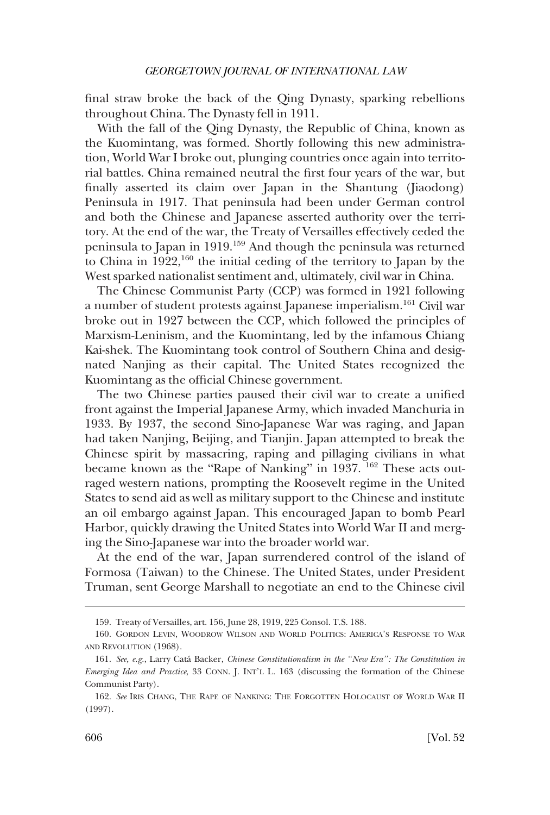final straw broke the back of the Qing Dynasty, sparking rebellions throughout China. The Dynasty fell in 1911.

With the fall of the Qing Dynasty, the Republic of China, known as the Kuomintang, was formed. Shortly following this new administration, World War I broke out, plunging countries once again into territorial battles. China remained neutral the first four years of the war, but finally asserted its claim over Japan in the Shantung (Jiaodong) Peninsula in 1917. That peninsula had been under German control and both the Chinese and Japanese asserted authority over the territory. At the end of the war, the Treaty of Versailles effectively ceded the peninsula to Japan in 1919.159 And though the peninsula was returned to China in  $1922$ ,<sup>160</sup> the initial ceding of the territory to Japan by the West sparked nationalist sentiment and, ultimately, civil war in China.

The Chinese Communist Party (CCP) was formed in 1921 following a number of student protests against Japanese imperialism.161 Civil war broke out in 1927 between the CCP, which followed the principles of Marxism-Leninism, and the Kuomintang, led by the infamous Chiang Kai-shek. The Kuomintang took control of Southern China and designated Nanjing as their capital. The United States recognized the Kuomintang as the official Chinese government.

The two Chinese parties paused their civil war to create a unified front against the Imperial Japanese Army, which invaded Manchuria in 1933. By 1937, the second Sino-Japanese War was raging, and Japan had taken Nanjing, Beijing, and Tianjin. Japan attempted to break the Chinese spirit by massacring, raping and pillaging civilians in what became known as the "Rape of Nanking" in 1937. <sup>162</sup> These acts outraged western nations, prompting the Roosevelt regime in the United States to send aid as well as military support to the Chinese and institute an oil embargo against Japan. This encouraged Japan to bomb Pearl Harbor, quickly drawing the United States into World War II and merging the Sino-Japanese war into the broader world war.

At the end of the war, Japan surrendered control of the island of Formosa (Taiwan) to the Chinese. The United States, under President Truman, sent George Marshall to negotiate an end to the Chinese civil

<sup>159.</sup> Treaty of Versailles, art. 156, June 28, 1919, 225 Consol. T.S. 188.

<sup>160.</sup> GORDON LEVIN, WOODROW WILSON AND WORLD POLITICS: AMERICA'S RESPONSE TO WAR AND REVOLUTION (1968).

<sup>161.</sup> *See, e.g.*, Larry Cata´ Backer, *Chinese Constitutionalism in the "New Era": The Constitution in Emerging Idea and Practice*, 33 CONN. J. INT'L L. 163 (discussing the formation of the Chinese Communist Party).

<sup>162.</sup> *See* IRIS CHANG, THE RAPE OF NANKING: THE FORGOTTEN HOLOCAUST OF WORLD WAR II (1997).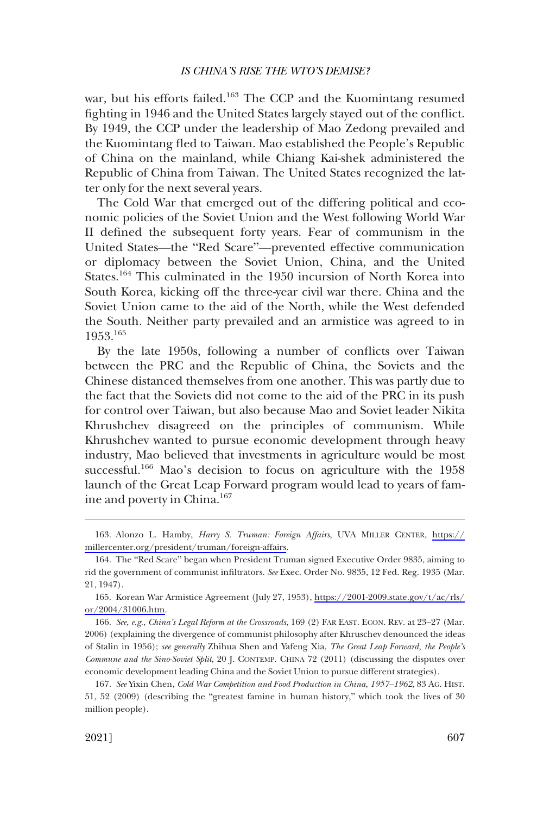war, but his efforts failed.<sup>163</sup> The CCP and the Kuomintang resumed fighting in 1946 and the United States largely stayed out of the conflict. By 1949, the CCP under the leadership of Mao Zedong prevailed and the Kuomintang fled to Taiwan. Mao established the People's Republic of China on the mainland, while Chiang Kai-shek administered the Republic of China from Taiwan. The United States recognized the latter only for the next several years.

The Cold War that emerged out of the differing political and economic policies of the Soviet Union and the West following World War II defined the subsequent forty years. Fear of communism in the United States—the "Red Scare"—prevented effective communication or diplomacy between the Soviet Union, China, and the United States.164 This culminated in the 1950 incursion of North Korea into South Korea, kicking off the three-year civil war there. China and the Soviet Union came to the aid of the North, while the West defended the South. Neither party prevailed and an armistice was agreed to in 1953.165

By the late 1950s, following a number of conflicts over Taiwan between the PRC and the Republic of China, the Soviets and the Chinese distanced themselves from one another. This was partly due to the fact that the Soviets did not come to the aid of the PRC in its push for control over Taiwan, but also because Mao and Soviet leader Nikita Khrushchev disagreed on the principles of communism. While Khrushchev wanted to pursue economic development through heavy industry, Mao believed that investments in agriculture would be most successful.<sup>166</sup> Mao's decision to focus on agriculture with the 1958 launch of the Great Leap Forward program would lead to years of famine and poverty in China.167

Alonzo L. Hamby, *Harry S. Truman: Foreign Affairs*, UVA MILLER CENTER, [https://](https://millercenter.org/president/truman/foreign-affairs)  163. [millercenter.org/president/truman/foreign-affairs](https://millercenter.org/president/truman/foreign-affairs).

<sup>164.</sup> The "Red Scare" began when President Truman signed Executive Order 9835, aiming to rid the government of communist infiltrators. *See* Exec. Order No. 9835, 12 Fed. Reg. 1935 (Mar. 21, 1947).

<sup>165.</sup> Korean War Armistice Agreement (July 27, 1953), https://2001-2009.state.gov/t/ac/rls/ [or/2004/31006.htm.](https://2001-2009.state.gov/t/ac/rls/or/2004/31006.htm)

<sup>166.</sup> *See, e.g.*, *China's Legal Reform at the Crossroads*, 169 (2) FAR EAST. ECON. REV. at 23–27 (Mar. 2006) (explaining the divergence of communist philosophy after Khruschev denounced the ideas of Stalin in 1956); *see generally* Zhihua Shen and Yafeng Xia, *The Great Leap Forward, the People's Commune and the Sino-Soviet Split*, 20 J. CONTEMP. CHINA 72 (2011) (discussing the disputes over economic development leading China and the Soviet Union to pursue different strategies).

<sup>167.</sup> *See* Yixin Chen, *Cold War Competition and Food Production in China*, *1957–1962*, 83 AG. HIST. 51, 52 (2009) (describing the "greatest famine in human history," which took the lives of 30 million people).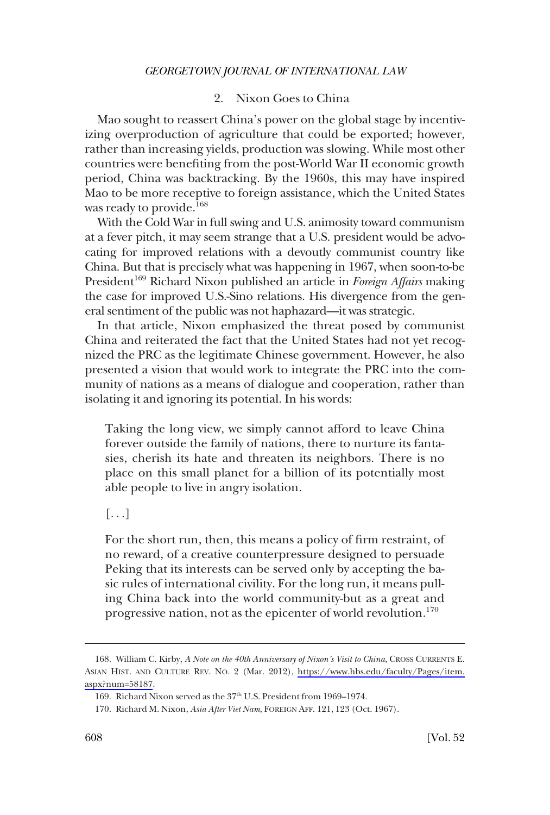# 2. Nixon Goes to China

<span id="page-33-0"></span>Mao sought to reassert China's power on the global stage by incentivizing overproduction of agriculture that could be exported; however, rather than increasing yields, production was slowing. While most other countries were benefiting from the post-World War II economic growth period, China was backtracking. By the 1960s, this may have inspired Mao to be more receptive to foreign assistance, which the United States was ready to provide.<sup>168</sup>

With the Cold War in full swing and U.S. animosity toward communism at a fever pitch, it may seem strange that a U.S. president would be advocating for improved relations with a devoutly communist country like China. But that is precisely what was happening in 1967, when soon-to-be President<sup>169</sup> Richard Nixon published an article in *Foreign Affairs* making the case for improved U.S.-Sino relations. His divergence from the general sentiment of the public was not haphazard—it was strategic.

In that article, Nixon emphasized the threat posed by communist China and reiterated the fact that the United States had not yet recognized the PRC as the legitimate Chinese government. However, he also presented a vision that would work to integrate the PRC into the community of nations as a means of dialogue and cooperation, rather than isolating it and ignoring its potential. In his words:

Taking the long view, we simply cannot afford to leave China forever outside the family of nations, there to nurture its fantasies, cherish its hate and threaten its neighbors. There is no place on this small planet for a billion of its potentially most able people to live in angry isolation.

 $[\ldots]$ 

For the short run, then, this means a policy of firm restraint, of no reward, of a creative counterpressure designed to persuade Peking that its interests can be served only by accepting the basic rules of international civility. For the long run, it means pulling China back into the world community-but as a great and progressive nation, not as the epicenter of world revolution.<sup>170</sup>

<sup>168.</sup> William C. Kirby, *A Note on the 40th Anniversary of Nixon's Visit to China*, CROSS CURRENTS E. ASIAN HIST. AND CULTURE REV. NO. 2 (Mar. 2012), [https://www.hbs.edu/faculty/Pages/item.](https://www.hbs.edu/faculty/Pages/item.aspx?num=58187) [aspx?num=58187](https://www.hbs.edu/faculty/Pages/item.aspx?num=58187).

<sup>169.</sup> Richard Nixon served as the 37<sup>th</sup> U.S. President from 1969–1974.

<sup>170.</sup> Richard M. Nixon, *Asia After Viet Nam*, FOREIGN AFF. 121, 123 (Oct. 1967).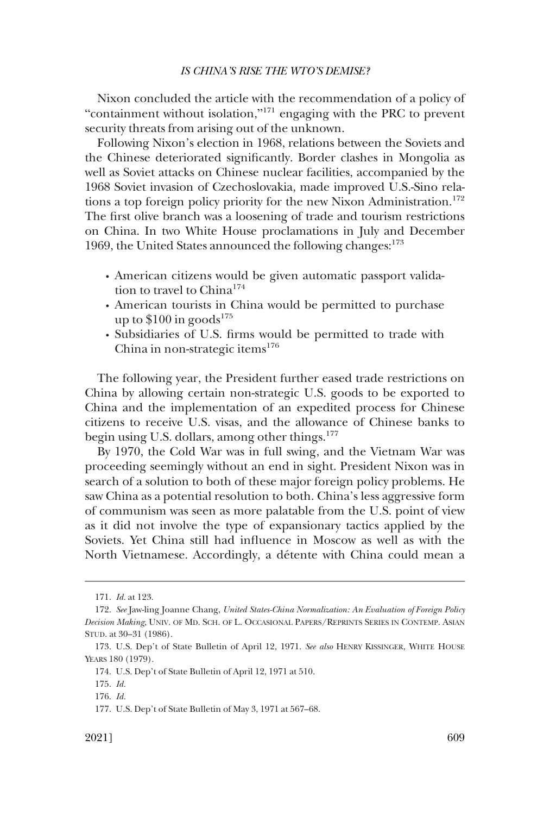Nixon concluded the article with the recommendation of a policy of "containment without isolation,"171 engaging with the PRC to prevent security threats from arising out of the unknown.

Following Nixon's election in 1968, relations between the Soviets and the Chinese deteriorated significantly. Border clashes in Mongolia as well as Soviet attacks on Chinese nuclear facilities, accompanied by the 1968 Soviet invasion of Czechoslovakia, made improved U.S.-Sino relations a top foreign policy priority for the new Nixon Administration.<sup>172</sup> The first olive branch was a loosening of trade and tourism restrictions on China. In two White House proclamations in July and December 1969, the United States announced the following changes:  $173$ 

- � American citizens would be given automatic passport validation to travel to China<sup>174</sup>
- � American tourists in China would be permitted to purchase up to  $$100$  in goods<sup>175</sup>
- � Subsidiaries of U.S. firms would be permitted to trade with China in non-strategic items $176$

The following year, the President further eased trade restrictions on China by allowing certain non-strategic U.S. goods to be exported to China and the implementation of an expedited process for Chinese citizens to receive U.S. visas, and the allowance of Chinese banks to begin using U.S. dollars, among other things.<sup>177</sup>

By 1970, the Cold War was in full swing, and the Vietnam War was proceeding seemingly without an end in sight. President Nixon was in search of a solution to both of these major foreign policy problems. He saw China as a potential resolution to both. China's less aggressive form of communism was seen as more palatable from the U.S. point of view as it did not involve the type of expansionary tactics applied by the Soviets. Yet China still had influence in Moscow as well as with the North Vietnamese. Accordingly, a détente with China could mean a

<sup>171.</sup> *Id.* at 123.

<sup>172.</sup> *See* Jaw-ling Joanne Chang, *United States-China Normalization: An Evaluation of Foreign Policy Decision Making*, UNIV. OF MD. SCH. OF L. OCCASIONAL PAPERS/REPRINTS SERIES IN CONTEMP. ASIAN STUD. at 30–31 (1986).

<sup>173.</sup> U.S. Dep't of State Bulletin of April 12, 1971. *See also* HENRY KISSINGER, WHITE HOUSE YEARS 180 (1979).

<sup>174.</sup> U.S. Dep't of State Bulletin of April 12, 1971 at 510.

<sup>175.</sup> *Id.* 

<sup>176.</sup> *Id.* 

<sup>177.</sup> U.S. Dep't of State Bulletin of May 3, 1971 at 567–68.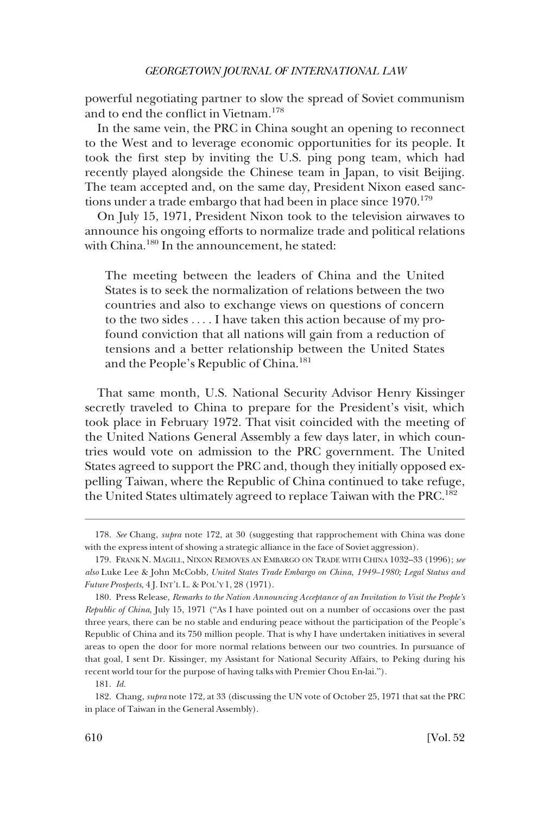powerful negotiating partner to slow the spread of Soviet communism and to end the conflict in Vietnam.<sup>178</sup>

In the same vein, the PRC in China sought an opening to reconnect to the West and to leverage economic opportunities for its people. It took the first step by inviting the U.S. ping pong team, which had recently played alongside the Chinese team in Japan, to visit Beijing. The team accepted and, on the same day, President Nixon eased sanctions under a trade embargo that had been in place since  $1970^{179}$ 

On July 15, 1971, President Nixon took to the television airwaves to announce his ongoing efforts to normalize trade and political relations with China.<sup>180</sup> In the announcement, he stated:

The meeting between the leaders of China and the United States is to seek the normalization of relations between the two countries and also to exchange views on questions of concern to the two sides . . . . I have taken this action because of my profound conviction that all nations will gain from a reduction of tensions and a better relationship between the United States and the People's Republic of China.<sup>181</sup>

That same month, U.S. National Security Advisor Henry Kissinger secretly traveled to China to prepare for the President's visit, which took place in February 1972. That visit coincided with the meeting of the United Nations General Assembly a few days later, in which countries would vote on admission to the PRC government. The United States agreed to support the PRC and, though they initially opposed expelling Taiwan, where the Republic of China continued to take refuge, the United States ultimately agreed to replace Taiwan with the PRC.182

<sup>178.</sup> *See* Chang, *supra* note 172, at 30 (suggesting that rapprochement with China was done with the express intent of showing a strategic alliance in the face of Soviet aggression).

<sup>179.</sup> FRANK N. MAGILL, NIXON REMOVES AN EMBARGO ON TRADE WITH CHINA 1032–33 (1996); *see also* Luke Lee & John McCobb, *United States Trade Embargo on China, 1949–1980; Legal Status and Future Prospects*, 4 J. INT'L L. & POL'Y 1, 28 (1971).

<sup>180.</sup> Press Release, *Remarks to the Nation Announcing Acceptance of an Invitation to Visit the People's Republic of China*, July 15, 1971 ("As I have pointed out on a number of occasions over the past three years, there can be no stable and enduring peace without the participation of the People's Republic of China and its 750 million people. That is why I have undertaken initiatives in several areas to open the door for more normal relations between our two countries. In pursuance of that goal, I sent Dr. Kissinger, my Assistant for National Security Affairs, to Peking during his recent world tour for the purpose of having talks with Premier Chou En-lai.").

<sup>181.</sup> *Id.* 

<sup>182.</sup> Chang, *supra* note 172, at 33 (discussing the UN vote of October 25, 1971 that sat the PRC in place of Taiwan in the General Assembly).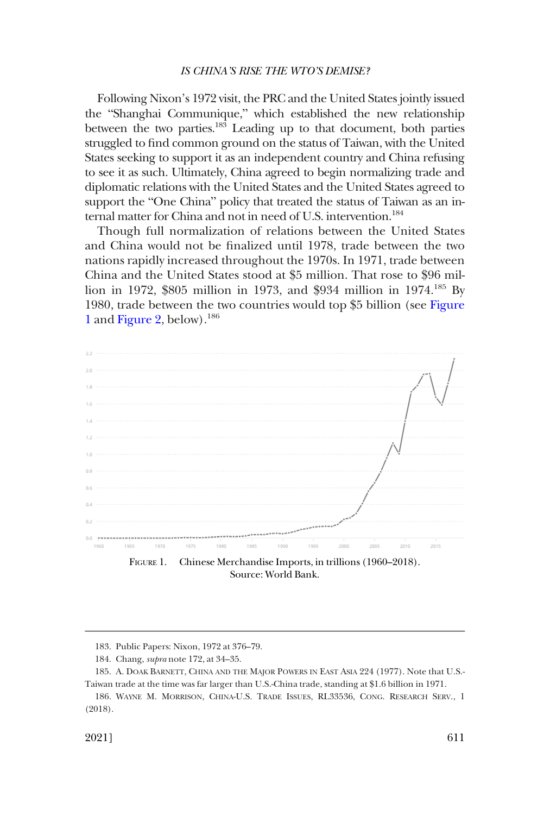Following Nixon's 1972 visit, the PRC and the United States jointly issued the "Shanghai Communique," which established the new relationship between the two parties.<sup>183</sup> Leading up to that document, both parties struggled to find common ground on the status of Taiwan, with the United States seeking to support it as an independent country and China refusing to see it as such. Ultimately, China agreed to begin normalizing trade and diplomatic relations with the United States and the United States agreed to support the "One China" policy that treated the status of Taiwan as an internal matter for China and not in need of U.S. intervention.<sup>184</sup>

Though full normalization of relations between the United States and China would not be finalized until 1978, trade between the two nations rapidly increased throughout the 1970s. In 1971, trade between China and the United States stood at \$5 million. That rose to \$96 million in 1972, \$805 million in 1973, and \$934 million in 1974.185 By 1980, trade between the two countries would top \$5 billion (see Figure 1 and [Figure 2,](#page-37-0) below).186



FIGURE 1. Chinese Merchandise Imports, in trillions (1960–2018). Source: World Bank.

<sup>183.</sup> Public Papers: Nixon, 1972 at 376–79.

<sup>184.</sup> Chang, *supra* note 172, at 34–35.

<sup>185.</sup> A. DOAK BARNETT, CHINA AND THE MAJOR POWERS IN EAST ASIA 224 (1977). Note that U.S.- Taiwan trade at the time was far larger than U.S.-China trade, standing at \$1.6 billion in 1971.

<sup>186.</sup> WAYNE M. MORRISON, CHINA-U.S. TRADE ISSUES, RL33536, CONG. RESEARCH SERV., 1 (2018).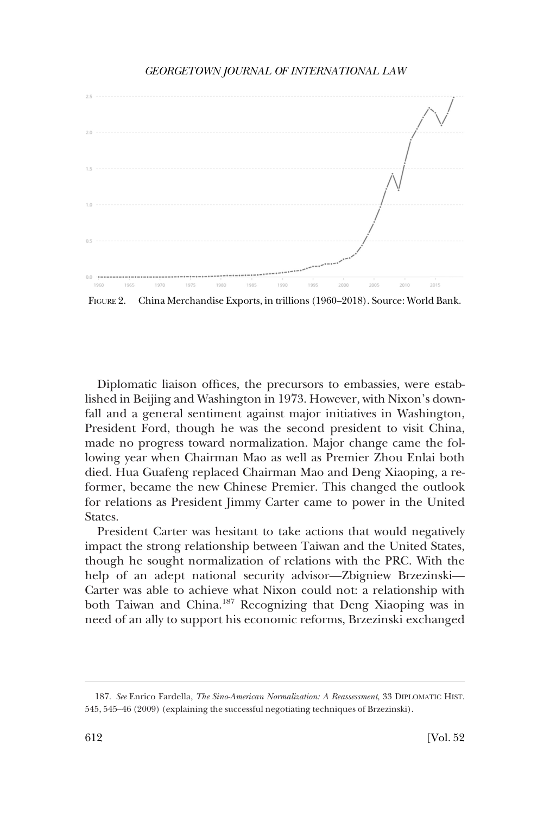<span id="page-37-0"></span>

FIGURE 2. China Merchandise Exports, in trillions (1960–2018). Source: World Bank.

Diplomatic liaison offices, the precursors to embassies, were established in Beijing and Washington in 1973. However, with Nixon's downfall and a general sentiment against major initiatives in Washington, President Ford, though he was the second president to visit China, made no progress toward normalization. Major change came the following year when Chairman Mao as well as Premier Zhou Enlai both died. Hua Guafeng replaced Chairman Mao and Deng Xiaoping, a reformer, became the new Chinese Premier. This changed the outlook for relations as President Jimmy Carter came to power in the United States.

President Carter was hesitant to take actions that would negatively impact the strong relationship between Taiwan and the United States, though he sought normalization of relations with the PRC. With the help of an adept national security advisor—Zbigniew Brzezinski— Carter was able to achieve what Nixon could not: a relationship with both Taiwan and China.187 Recognizing that Deng Xiaoping was in need of an ally to support his economic reforms, Brzezinski exchanged

<sup>187.</sup> *See* Enrico Fardella, *The Sino-American Normalization: A Reassessment*, 33 DIPLOMATIC HIST. 545, 545–46 (2009) (explaining the successful negotiating techniques of Brzezinski).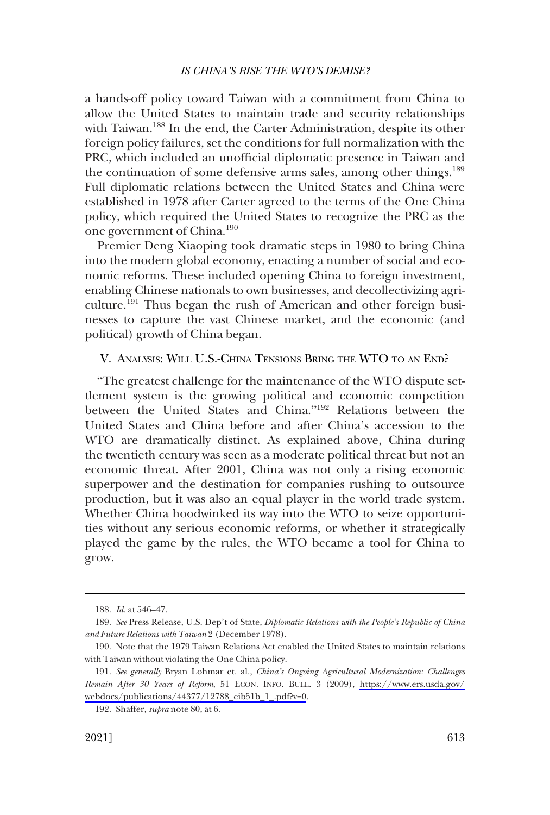<span id="page-38-0"></span>a hands-off policy toward Taiwan with a commitment from China to allow the United States to maintain trade and security relationships with Taiwan.<sup>188</sup> In the end, the Carter Administration, despite its other foreign policy failures, set the conditions for full normalization with the PRC, which included an unofficial diplomatic presence in Taiwan and the continuation of some defensive arms sales, among other things.<sup>189</sup> Full diplomatic relations between the United States and China were established in 1978 after Carter agreed to the terms of the One China policy, which required the United States to recognize the PRC as the one government of China.190

Premier Deng Xiaoping took dramatic steps in 1980 to bring China into the modern global economy, enacting a number of social and economic reforms. These included opening China to foreign investment, enabling Chinese nationals to own businesses, and decollectivizing agriculture.<sup>191</sup> Thus began the rush of American and other foreign businesses to capture the vast Chinese market, and the economic (and political) growth of China began.

# V. ANALYSIS: WILL U.S.-CHINA TENSIONS BRING THE WTO TO AN END?

"The greatest challenge for the maintenance of the WTO dispute settlement system is the growing political and economic competition between the United States and China."192 Relations between the United States and China before and after China's accession to the WTO are dramatically distinct. As explained above, China during the twentieth century was seen as a moderate political threat but not an economic threat. After 2001, China was not only a rising economic superpower and the destination for companies rushing to outsource production, but it was also an equal player in the world trade system. Whether China hoodwinked its way into the WTO to seize opportunities without any serious economic reforms, or whether it strategically played the game by the rules, the WTO became a tool for China to grow.

<sup>188.</sup> *Id.* at 546–47.

<sup>189.</sup> *See* Press Release, U.S. Dep't of State, *Diplomatic Relations with the People's Republic of China and Future Relations with Taiwan* 2 (December 1978).

<sup>190.</sup> Note that the 1979 Taiwan Relations Act enabled the United States to maintain relations with Taiwan without violating the One China policy.

*See generally* Bryan Lohmar et. al., *China's Ongoing Agricultural Modernization: Challenges*  191. *Remain After 30 Years of Reform*, 51 ECON. INFO. BULL. 3 (2009), [https://www.ers.usda.gov/](https://www.ers.usda.gov/webdocs/publications/44377/12788_eib51b_1_.pdf?v=0)  [webdocs/publications/44377/12788\\_eib51b\\_1\\_.pdf?v=0.](https://www.ers.usda.gov/webdocs/publications/44377/12788_eib51b_1_.pdf?v=0)

<sup>192.</sup> Shaffer, *supra* note 80, at 6.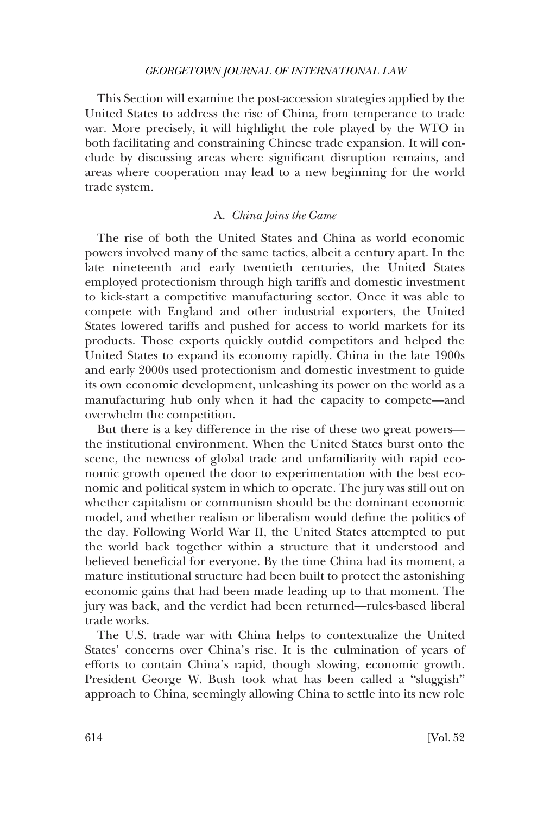<span id="page-39-0"></span>This Section will examine the post-accession strategies applied by the United States to address the rise of China, from temperance to trade war. More precisely, it will highlight the role played by the WTO in both facilitating and constraining Chinese trade expansion. It will conclude by discussing areas where significant disruption remains, and areas where cooperation may lead to a new beginning for the world trade system.

# A. *China Joins the Game*

The rise of both the United States and China as world economic powers involved many of the same tactics, albeit a century apart. In the late nineteenth and early twentieth centuries, the United States employed protectionism through high tariffs and domestic investment to kick-start a competitive manufacturing sector. Once it was able to compete with England and other industrial exporters, the United States lowered tariffs and pushed for access to world markets for its products. Those exports quickly outdid competitors and helped the United States to expand its economy rapidly. China in the late 1900s and early 2000s used protectionism and domestic investment to guide its own economic development, unleashing its power on the world as a manufacturing hub only when it had the capacity to compete—and overwhelm the competition.

But there is a key difference in the rise of these two great powers the institutional environment. When the United States burst onto the scene, the newness of global trade and unfamiliarity with rapid economic growth opened the door to experimentation with the best economic and political system in which to operate. The jury was still out on whether capitalism or communism should be the dominant economic model, and whether realism or liberalism would define the politics of the day. Following World War II, the United States attempted to put the world back together within a structure that it understood and believed beneficial for everyone. By the time China had its moment, a mature institutional structure had been built to protect the astonishing economic gains that had been made leading up to that moment. The jury was back, and the verdict had been returned—rules-based liberal trade works.

The U.S. trade war with China helps to contextualize the United States' concerns over China's rise. It is the culmination of years of efforts to contain China's rapid, though slowing, economic growth. President George W. Bush took what has been called a "sluggish" approach to China, seemingly allowing China to settle into its new role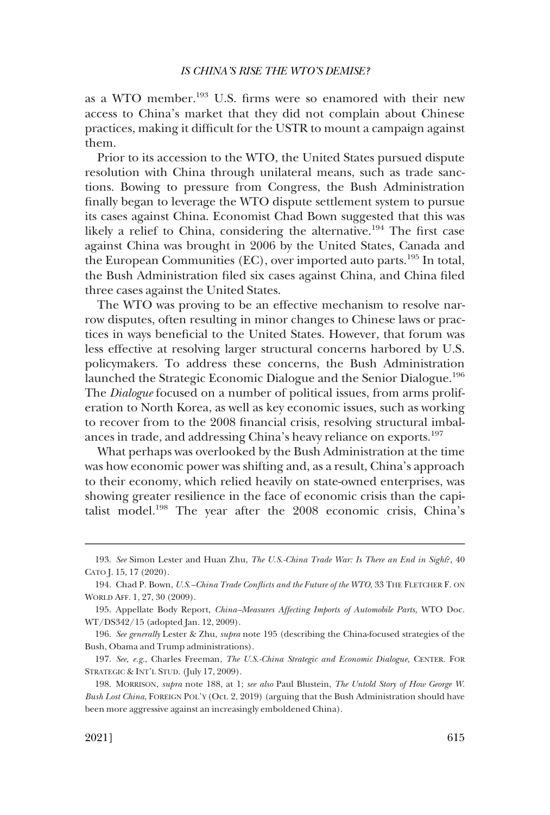as a WTO member.193 U.S. firms were so enamored with their new access to China's market that they did not complain about Chinese practices, making it difficult for the USTR to mount a campaign against them.

Prior to its accession to the WTO, the United States pursued dispute resolution with China through unilateral means, such as trade sanctions. Bowing to pressure from Congress, the Bush Administration finally began to leverage the WTO dispute settlement system to pursue its cases against China. Economist Chad Bown suggested that this was likely a relief to China, considering the alternative.<sup>194</sup> The first case against China was brought in 2006 by the United States, Canada and the European Communities (EC), over imported auto parts.195 In total, the Bush Administration filed six cases against China, and China filed three cases against the United States.

The WTO was proving to be an effective mechanism to resolve narrow disputes, often resulting in minor changes to Chinese laws or practices in ways beneficial to the United States. However, that forum was less effective at resolving larger structural concerns harbored by U.S. policymakers. To address these concerns, the Bush Administration launched the Strategic Economic Dialogue and the Senior Dialogue.<sup>196</sup> The *Dialogue* focused on a number of political issues, from arms proliferation to North Korea, as well as key economic issues, such as working to recover from to the 2008 financial crisis, resolving structural imbalances in trade, and addressing China's heavy reliance on exports.<sup>197</sup>

What perhaps was overlooked by the Bush Administration at the time was how economic power was shifting and, as a result, China's approach to their economy, which relied heavily on state-owned enterprises, was showing greater resilience in the face of economic crisis than the capitalist model.198 The year after the 2008 economic crisis, China's

<sup>193.</sup> *See* Simon Lester and Huan Zhu, *The U.S.-China Trade War: Is There an End in Sight*?, 40 CATO J. 15, 17 (2020).

<sup>194.</sup> Chad P. Bown, *U.S.–China Trade Conflicts and the Future of the WTO*, 33 THE FLETCHER F. ON WORLD AFF. 1, 27, 30 (2009).

<sup>195.</sup> Appellate Body Report, *China–Measures Affecting Imports of Automobile Parts,* WTO Doc. WT/DS342/15 (adopted Jan. 12, 2009).

<sup>196.</sup> *See generally* Lester & Zhu, *supra* note 195 (describing the China-focused strategies of the Bush, Obama and Trump administrations).

<sup>197.</sup> *See, e.g.*, Charles Freeman, *The U.S.-China Strategic and Economic Dialogue,* CENTER. FOR STRATEGIC & INT'L STUD. (July 17, 2009).

<sup>198.</sup> MORRISON, *supra* note 188, at 1; *see also* Paul Blustein, *The Untold Story of How George W. Bush Lost China*, FOREIGN POL'Y (Oct. 2, 2019) (arguing that the Bush Administration should have been more aggressive against an increasingly emboldened China).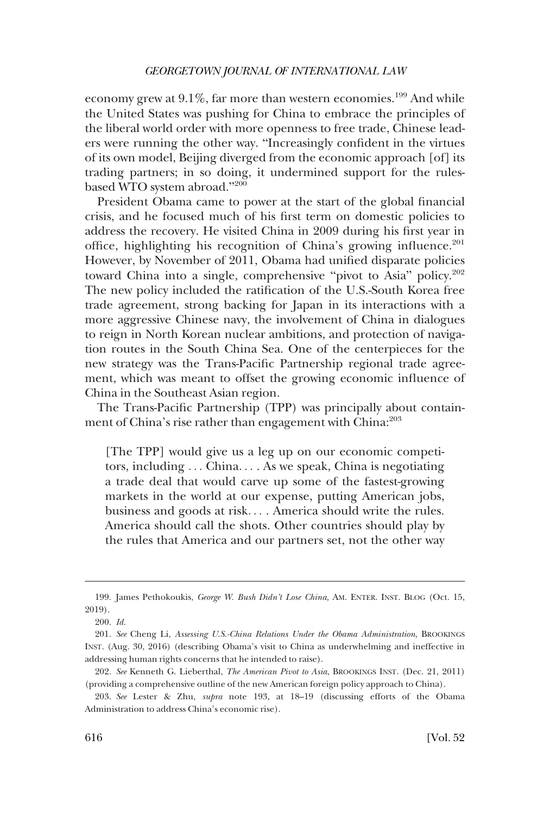economy grew at  $9.1\%$ , far more than western economies.<sup>199</sup> And while the United States was pushing for China to embrace the principles of the liberal world order with more openness to free trade, Chinese leaders were running the other way. "Increasingly confident in the virtues of its own model, Beijing diverged from the economic approach [of] its trading partners; in so doing, it undermined support for the rulesbased WTO system abroad."<sup>200</sup>

President Obama came to power at the start of the global financial crisis, and he focused much of his first term on domestic policies to address the recovery. He visited China in 2009 during his first year in office, highlighting his recognition of China's growing influence. $201$ However, by November of 2011, Obama had unified disparate policies toward China into a single, comprehensive "pivot to Asia" policy.<sup>202</sup> The new policy included the ratification of the U.S.-South Korea free trade agreement, strong backing for Japan in its interactions with a more aggressive Chinese navy, the involvement of China in dialogues to reign in North Korean nuclear ambitions, and protection of navigation routes in the South China Sea. One of the centerpieces for the new strategy was the Trans-Pacific Partnership regional trade agreement, which was meant to offset the growing economic influence of China in the Southeast Asian region.

The Trans-Pacific Partnership (TPP) was principally about containment of China's rise rather than engagement with China:<sup>203</sup>

[The TPP] would give us a leg up on our economic competitors, including . . . China. . . . As we speak, China is negotiating a trade deal that would carve up some of the fastest-growing markets in the world at our expense, putting American jobs, business and goods at risk. . . . America should write the rules. America should call the shots. Other countries should play by the rules that America and our partners set, not the other way

<sup>199.</sup> James Pethokoukis, *George W. Bush Didn't Lose China,* AM. ENTER. INST. BLOG (Oct. 15, 2019).

<sup>200.</sup> *Id.* 

<sup>201.</sup> *See* Cheng Li, *Assessing U.S.-China Relations Under the Obama Administration*, BROOKINGS INST. (Aug. 30, 2016) (describing Obama's visit to China as underwhelming and ineffective in addressing human rights concerns that he intended to raise).

<sup>202.</sup> *See* Kenneth G. Lieberthal, *The American Pivot to Asia*, BROOKINGS INST. (Dec. 21, 2011) (providing a comprehensive outline of the new American foreign policy approach to China).

<sup>203.</sup> *See* Lester & Zhu, *supra* note 193, at 18–19 (discussing efforts of the Obama Administration to address China's economic rise).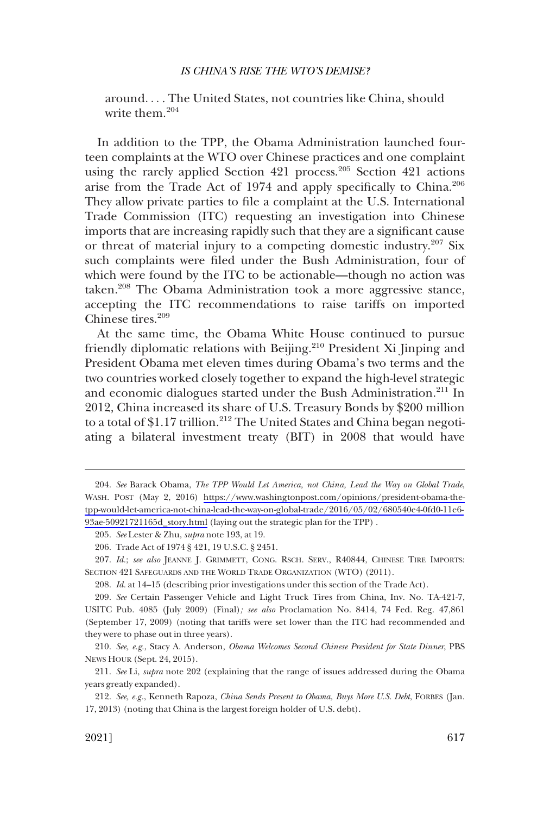around. . . . The United States, not countries like China, should write them.<sup>204</sup>

In addition to the TPP, the Obama Administration launched fourteen complaints at the WTO over Chinese practices and one complaint using the rarely applied Section 421 process.<sup>205</sup> Section 421 actions arise from the Trade Act of 1974 and apply specifically to China.<sup>206</sup> They allow private parties to file a complaint at the U.S. International Trade Commission (ITC) requesting an investigation into Chinese imports that are increasing rapidly such that they are a significant cause or threat of material injury to a competing domestic industry.<sup>207</sup> Six such complaints were filed under the Bush Administration, four of which were found by the ITC to be actionable—though no action was taken.208 The Obama Administration took a more aggressive stance, accepting the ITC recommendations to raise tariffs on imported Chinese tires.<sup>209</sup>

At the same time, the Obama White House continued to pursue friendly diplomatic relations with Beijing.210 President Xi Jinping and President Obama met eleven times during Obama's two terms and the two countries worked closely together to expand the high-level strategic and economic dialogues started under the Bush Administration.<sup>211</sup> In 2012, China increased its share of U.S. Treasury Bonds by \$200 million to a total of \$1.17 trillion.<sup>212</sup> The United States and China began negotiating a bilateral investment treaty (BIT) in 2008 that would have

207. *Id.*; *see also* JEANNE J. GRIMMETT, CONG. RSCH. SERV., R40844, CHINESE TIRE IMPORTS: SECTION 421 SAFEGUARDS AND THE WORLD TRADE ORGANIZATION (WTO) (2011).

*See* Barack Obama, *The TPP Would Let America, not China, Lead the Way on Global Trade*, 204. WASH. POST (May 2, 2016) [https://www.washingtonpost.com/opinions/president-obama-the](https://www.washingtonpost.com/opinions/president-obama-the-tpp-would-let-america-not-china-lead-the-way-on-global-trade/2016/05/02/680540e4-0fd0-11e6-93ae-50921721165d_story.html)[tpp-would-let-america-not-china-lead-the-way-on-global-trade/2016/05/02/680540e4-0fd0-11e6-](https://www.washingtonpost.com/opinions/president-obama-the-tpp-would-let-america-not-china-lead-the-way-on-global-trade/2016/05/02/680540e4-0fd0-11e6-93ae-50921721165d_story.html) [93ae-50921721165d\\_story.html](https://www.washingtonpost.com/opinions/president-obama-the-tpp-would-let-america-not-china-lead-the-way-on-global-trade/2016/05/02/680540e4-0fd0-11e6-93ae-50921721165d_story.html) (laying out the strategic plan for the TPP) .

<sup>205.</sup> *See* Lester & Zhu, *supra* note 193, at 19.

<sup>206.</sup> Trade Act of 1974 § 421, 19 U.S.C. § 2451.

<sup>208.</sup> *Id.* at 14–15 (describing prior investigations under this section of the Trade Act).

<sup>209.</sup> *See* Certain Passenger Vehicle and Light Truck Tires from China, Inv. No. TA-421-7, USITC Pub. 4085 (July 2009) (Final)*; see also* Proclamation No. 8414, 74 Fed. Reg. 47,861 (September 17, 2009) (noting that tariffs were set lower than the ITC had recommended and they were to phase out in three years).

<sup>210.</sup> *See, e.g.*, Stacy A. Anderson, *Obama Welcomes Second Chinese President for State Dinner*, PBS NEWS HOUR (Sept. 24, 2015).

<sup>211.</sup> *See* Li, *supra* note 202 (explaining that the range of issues addressed during the Obama years greatly expanded).

<sup>212.</sup> *See, e.g.*, Kenneth Rapoza, *China Sends Present to Obama, Buys More U.S. Debt*, FORBES (Jan. 17, 2013) (noting that China is the largest foreign holder of U.S. debt).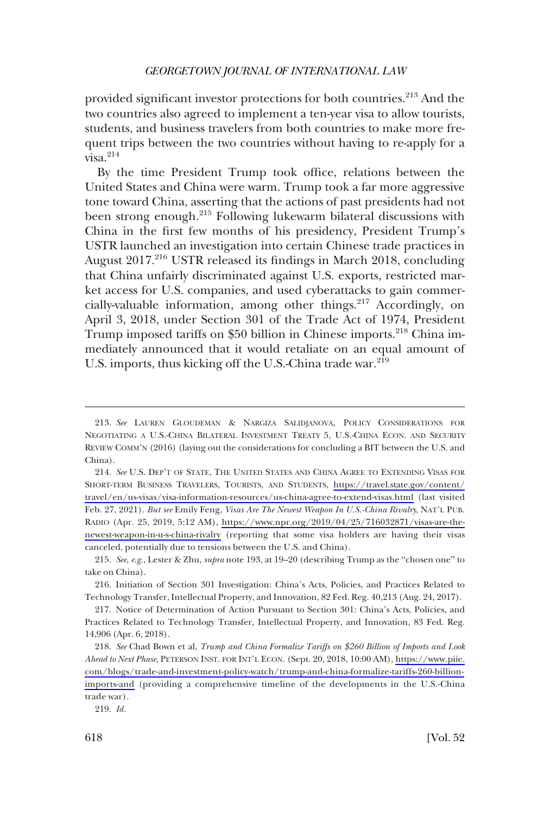provided significant investor protections for both countries.213 And the two countries also agreed to implement a ten-year visa to allow tourists, students, and business travelers from both countries to make more frequent trips between the two countries without having to re-apply for a  $visa.<sup>214</sup>$ 

By the time President Trump took office, relations between the United States and China were warm. Trump took a far more aggressive tone toward China, asserting that the actions of past presidents had not been strong enough.215 Following lukewarm bilateral discussions with China in the first few months of his presidency, President Trump's USTR launched an investigation into certain Chinese trade practices in August 2017<sup>216</sup> USTR released its findings in March 2018, concluding that China unfairly discriminated against U.S. exports, restricted market access for U.S. companies, and used cyberattacks to gain commercially-valuable information, among other things.<sup>217</sup> Accordingly, on April 3, 2018, under Section 301 of the Trade Act of 1974, President Trump imposed tariffs on \$50 billion in Chinese imports.<sup>218</sup> China immediately announced that it would retaliate on an equal amount of U.S. imports, thus kicking off the U.S.-China trade war.<sup>219</sup>

<sup>213.</sup> *See* LAUREN GLOUDEMAN & NARGIZA SALIDJANOVA, POLICY CONSIDERATIONS FOR NEGOTIATING A U.S.-CHINA BILATERAL INVESTMENT TREATY 5, U.S.-CHINA ECON. AND SECURITY REVIEW COMM'N (2016) (laying out the considerations for concluding a BIT between the U.S. and China).

<sup>214.</sup> See U.S. DEP'T OF STATE, THE UNITED STATES AND CHINA AGREE TO EXTENDING VISAS FOR SHORT-TERM BUSINESS TRAVELERS, TOURISTS, AND STUDENTS, [https://travel.state.gov/content/](https://travel.state.gov/content/travel/en/us-visas/visa-information-resources/us-china-agree-to-extend-visas.html) [travel/en/us-visas/visa-information-resources/us-china-agree-to-extend-visas.html](https://travel.state.gov/content/travel/en/us-visas/visa-information-resources/us-china-agree-to-extend-visas.html) (last visited Feb. 27, 2021). *But see* Emily Feng, *Visas Are The Newest Weapon In U.S.-China Rivalry*, NAT'L PUB. RADIO (Apr. 25, 2019, 5:12 AM), [https://www.npr.org/2019/04/25/716032871/visas-are-the](https://www.npr.org/2019/04/25/716032871/visas-are-the-newest-weapon-in-u-s-china-rivalry)[newest-weapon-in-u-s-china-rivalry](https://www.npr.org/2019/04/25/716032871/visas-are-the-newest-weapon-in-u-s-china-rivalry) (reporting that some visa holders are having their visas canceled, potentially due to tensions between the U.S. and China).

<sup>215.</sup> *See, e.g.*, Lester & Zhu, *supra* note 193, at 19–20 (describing Trump as the "chosen one" to take on China).

<sup>216.</sup> Initiation of Section 301 Investigation: China's Acts, Policies, and Practices Related to Technology Transfer, Intellectual Property, and Innovation, 82 Fed. Reg. 40,213 (Aug. 24, 2017).

<sup>217.</sup> Notice of Determination of Action Pursuant to Section 301: China's Acts, Policies, and Practices Related to Technology Transfer, Intellectual Property, and Innovation, 83 Fed. Reg. 14,906 (Apr. 6, 2018).

*See* Chad Bown et al, *Trump and China Formalize Tariffs on \$260 Billion of Imports and Look*  218. *Ahead to Next Phase*, PETERSON INST. FOR INT'L ECON. (Sept. 20, 2018, 10:00 AM), [https://www.piie.](https://www.piie.com/blogs/trade-and-investment-policy-watch/trump-and-china-formalize-tariffs-260-billion-imports-and) [com/blogs/trade-and-investment-policy-watch/trump-and-china-formalize-tariffs-260-billion](https://www.piie.com/blogs/trade-and-investment-policy-watch/trump-and-china-formalize-tariffs-260-billion-imports-and)[imports-and](https://www.piie.com/blogs/trade-and-investment-policy-watch/trump-and-china-formalize-tariffs-260-billion-imports-and) (providing a comprehensive timeline of the developments in the U.S.-China trade war).

<sup>219.</sup> *Id.*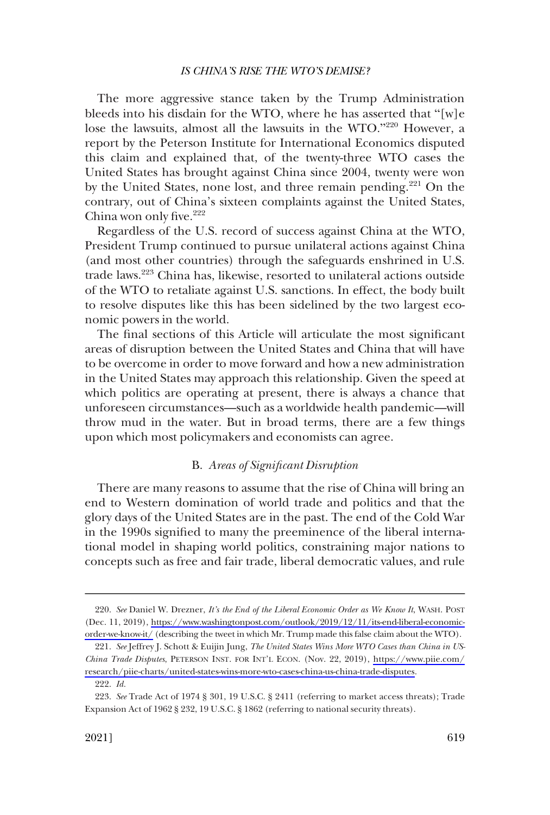<span id="page-44-0"></span>The more aggressive stance taken by the Trump Administration bleeds into his disdain for the WTO, where he has asserted that "[w]e lose the lawsuits, almost all the lawsuits in the WTO."<sup>220</sup> However, a report by the Peterson Institute for International Economics disputed this claim and explained that, of the twenty-three WTO cases the United States has brought against China since 2004, twenty were won by the United States, none lost, and three remain pending.<sup>221</sup> On the contrary, out of China's sixteen complaints against the United States, China won only five.<sup>222</sup>

Regardless of the U.S. record of success against China at the WTO, President Trump continued to pursue unilateral actions against China (and most other countries) through the safeguards enshrined in U.S. trade laws.223 China has, likewise, resorted to unilateral actions outside of the WTO to retaliate against U.S. sanctions. In effect, the body built to resolve disputes like this has been sidelined by the two largest economic powers in the world.

The final sections of this Article will articulate the most significant areas of disruption between the United States and China that will have to be overcome in order to move forward and how a new administration in the United States may approach this relationship. Given the speed at which politics are operating at present, there is always a chance that unforeseen circumstances—such as a worldwide health pandemic—will throw mud in the water. But in broad terms, there are a few things upon which most policymakers and economists can agree.

# B. *Areas of Significant Disruption*

There are many reasons to assume that the rise of China will bring an end to Western domination of world trade and politics and that the glory days of the United States are in the past. The end of the Cold War in the 1990s signified to many the preeminence of the liberal international model in shaping world politics, constraining major nations to concepts such as free and fair trade, liberal democratic values, and rule

*See* Daniel W. Drezner, *It's the End of the Liberal Economic Order as We Know It*, WASH. POST 220. (Dec. 11, 2019), [https://www.washingtonpost.com/outlook/2019/12/11/its-end-liberal-economic](https://www.washingtonpost.com/outlook/2019/12/11/its-end-liberal-economic-order-we-know-it/)[order-we-know-it/](https://www.washingtonpost.com/outlook/2019/12/11/its-end-liberal-economic-order-we-know-it/) (describing the tweet in which Mr. Trump made this false claim about the WTO).

*See* Jeffrey J. Schott & Euijin Jung, *The United States Wins More WTO Cases than China in US-*221. *China Trade Disputes*, PETERSON INST. FOR INT'L ECON. (Nov. 22, 2019), [https://www.piie.com/](https://www.piie.com/research/piie-charts/united-states-wins-more-wto-cases-china-us-china-trade-disputes) [research/piie-charts/united-states-wins-more-wto-cases-china-us-china-trade-disputes.](https://www.piie.com/research/piie-charts/united-states-wins-more-wto-cases-china-us-china-trade-disputes) 222. *Id.* 

<sup>223.</sup> *See* Trade Act of 1974 § 301, 19 U.S.C. § 2411 (referring to market access threats); Trade Expansion Act of 1962 § 232, 19 U.S.C. § 1862 (referring to national security threats).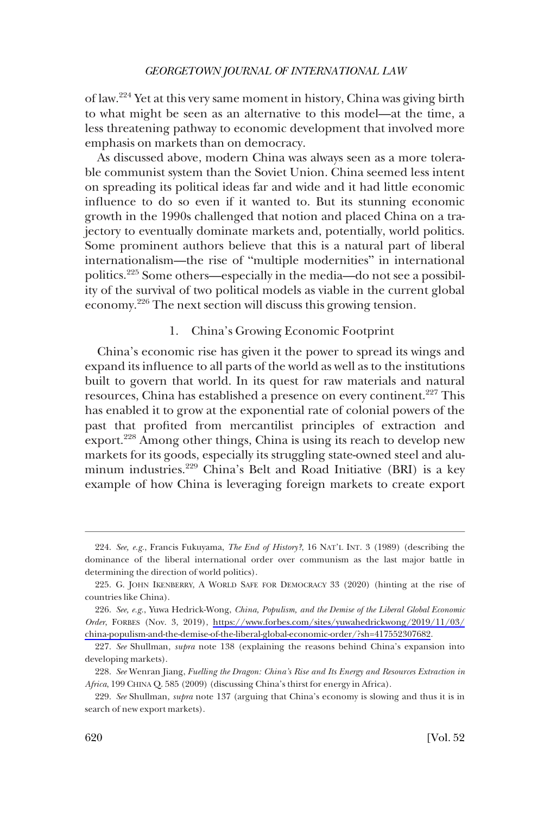<span id="page-45-0"></span>of law.224 Yet at this very same moment in history, China was giving birth to what might be seen as an alternative to this model—at the time, a less threatening pathway to economic development that involved more emphasis on markets than on democracy.

As discussed above, modern China was always seen as a more tolerable communist system than the Soviet Union. China seemed less intent on spreading its political ideas far and wide and it had little economic influence to do so even if it wanted to. But its stunning economic growth in the 1990s challenged that notion and placed China on a trajectory to eventually dominate markets and, potentially, world politics. Some prominent authors believe that this is a natural part of liberal internationalism—the rise of "multiple modernities" in international politics.225 Some others—especially in the media—do not see a possibility of the survival of two political models as viable in the current global economy.<sup>226</sup> The next section will discuss this growing tension.

# 1. China's Growing Economic Footprint

China's economic rise has given it the power to spread its wings and expand its influence to all parts of the world as well as to the institutions built to govern that world. In its quest for raw materials and natural resources, China has established a presence on every continent.<sup>227</sup> This has enabled it to grow at the exponential rate of colonial powers of the past that profited from mercantilist principles of extraction and export.228 Among other things, China is using its reach to develop new markets for its goods, especially its struggling state-owned steel and aluminum industries.229 China's Belt and Road Initiative (BRI) is a key example of how China is leveraging foreign markets to create export

<sup>224.</sup> *See, e.g.*, Francis Fukuyama, *The End of History?*, 16 NAT'L INT. 3 (1989) (describing the dominance of the liberal international order over communism as the last major battle in determining the direction of world politics).

<sup>225.</sup> G. JOHN IKENBERRY, A WORLD SAFE FOR DEMOCRACY 33 (2020) (hinting at the rise of countries like China).

*See, e.g.*, Yuwa Hedrick-Wong, *China, Populism, and the Demise of the Liberal Global Economic*  226. *Order*, FORBES (Nov. 3, 2019), [https://www.forbes.com/sites/yuwahedrickwong/2019/11/03/](https://www.forbes.com/sites/yuwahedrickwong/2019/11/03/china-populism-and-the-demise-of-the-liberal-global-economic-order/?sh=417552307682) [china-populism-and-the-demise-of-the-liberal-global-economic-order/?sh=417552307682.](https://www.forbes.com/sites/yuwahedrickwong/2019/11/03/china-populism-and-the-demise-of-the-liberal-global-economic-order/?sh=417552307682)

<sup>227.</sup> *See* Shullman, *supra* note 138 (explaining the reasons behind China's expansion into developing markets).

<sup>228.</sup> *See* Wenran Jiang, *Fuelling the Dragon: China's Rise and Its Energy and Resources Extraction in Africa*, 199 CHINA Q. 585 (2009) (discussing China's thirst for energy in Africa).

<sup>229.</sup> *See* Shullman, *supra* note 137 (arguing that China's economy is slowing and thus it is in search of new export markets).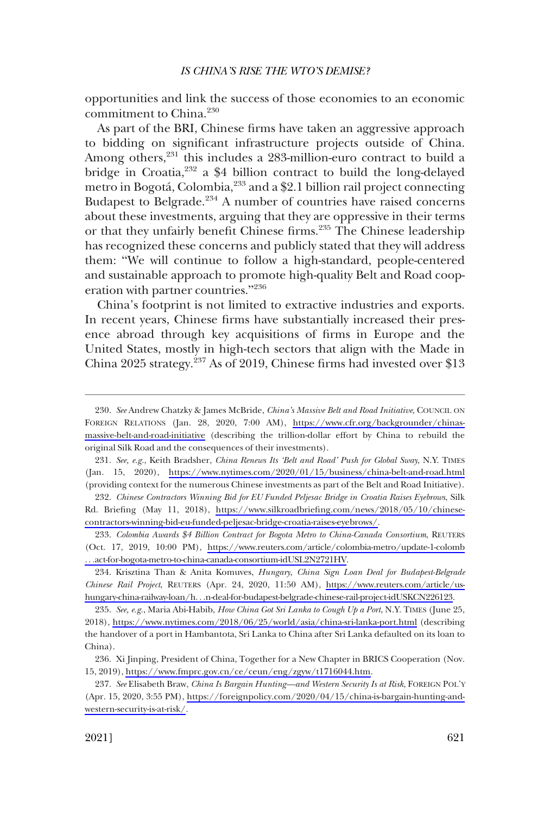opportunities and link the success of those economies to an economic commitment to China.230

As part of the BRI, Chinese firms have taken an aggressive approach to bidding on significant infrastructure projects outside of China. Among others,<sup>231</sup> this includes a 283-million-euro contract to build a bridge in Croatia,<sup>232</sup> a \$4 billion contract to build the long-delayed metro in Bogotá, Colombia, <sup>233</sup> and a \$2.1 billion rail project connecting Budapest to Belgrade.<sup>234</sup> A number of countries have raised concerns about these investments, arguing that they are oppressive in their terms or that they unfairly benefit Chinese firms.<sup>235</sup> The Chinese leadership has recognized these concerns and publicly stated that they will address them: "We will continue to follow a high-standard, people-centered and sustainable approach to promote high-quality Belt and Road cooperation with partner countries."<sup>236</sup>

China's footprint is not limited to extractive industries and exports. In recent years, Chinese firms have substantially increased their presence abroad through key acquisitions of firms in Europe and the United States, mostly in high-tech sectors that align with the Made in China 2025 strategy.<sup>237</sup> As of 2019, Chinese firms had invested over \$13

*See, e.g.*, Keith Bradsher, *China Renews Its 'Belt and Road' Push for Global Sway*, N.Y. TIMES 231. (Jan. 15, 2020), <https://www.nytimes.com/2020/01/15/business/china-belt-and-road.html> (providing context for the numerous Chinese investments as part of the Belt and Road Initiative).

*Chinese Contractors Winning Bid for EU Funded Peljesac Bridge in Croatia Raises Eyebrows*, Silk 232. Rd. Briefing (May 11, 2018), [https://www.silkroadbriefing.com/news/2018/05/10/chinese](https://www.silkroadbriefing.com/news/2018/05/10/chinese-contractors-winning-bid-eu-funded-peljesac-bridge-croatia-raises-eyebrows/)[contractors-winning-bid-eu-funded-peljesac-bridge-croatia-raises-eyebrows/.](https://www.silkroadbriefing.com/news/2018/05/10/chinese-contractors-winning-bid-eu-funded-peljesac-bridge-croatia-raises-eyebrows/)

*Colombia Awards \$4 Billion Contract for Bogota Metro to China-Canada Consortium*, REUTERS 233. (Oct. 17, 2019, 10:00 PM), [https://www.reuters.com/article/colombia-metro/update-1-colomb](https://www.reuters.com/article/colombia-metro/update-1-colomb...act-for-bogota-metro-to-china-canada-consortium-idUSL2N2721HV)  . . .[act-for-bogota-metro-to-china-canada-consortium-idUSL2N2721HV](https://www.reuters.com/article/colombia-metro/update-1-colomb...act-for-bogota-metro-to-china-canada-consortium-idUSL2N2721HV).

234. Krisztina Than & Anita Komuves, *Hungary, China Sign Loan Deal for Budapest-Belgrade Chinese Rail Project*, REUTERS (Apr. 24, 2020, 11:50 AM), [https://www.reuters.com/article/us](https://www.reuters.com/article/us-hungary-china-railway-loan/h...n-deal-for-budapest-belgrade-chinese-rail-project-idUSKCN226123)hungary-china-railway-loan/h. . .[n-deal-for-budapest-belgrade-chinese-rail-project-idUSKCN226123](https://www.reuters.com/article/us-hungary-china-railway-loan/h...n-deal-for-budapest-belgrade-chinese-rail-project-idUSKCN226123).

*See, e.g.*, Maria Abi-Habib, *How China Got Sri Lanka to Cough Up a Port*, N.Y. TIMES (June 25, 235. 2018), <https://www.nytimes.com/2018/06/25/world/asia/china-sri-lanka-port.html>(describing the handover of a port in Hambantota, Sri Lanka to China after Sri Lanka defaulted on its loan to China).

236. Xi Jinping, President of China, Together for a New Chapter in BRICS Cooperation (Nov. 15, 2019), [https://www.fmprc.gov.cn/ce/ceun/eng/zgyw/t1716044.htm.](https://www.fmprc.gov.cn/ce/ceun/eng/zgyw/t1716044.htm)

*See* Elisabeth Braw, *China Is Bargain Hunting—and Western Security Is at Risk*, FOREIGN POL'Y 237. (Apr. 15, 2020, 3:55 PM), [https://foreignpolicy.com/2020/04/15/china-is-bargain-hunting-and](https://foreignpolicy.com/2020/04/15/china-is-bargain-hunting-and-western-security-is-at-risk/)[western-security-is-at-risk/](https://foreignpolicy.com/2020/04/15/china-is-bargain-hunting-and-western-security-is-at-risk/).

*See* Andrew Chatzky & James McBride, *China's Massive Belt and Road Initiative*, COUNCIL ON 230. FOREIGN RELATIONS (Jan. 28, 2020, 7:00 AM), [https://www.cfr.org/backgrounder/chinas](https://www.cfr.org/backgrounder/chinas-massive-belt-and-road-initiative)[massive-belt-and-road-initiative](https://www.cfr.org/backgrounder/chinas-massive-belt-and-road-initiative) (describing the trillion-dollar effort by China to rebuild the original Silk Road and the consequences of their investments).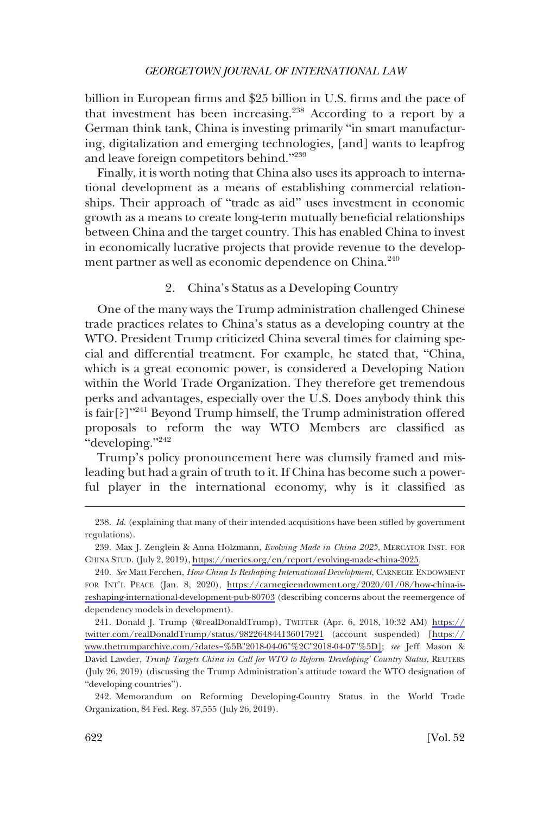<span id="page-47-0"></span>billion in European firms and \$25 billion in U.S. firms and the pace of that investment has been increasing.238 According to a report by a German think tank, China is investing primarily "in smart manufacturing, digitalization and emerging technologies, [and] wants to leapfrog and leave foreign competitors behind."<sup>239</sup>

Finally, it is worth noting that China also uses its approach to international development as a means of establishing commercial relationships. Their approach of "trade as aid" uses investment in economic growth as a means to create long-term mutually beneficial relationships between China and the target country. This has enabled China to invest in economically lucrative projects that provide revenue to the development partner as well as economic dependence on China.<sup>240</sup>

2. China's Status as a Developing Country

One of the many ways the Trump administration challenged Chinese trade practices relates to China's status as a developing country at the WTO. President Trump criticized China several times for claiming special and differential treatment. For example, he stated that, "China, which is a great economic power, is considered a Developing Nation within the World Trade Organization. They therefore get tremendous perks and advantages, especially over the U.S. Does anybody think this is fair<sup>[?]"241</sup> Beyond Trump himself, the Trump administration offered proposals to reform the way WTO Members are classified as "developing."<sup>242</sup>

Trump's policy pronouncement here was clumsily framed and misleading but had a grain of truth to it. If China has become such a powerful player in the international economy, why is it classified as

<sup>238.</sup> *Id.* (explaining that many of their intended acquisitions have been stifled by government regulations).

<sup>239.</sup> Max J. Zenglein & Anna Holzmann, *Evolving Made in China 2025*, MERCATOR INST. FOR CHINA STUD. (July 2, 2019),<https://merics.org/en/report/evolving-made-china-2025>.

*See* Matt Ferchen, *How China Is Reshaping International Development*, CARNEGIE ENDOWMENT 240. FOR INT'L PEACE (Jan. 8, 2020), [https://carnegieendowment.org/2020/01/08/how-china-is](https://carnegieendowment.org/2020/01/08/how-china-is-reshaping-international-development-pub-80703)[reshaping-international-development-pub-80703](https://carnegieendowment.org/2020/01/08/how-china-is-reshaping-international-development-pub-80703) (describing concerns about the reemergence of dependency models in development).

<sup>241.</sup> Donald J. Trump (@realDonaldTrump), TWITTER (Apr. 6, 2018, 10:32 AM) [https://](https://twitter.com/realDonaldTrump/status/982264844136017921) [twitter.com/realDonaldTrump/status/982264844136017921](https://twitter.com/realDonaldTrump/status/982264844136017921) (account suspended) [\[https://](https://www.thetrumparchive.com/?dates=%5B"2018-04-06"%2C"2018-04-07"%5D) [www.thetrumparchive.com/?dates=%5B"2018-04-06"%2C"2018-04-07"%5D\]](https://www.thetrumparchive.com/?dates=%5B"2018-04-06"%2C"2018-04-07"%5D); *see* Jeff Mason & David Lawder, *Trump Targets China in Call for WTO to Reform 'Developing' Country Status*, REUTERS (July 26, 2019) (discussing the Trump Administration's attitude toward the WTO designation of "developing countries").

<sup>242.</sup> Memorandum on Reforming Developing-Country Status in the World Trade Organization, 84 Fed. Reg. 37,555 (July 26, 2019).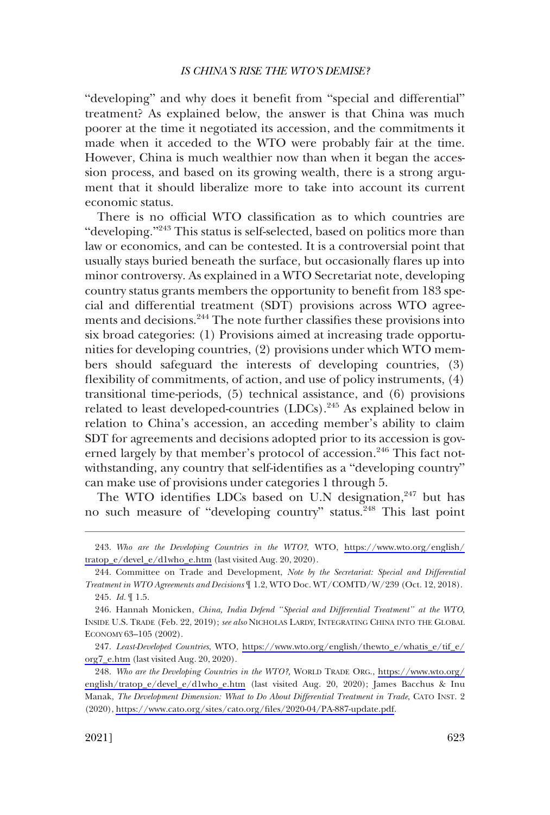"developing" and why does it benefit from "special and differential" treatment? As explained below, the answer is that China was much poorer at the time it negotiated its accession, and the commitments it made when it acceded to the WTO were probably fair at the time. However, China is much wealthier now than when it began the accession process, and based on its growing wealth, there is a strong argument that it should liberalize more to take into account its current economic status.

There is no official WTO classification as to which countries are "developing."<sup>243</sup> This status is self-selected, based on politics more than law or economics, and can be contested. It is a controversial point that usually stays buried beneath the surface, but occasionally flares up into minor controversy. As explained in a WTO Secretariat note, developing country status grants members the opportunity to benefit from 183 special and differential treatment (SDT) provisions across WTO agreements and decisions.<sup>244</sup> The note further classifies these provisions into six broad categories: (1) Provisions aimed at increasing trade opportunities for developing countries, (2) provisions under which WTO members should safeguard the interests of developing countries, (3) flexibility of commitments, of action, and use of policy instruments, (4) transitional time-periods, (5) technical assistance, and (6) provisions related to least developed-countries (LDCs).<sup>245</sup> As explained below in relation to China's accession, an acceding member's ability to claim SDT for agreements and decisions adopted prior to its accession is governed largely by that member's protocol of accession.<sup>246</sup> This fact notwithstanding, any country that self-identifies as a "developing country" can make use of provisions under categories 1 through 5.

The WTO identifies LDCs based on U.N designation,<sup>247</sup> but has no such measure of "developing country" status.<sup>248</sup> This last point

*Who are the Developing Countries in the WTO?*, WTO, [https://www.wto.org/english/](https://www.wto.org/english/tratop_e/devel_e/d1who_e.htm) 243. [tratop\\_e/devel\\_e/d1who\\_e.htm](https://www.wto.org/english/tratop_e/devel_e/d1who_e.htm) (last visited Aug. 20, 2020).

<sup>244.</sup> Committee on Trade and Development, *Note by the Secretariat: Special and Differential Treatment in WTO Agreements and Decisions* ¶ 1.2, WTO Doc. WT/COMTD/W/239 (Oct. 12, 2018). 245. *Id.* ¶ 1.5.

<sup>246.</sup> Hannah Monicken, *China, India Defend "Special and Differential Treatment" at the WTO*, INSIDE U.S. TRADE (Feb. 22, 2019); *see also* NICHOLAS LARDY, INTEGRATING CHINA INTO THE GLOBAL ECONOMY 63–105 (2002).

*Least-Developed Countries*, WTO, [https://www.wto.org/english/thewto\\_e/whatis\\_e/tif\\_e/](https://www.wto.org/english/thewto_e/whatis_e/tif_e/org7_e.htm) 247. [org7\\_e.htm](https://www.wto.org/english/thewto_e/whatis_e/tif_e/org7_e.htm) (last visited Aug. 20, 2020).

*Who are the Developing Countries in the WTO?,* WORLD TRADE ORG., [https://www.wto.org/](https://www.wto.org/english/tratop_e/devel_e/d1who_e.htm)  248. [english/tratop\\_e/devel\\_e/d1who\\_e.htm](https://www.wto.org/english/tratop_e/devel_e/d1who_e.htm) (last visited Aug. 20, 2020); James Bacchus & Inu Manak, *The Development Dimension: What to Do About Differential Treatment in Trade*, CATO INST. 2 (2020), [https://www.cato.org/sites/cato.org/files/2020-04/PA-887-update.pdf.](https://www.cato.org/sites/cato.org/files/2020-04/PA-887-update.pdf)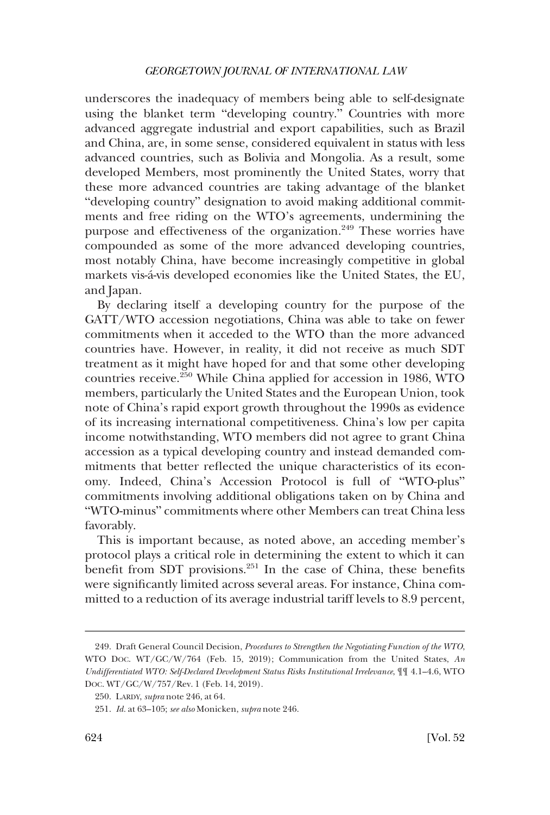underscores the inadequacy of members being able to self-designate using the blanket term "developing country." Countries with more advanced aggregate industrial and export capabilities, such as Brazil and China, are, in some sense, considered equivalent in status with less advanced countries, such as Bolivia and Mongolia. As a result, some developed Members, most prominently the United States, worry that these more advanced countries are taking advantage of the blanket "developing country" designation to avoid making additional commitments and free riding on the WTO's agreements, undermining the purpose and effectiveness of the organization.<sup>249</sup> These worries have compounded as some of the more advanced developing countries, most notably China, have become increasingly competitive in global markets vis-á-vis developed economies like the United States, the EU, and Japan.

By declaring itself a developing country for the purpose of the GATT/WTO accession negotiations, China was able to take on fewer commitments when it acceded to the WTO than the more advanced countries have. However, in reality, it did not receive as much SDT treatment as it might have hoped for and that some other developing countries receive.250 While China applied for accession in 1986, WTO members, particularly the United States and the European Union, took note of China's rapid export growth throughout the 1990s as evidence of its increasing international competitiveness. China's low per capita income notwithstanding, WTO members did not agree to grant China accession as a typical developing country and instead demanded commitments that better reflected the unique characteristics of its economy. Indeed, China's Accession Protocol is full of "WTO-plus" commitments involving additional obligations taken on by China and "WTO-minus" commitments where other Members can treat China less favorably.

This is important because, as noted above, an acceding member's protocol plays a critical role in determining the extent to which it can benefit from SDT provisions.<sup>251</sup> In the case of China, these benefits were significantly limited across several areas. For instance, China committed to a reduction of its average industrial tariff levels to 8.9 percent,

<sup>249.</sup> Draft General Council Decision, *Procedures to Strengthen the Negotiating Function of the WTO*, WTO DOC. WT/GC/W/764 (Feb. 15, 2019); Communication from the United States, *An Undifferentiated WTO: Self-Declared Development Status Risks Institutional Irrelevance*, ¶¶ 4.1–4.6, WTO DOC. WT/GC/W/757/Rev. 1 (Feb. 14, 2019).

<sup>250.</sup> LARDY, *supra* note 246, at 64.

<sup>251.</sup> *Id.* at 63–105; *see also* Monicken, *supra* note 246.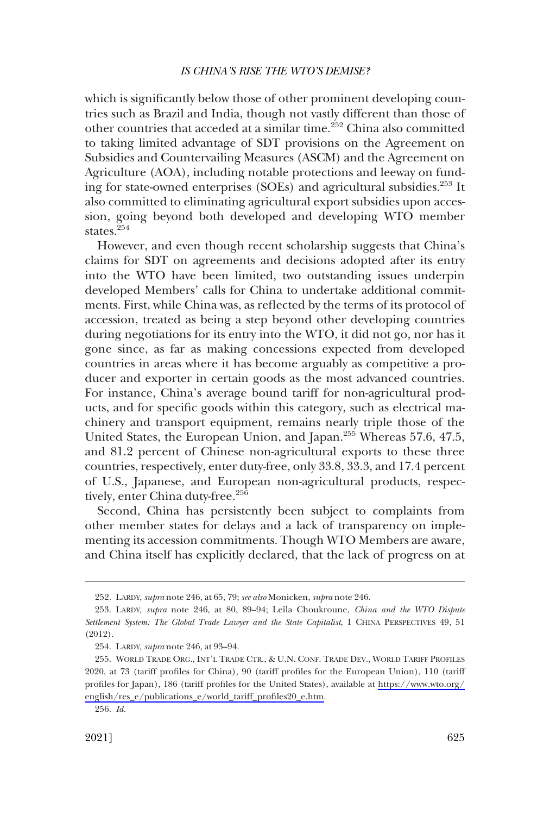which is significantly below those of other prominent developing countries such as Brazil and India, though not vastly different than those of other countries that acceded at a similar time.<sup>252</sup> China also committed to taking limited advantage of SDT provisions on the Agreement on Subsidies and Countervailing Measures (ASCM) and the Agreement on Agriculture (AOA), including notable protections and leeway on funding for state-owned enterprises (SOEs) and agricultural subsidies.<sup>253</sup> It also committed to eliminating agricultural export subsidies upon accession, going beyond both developed and developing WTO member states.<sup>254</sup>

However, and even though recent scholarship suggests that China's claims for SDT on agreements and decisions adopted after its entry into the WTO have been limited, two outstanding issues underpin developed Members' calls for China to undertake additional commitments. First, while China was, as reflected by the terms of its protocol of accession, treated as being a step beyond other developing countries during negotiations for its entry into the WTO, it did not go, nor has it gone since, as far as making concessions expected from developed countries in areas where it has become arguably as competitive a producer and exporter in certain goods as the most advanced countries. For instance, China's average bound tariff for non-agricultural products, and for specific goods within this category, such as electrical machinery and transport equipment, remains nearly triple those of the United States, the European Union, and Japan.<sup>255</sup> Whereas 57.6, 47.5, and 81.2 percent of Chinese non-agricultural exports to these three countries, respectively, enter duty-free, only 33.8, 33.3, and 17.4 percent of U.S., Japanese, and European non-agricultural products, respectively, enter China duty-free.<sup>256</sup>

Second, China has persistently been subject to complaints from other member states for delays and a lack of transparency on implementing its accession commitments. Though WTO Members are aware, and China itself has explicitly declared, that the lack of progress on at

<sup>252.</sup> LARDY, *supra* note 246, at 65, 79; *see also* Monicken, *supra* note 246.

<sup>253.</sup> LARDY, *supra* note 246, at 80, 89-94; Leïla Choukroune, *China and the WTO Dispute Settlement System: The Global Trade Lawyer and the State Capitalist*, 1 CHINA PERSPECTIVES 49, 51 (2012).

<sup>254.</sup> LARDY, *supra* note 246, at 93–94.

<sup>255.</sup> WORLD TRADE ORG., INT'L TRADE CTR., & U.N. CONF. TRADE DEV., WORLD TARIFF PROFILES 2020, at 73 (tariff profiles for China), 90 (tariff profiles for the European Union), 110 (tariff profiles for Japan), 186 (tariff profiles for the United States), available at [https://www.wto.org/](https://www.wto.org/english/res_e/publications_e/world_tariff_profiles20_e.htm)  [english/res\\_e/publications\\_e/world\\_tariff\\_profiles20\\_e.htm](https://www.wto.org/english/res_e/publications_e/world_tariff_profiles20_e.htm).

<sup>256.</sup> *Id.*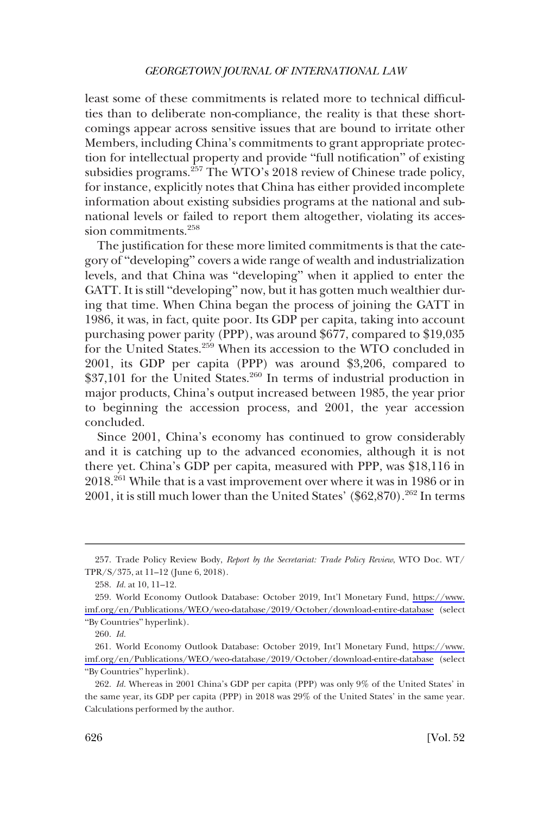least some of these commitments is related more to technical difficulties than to deliberate non-compliance, the reality is that these shortcomings appear across sensitive issues that are bound to irritate other Members, including China's commitments to grant appropriate protection for intellectual property and provide "full notification" of existing subsidies programs.<sup>257</sup> The WTO's 2018 review of Chinese trade policy, for instance, explicitly notes that China has either provided incomplete information about existing subsidies programs at the national and subnational levels or failed to report them altogether, violating its accession commitments.<sup>258</sup>

The justification for these more limited commitments is that the category of "developing" covers a wide range of wealth and industrialization levels, and that China was "developing" when it applied to enter the GATT. It is still "developing" now, but it has gotten much wealthier during that time. When China began the process of joining the GATT in 1986, it was, in fact, quite poor. Its GDP per capita, taking into account purchasing power parity (PPP), was around \$677, compared to \$19,035 for the United States.<sup>259</sup> When its accession to the WTO concluded in 2001, its GDP per capita (PPP) was around \$3,206, compared to  $$37,101$  for the United States.<sup>260</sup> In terms of industrial production in major products, China's output increased between 1985, the year prior to beginning the accession process, and 2001, the year accession concluded.

Since 2001, China's economy has continued to grow considerably and it is catching up to the advanced economies, although it is not there yet. China's GDP per capita, measured with PPP, was \$18,116 in 2018.261 While that is a vast improvement over where it was in 1986 or in 2001, it is still much lower than the United States' (\$62,870).<sup>262</sup> In terms

<sup>257.</sup> Trade Policy Review Body, *Report by the Secretariat: Trade Policy Review*, WTO Doc. WT/ TPR/S/375, at 11–12 (June 6, 2018).

<sup>258.</sup> *Id.* at 10, 11–12.

<sup>259.</sup> World Economy Outlook Database: October 2019, Int'l Monetary Fund, https://www. [imf.org/en/Publications/WEO/weo-database/2019/October/download-entire-database](https://www.imf.org/en/Publications/WEO/weo-database/2019/October/download-entire-database) (select "By Countries" hyperlink).

<sup>260.</sup> *Id.* 

<sup>261.</sup> World Economy Outlook Database: October 2019, Int'l Monetary Fund, [https://www.](https://www.imf.org/en/Publications/WEO/weo-database/2019/October/download-entire-database) [imf.org/en/Publications/WEO/weo-database/2019/October/download-entire-database](https://www.imf.org/en/Publications/WEO/weo-database/2019/October/download-entire-database) (select "By Countries" hyperlink).

<sup>262.</sup> *Id.* Whereas in 2001 China's GDP per capita (PPP) was only 9% of the United States' in the same year, its GDP per capita (PPP) in 2018 was 29% of the United States' in the same year. Calculations performed by the author.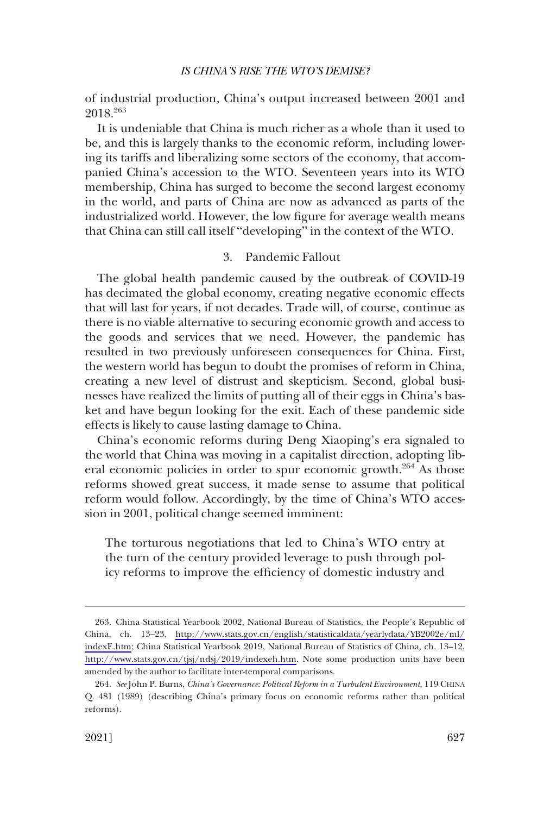<span id="page-52-0"></span>of industrial production, China's output increased between 2001 and 2018.263

It is undeniable that China is much richer as a whole than it used to be, and this is largely thanks to the economic reform, including lowering its tariffs and liberalizing some sectors of the economy, that accompanied China's accession to the WTO. Seventeen years into its WTO membership, China has surged to become the second largest economy in the world, and parts of China are now as advanced as parts of the industrialized world. However, the low figure for average wealth means that China can still call itself "developing" in the context of the WTO.

# 3. Pandemic Fallout

The global health pandemic caused by the outbreak of COVID-19 has decimated the global economy, creating negative economic effects that will last for years, if not decades. Trade will, of course, continue as there is no viable alternative to securing economic growth and access to the goods and services that we need. However, the pandemic has resulted in two previously unforeseen consequences for China. First, the western world has begun to doubt the promises of reform in China, creating a new level of distrust and skepticism. Second, global businesses have realized the limits of putting all of their eggs in China's basket and have begun looking for the exit. Each of these pandemic side effects is likely to cause lasting damage to China.

China's economic reforms during Deng Xiaoping's era signaled to the world that China was moving in a capitalist direction, adopting liberal economic policies in order to spur economic growth.<sup>264</sup> As those reforms showed great success, it made sense to assume that political reform would follow. Accordingly, by the time of China's WTO accession in 2001, political change seemed imminent:

The torturous negotiations that led to China's WTO entry at the turn of the century provided leverage to push through policy reforms to improve the efficiency of domestic industry and

<sup>263.</sup> China Statistical Yearbook 2002, National Bureau of Statistics, the People's Republic of China, ch. 13–23, [http://www.stats.gov.cn/english/statisticaldata/yearlydata/YB2002e/ml/](http://www.stats.gov.cn/english/statisticaldata/yearlydata/YB2002e/ml/indexE.htm) [indexE.htm](http://www.stats.gov.cn/english/statisticaldata/yearlydata/YB2002e/ml/indexE.htm); China Statistical Yearbook 2019, National Bureau of Statistics of China, ch. 13–12, <http://www.stats.gov.cn/tjsj/ndsj/2019/indexeh.htm>. Note some production units have been amended by the author to facilitate inter-temporal comparisons.

<sup>264.</sup> *See* John P. Burns, *China's Governance: Political Reform in a Turbulent Environment*, 119 CHINA Q. 481 (1989) (describing China's primary focus on economic reforms rather than political reforms).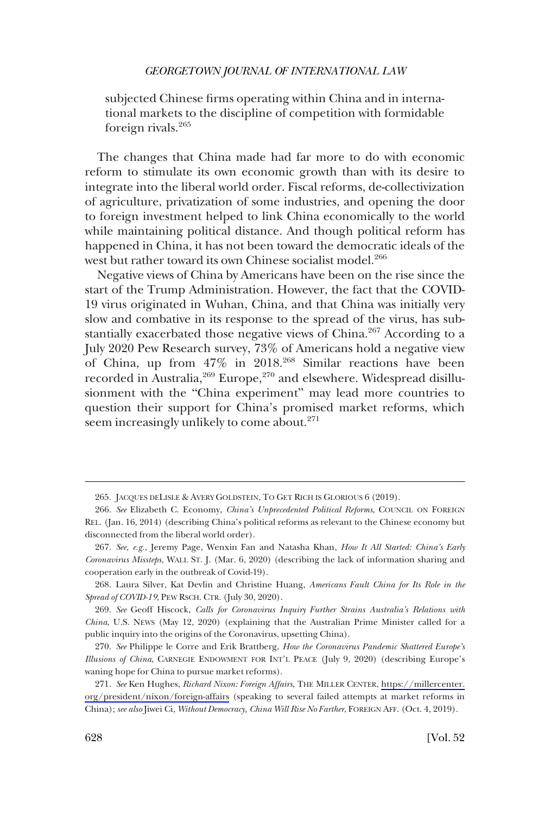subjected Chinese firms operating within China and in international markets to the discipline of competition with formidable foreign rivals.<sup>265</sup>

The changes that China made had far more to do with economic reform to stimulate its own economic growth than with its desire to integrate into the liberal world order. Fiscal reforms, de-collectivization of agriculture, privatization of some industries, and opening the door to foreign investment helped to link China economically to the world while maintaining political distance. And though political reform has happened in China, it has not been toward the democratic ideals of the west but rather toward its own Chinese socialist model.<sup>266</sup>

Negative views of China by Americans have been on the rise since the start of the Trump Administration. However, the fact that the COVID-19 virus originated in Wuhan, China, and that China was initially very slow and combative in its response to the spread of the virus, has substantially exacerbated those negative views of China.<sup>267</sup> According to a July 2020 Pew Research survey, 73% of Americans hold a negative view of China, up from 47% in 2018.268 Similar reactions have been recorded in Australia,<sup>269</sup> Europe,<sup>270</sup> and elsewhere. Widespread disillusionment with the "China experiment" may lead more countries to question their support for China's promised market reforms, which seem increasingly unlikely to come about.<sup>271</sup>

<sup>265.</sup> JACQUES DELISLE & AVERY GOLDSTEIN, TO GET RICH IS GLORIOUS 6 (2019).

<sup>266.</sup> *See* Elizabeth C. Economy, *China's Unprecedented Political Reforms*, COUNCIL ON FOREIGN REL. (Jan. 16, 2014) (describing China's political reforms as relevant to the Chinese economy but disconnected from the liberal world order).

<sup>267.</sup> *See, e.g.*, Jeremy Page, Wenxin Fan and Natasha Khan, *How It All Started: China's Early Coronavirus Missteps,* WALL ST. J. (Mar. 6, 2020) (describing the lack of information sharing and cooperation early in the outbreak of Covid-19).

<sup>268.</sup> Laura Silver, Kat Devlin and Christine Huang, *Americans Fault China for Its Role in the Spread of COVID-19*, PEW RSCH. CTR. (July 30, 2020).

<sup>269.</sup> *See* Geoff Hiscock, *Calls for Coronavirus Inquiry Further Strains Australia's Relations with China*, U.S. NEWS (May 12, 2020) (explaining that the Australian Prime Minister called for a public inquiry into the origins of the Coronavirus, upsetting China).

<sup>270.</sup> *See* Philippe le Corre and Erik Brattberg, *How the Coronavirus Pandemic Shattered Europe's Illusions of China*, CARNEGIE ENDOWMENT FOR INT'L PEACE (July 9, 2020) (describing Europe's waning hope for China to pursue market reforms).

<sup>271.</sup> See Ken Hughes, *Richard Nixon: Foreign Affairs*, THE MILLER CENTER, [https://millercenter.](https://millercenter.org/president/nixon/foreign-affairs) [org/president/nixon/foreign-affairs](https://millercenter.org/president/nixon/foreign-affairs) (speaking to several failed attempts at market reforms in China); *see also* Jiwei Ci, *Without Democracy, China Will Rise No Farther*, FOREIGN AFF. (Oct. 4, 2019).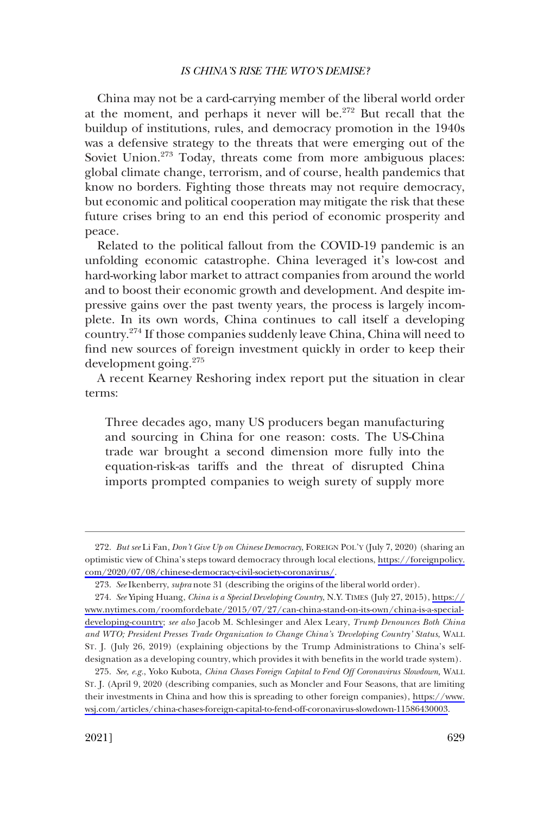China may not be a card-carrying member of the liberal world order at the moment, and perhaps it never will be.<sup>272</sup> But recall that the buildup of institutions, rules, and democracy promotion in the 1940s was a defensive strategy to the threats that were emerging out of the Soviet Union.<sup>273</sup> Today, threats come from more ambiguous places: global climate change, terrorism, and of course, health pandemics that know no borders. Fighting those threats may not require democracy, but economic and political cooperation may mitigate the risk that these future crises bring to an end this period of economic prosperity and peace.

Related to the political fallout from the COVID-19 pandemic is an unfolding economic catastrophe. China leveraged it's low-cost and hard-working labor market to attract companies from around the world and to boost their economic growth and development. And despite impressive gains over the past twenty years, the process is largely incomplete. In its own words, China continues to call itself a developing country.274 If those companies suddenly leave China, China will need to find new sources of foreign investment quickly in order to keep their development going.<sup>275</sup>

A recent Kearney Reshoring index report put the situation in clear terms:

Three decades ago, many US producers began manufacturing and sourcing in China for one reason: costs. The US-China trade war brought a second dimension more fully into the equation-risk-as tariffs and the threat of disrupted China imports prompted companies to weigh surety of supply more

*But see* Li Fan, *Don't Give Up on Chinese Democracy*, FOREIGN POL'Y (July 7, 2020) (sharing an 272. optimistic view of China's steps toward democracy through local elections, [https://foreignpolicy.](https://foreignpolicy.com/2020/07/08/chinese-democracy-civil-society-coronavirus/) [com/2020/07/08/chinese-democracy-civil-society-coronavirus/.](https://foreignpolicy.com/2020/07/08/chinese-democracy-civil-society-coronavirus/)

<sup>273.</sup> *See* Ikenberry, *supra* note 31 (describing the origins of the liberal world order).

*See* Yiping Huang, *China is a Special Developing Country*, N.Y. TIMES (July 27, 2015), [https://](https://www.nytimes.com/roomfordebate/2015/07/27/can-china-stand-on-its-own/china-is-a-special-developing-country;) 274. [www.nytimes.com/roomfordebate/2015/07/27/can-china-stand-on-its-own/china-is-a-special](https://www.nytimes.com/roomfordebate/2015/07/27/can-china-stand-on-its-own/china-is-a-special-developing-country)[developing-country](https://www.nytimes.com/roomfordebate/2015/07/27/can-china-stand-on-its-own/china-is-a-special-developing-country); *see also* Jacob M. Schlesinger and Alex Leary, *Trump Denounces Both China and WTO; President Presses Trade Organization to Change China's 'Developing Country' Status*, WALL ST. J. (July 26, 2019) (explaining objections by the Trump Administrations to China's selfdesignation as a developing country, which provides it with benefits in the world trade system).

*See, e.g.*, Yoko Kubota, *China Chases Foreign Capital to Fend Off Coronavirus Slowdown,* WALL 275. ST. J. (April 9, 2020 (describing companies, such as Moncler and Four Seasons, that are limiting their investments in China and how this is spreading to other foreign companies), [https://www.](https://www.wsj.com/articles/china-chases-foreign-capital-to-fend-off-coronavirus-slowdown-11586430003) [wsj.com/articles/china-chases-foreign-capital-to-fend-off-coronavirus-slowdown-11586430003.](https://www.wsj.com/articles/china-chases-foreign-capital-to-fend-off-coronavirus-slowdown-11586430003)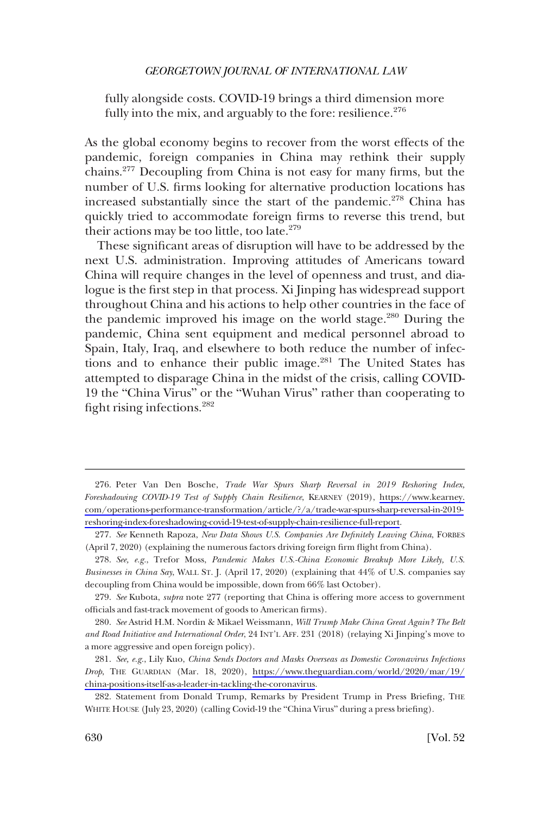fully alongside costs. COVID-19 brings a third dimension more fully into the mix, and arguably to the fore: resilience. $276$ 

As the global economy begins to recover from the worst effects of the pandemic, foreign companies in China may rethink their supply chains.277 Decoupling from China is not easy for many firms, but the number of U.S. firms looking for alternative production locations has increased substantially since the start of the pandemic.<sup>278</sup> China has quickly tried to accommodate foreign firms to reverse this trend, but their actions may be too little, too late. $279$ 

These significant areas of disruption will have to be addressed by the next U.S. administration. Improving attitudes of Americans toward China will require changes in the level of openness and trust, and dialogue is the first step in that process. Xi Jinping has widespread support throughout China and his actions to help other countries in the face of the pandemic improved his image on the world stage.<sup>280</sup> During the pandemic, China sent equipment and medical personnel abroad to Spain, Italy, Iraq, and elsewhere to both reduce the number of infections and to enhance their public image.<sup>281</sup> The United States has attempted to disparage China in the midst of the crisis, calling COVID-19 the "China Virus" or the "Wuhan Virus" rather than cooperating to fight rising infections.282

<sup>276.</sup> Peter Van Den Bosche, *Trade War Spurs Sharp Reversal in 2019 Reshoring Index*, *Foreshadowing COVID-19 Test of Supply Chain Resilience*, KEARNEY (2019), [https://www.kearney.](https://www.kearney.com/operations-performance-transformation/article/?/a/trade-war-spurs-sharp-reversal-in-2019-reshoring-index-foreshadowing-covid-19-test-of-supply-chain-resilience-full-report)  [com/operations-performance-transformation/article/?/a/trade-war-spurs-sharp-reversal-in-2019](https://www.kearney.com/operations-performance-transformation/article/?/a/trade-war-spurs-sharp-reversal-in-2019-reshoring-index-foreshadowing-covid-19-test-of-supply-chain-resilience-full-report)  [reshoring-index-foreshadowing-covid-19-test-of-supply-chain-resilience-full-report](https://www.kearney.com/operations-performance-transformation/article/?/a/trade-war-spurs-sharp-reversal-in-2019-reshoring-index-foreshadowing-covid-19-test-of-supply-chain-resilience-full-report).

<sup>277.</sup> *See* Kenneth Rapoza, *New Data Shows U.S. Companies Are Definitely Leaving China*, FORBES (April 7, 2020) (explaining the numerous factors driving foreign firm flight from China).

<sup>278.</sup> *See, e.g.*, Trefor Moss, *Pandemic Makes U.S.-China Economic Breakup More Likely, U.S. Businesses in China Say*, WALL ST. J. (April 17, 2020) (explaining that 44% of U.S. companies say decoupling from China would be impossible, down from 66% last October).

<sup>279.</sup> *See* Kubota, *supra* note 277 (reporting that China is offering more access to government officials and fast-track movement of goods to American firms).

<sup>280.</sup> *See* Astrid H.M. Nordin & Mikael Weissmann, *Will Trump Make China Great Again? The Belt and Road Initiative and International Order*, 24 INT'L AFF. 231 (2018) (relaying Xi Jinping's move to a more aggressive and open foreign policy).

*See, e.g.*, Lily Kuo, *China Sends Doctors and Masks Overseas as Domestic Coronavirus Infections*  281. *Drop*, THE GUARDIAN (Mar. 18, 2020), [https://www.theguardian.com/world/2020/mar/19/](https://www.theguardian.com/world/2020/mar/19/china-positions-itself-as-a-leader-in-tackling-the-coronavirus) [china-positions-itself-as-a-leader-in-tackling-the-coronavirus.](https://www.theguardian.com/world/2020/mar/19/china-positions-itself-as-a-leader-in-tackling-the-coronavirus)

<sup>282.</sup> Statement from Donald Trump, Remarks by President Trump in Press Briefing, THE WHITE HOUSE (July 23, 2020) (calling Covid-19 the "China Virus" during a press briefing).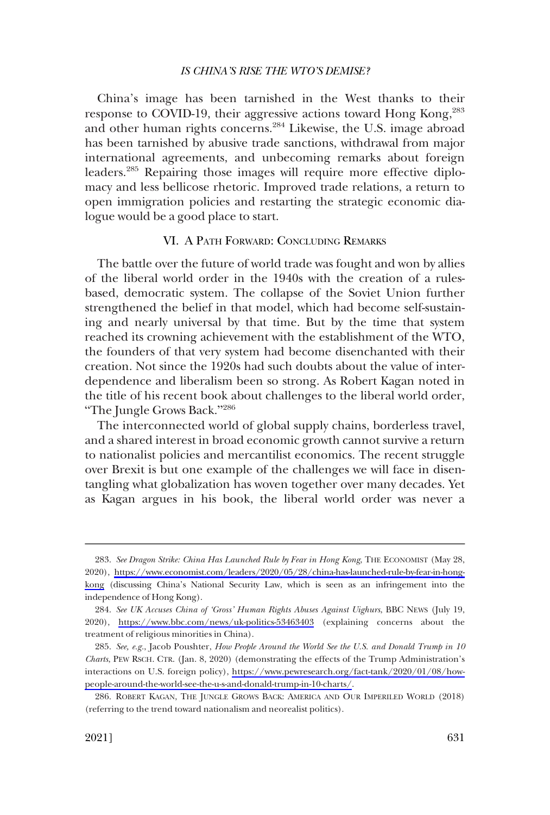<span id="page-56-0"></span>China's image has been tarnished in the West thanks to their response to COVID-19, their aggressive actions toward Hong Kong,283 and other human rights concerns.<sup>284</sup> Likewise, the U.S. image abroad has been tarnished by abusive trade sanctions, withdrawal from major international agreements, and unbecoming remarks about foreign leaders.<sup>285</sup> Repairing those images will require more effective diplomacy and less bellicose rhetoric. Improved trade relations, a return to open immigration policies and restarting the strategic economic dialogue would be a good place to start.

# VI. A PATH FORWARD: CONCLUDING REMARKS

The battle over the future of world trade was fought and won by allies of the liberal world order in the 1940s with the creation of a rulesbased, democratic system. The collapse of the Soviet Union further strengthened the belief in that model, which had become self-sustaining and nearly universal by that time. But by the time that system reached its crowning achievement with the establishment of the WTO, the founders of that very system had become disenchanted with their creation. Not since the 1920s had such doubts about the value of interdependence and liberalism been so strong. As Robert Kagan noted in the title of his recent book about challenges to the liberal world order, "The Jungle Grows Back."<sup>286</sup>

The interconnected world of global supply chains, borderless travel, and a shared interest in broad economic growth cannot survive a return to nationalist policies and mercantilist economics. The recent struggle over Brexit is but one example of the challenges we will face in disentangling what globalization has woven together over many decades. Yet as Kagan argues in his book, the liberal world order was never a

<sup>283.</sup> See Dragon Strike: China Has Launched Rule by Fear in Hong Kong, THE ECONOMIST (May 28, 2020), [https://www.economist.com/leaders/2020/05/28/china-has-launched-rule-by-fear-in-hong](https://www.economist.com/leaders/2020/05/28/china-has-launched-rule-by-fear-in-hong-kong)[kong](https://www.economist.com/leaders/2020/05/28/china-has-launched-rule-by-fear-in-hong-kong) (discussing China's National Security Law, which is seen as an infringement into the independence of Hong Kong).

*See UK Accuses China of 'Gross' Human Rights Abuses Against Uighurs*, BBC NEWS (July 19, 284. 2020), <https://www.bbc.com/news/uk-politics-53463403>(explaining concerns about the treatment of religious minorities in China).

*See, e.g.*, Jacob Poushter, *How People Around the World See the U.S. and Donald Trump in 10*  285. *Charts*, PEW RSCH. CTR. (Jan. 8, 2020) (demonstrating the effects of the Trump Administration's interactions on U.S. foreign policy), [https://www.pewresearch.org/fact-tank/2020/01/08/how](https://www.pewresearch.org/fact-tank/2020/01/08/how-people-around-the-world-see-the-u-s-and-donald-trump-in-10-charts/)[people-around-the-world-see-the-u-s-and-donald-trump-in-10-charts/](https://www.pewresearch.org/fact-tank/2020/01/08/how-people-around-the-world-see-the-u-s-and-donald-trump-in-10-charts/).

<sup>286.</sup> ROBERT KAGAN, THE JUNGLE GROWS BACK: AMERICA AND OUR IMPERILED WORLD (2018) (referring to the trend toward nationalism and neorealist politics).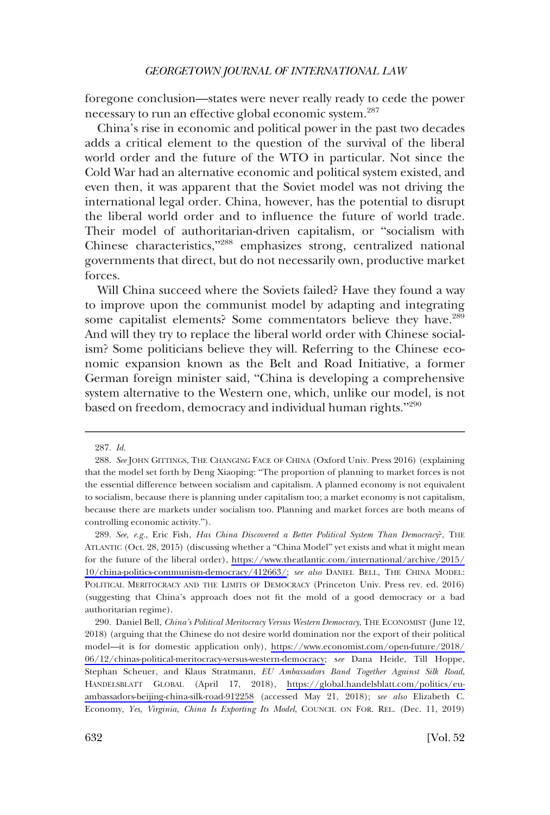foregone conclusion—states were never really ready to cede the power necessary to run an effective global economic system.<sup>287</sup>

China's rise in economic and political power in the past two decades adds a critical element to the question of the survival of the liberal world order and the future of the WTO in particular. Not since the Cold War had an alternative economic and political system existed, and even then, it was apparent that the Soviet model was not driving the international legal order. China, however, has the potential to disrupt the liberal world order and to influence the future of world trade. Their model of authoritarian-driven capitalism, or "socialism with Chinese characteristics,"288 emphasizes strong, centralized national governments that direct, but do not necessarily own, productive market forces.

Will China succeed where the Soviets failed? Have they found a way to improve upon the communist model by adapting and integrating some capitalist elements? Some commentators believe they have.<sup>289</sup> And will they try to replace the liberal world order with Chinese socialism? Some politicians believe they will. Referring to the Chinese economic expansion known as the Belt and Road Initiative, a former German foreign minister said, "China is developing a comprehensive system alternative to the Western one, which, unlike our model, is not based on freedom, democracy and individual human rights."<sup>290</sup>

<sup>287.</sup> *Id.* 

<sup>288.</sup> *See* JOHN GITTINGS, THE CHANGING FACE OF CHINA (Oxford Univ. Press 2016) (explaining that the model set forth by Deng Xiaoping: "The proportion of planning to market forces is not the essential difference between socialism and capitalism. A planned economy is not equivalent to socialism, because there is planning under capitalism too; a market economy is not capitalism, because there are markets under socialism too. Planning and market forces are both means of controlling economic activity.").

*See, e.g.*, Eric Fish, *Has China Discovered a Better Political System Than Democracy*?, THE 289. ATLANTIC (Oct. 28, 2015) (discussing whether a "China Model" yet exists and what it might mean for the future of the liberal order), [https://www.theatlantic.com/international/archive/2015/](https://www.theatlantic.com/international/archive/2015/10/china-politics-communism-democracy/412663/)  [10/china-politics-communism-democracy/412663/](https://www.theatlantic.com/international/archive/2015/10/china-politics-communism-democracy/412663/); *see also* DANIEL BELL, THE CHINA MODEL: POLITICAL MERITOCRACY AND THE LIMITS OF DEMOCRACY (Princeton Univ. Press rev. ed. 2016) (suggesting that China's approach does not fit the mold of a good democracy or a bad authoritarian regime).

<sup>290.</sup> Daniel Bell, *China's Political Meritocracy Versus Western Democracy*, THE ECONOMIST (June 12, 2018) (arguing that the Chinese do not desire world domination nor the export of their political model—it is for domestic application only), [https://www.economist.com/open-future/2018/](https://www.economist.com/open-future/2018/06/12/chinas-political-meritocracy-versus-western-democracy)  [06/12/chinas-political-meritocracy-versus-western-democracy;](https://www.economist.com/open-future/2018/06/12/chinas-political-meritocracy-versus-western-democracy) s*ee* Dana Heide, Till Hoppe, Stephan Scheuer, and Klaus Stratmann, *EU Ambassadors Band Together Against Silk Road*, HANDELSBLATT GLOBAL (April 17, 2018), [https://global.handelsblatt.com/politics/eu](https://global.handelsblatt.com/politics/eu-ambassadors-beijing-china-silk-road-912258)[ambassadors-beijing-china-silk-road-912258](https://global.handelsblatt.com/politics/eu-ambassadors-beijing-china-silk-road-912258) (accessed May 21, 2018); *see also* Elizabeth C. Economy, *Yes, Virginia, China Is Exporting Its Model*, COUNCIL ON FOR. REL. (Dec. 11, 2019)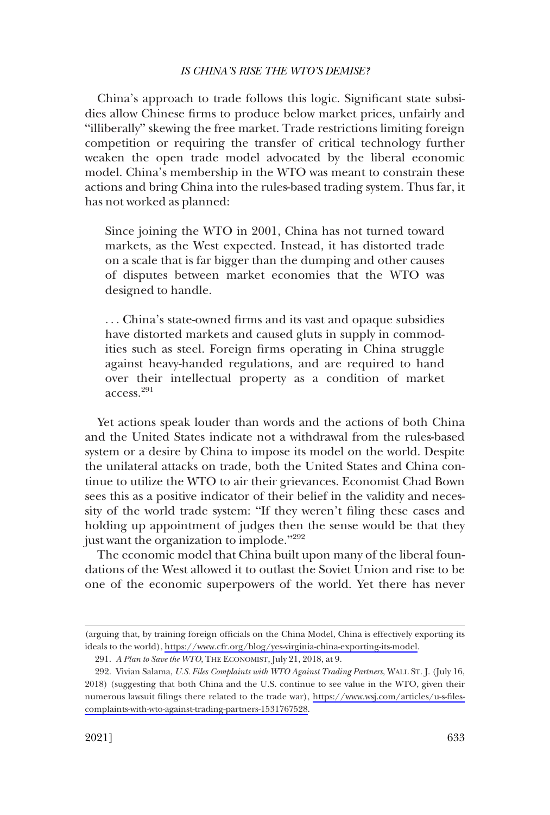China's approach to trade follows this logic. Significant state subsidies allow Chinese firms to produce below market prices, unfairly and "illiberally" skewing the free market. Trade restrictions limiting foreign competition or requiring the transfer of critical technology further weaken the open trade model advocated by the liberal economic model. China's membership in the WTO was meant to constrain these actions and bring China into the rules-based trading system. Thus far, it has not worked as planned:

Since joining the WTO in 2001, China has not turned toward markets, as the West expected. Instead, it has distorted trade on a scale that is far bigger than the dumping and other causes of disputes between market economies that the WTO was designed to handle.

. . . China's state-owned firms and its vast and opaque subsidies have distorted markets and caused gluts in supply in commodities such as steel. Foreign firms operating in China struggle against heavy-handed regulations, and are required to hand over their intellectual property as a condition of market access.<sup>291</sup>

Yet actions speak louder than words and the actions of both China and the United States indicate not a withdrawal from the rules-based system or a desire by China to impose its model on the world. Despite the unilateral attacks on trade, both the United States and China continue to utilize the WTO to air their grievances. Economist Chad Bown sees this as a positive indicator of their belief in the validity and necessity of the world trade system: "If they weren't filing these cases and holding up appointment of judges then the sense would be that they just want the organization to implode."<sup>292</sup>

The economic model that China built upon many of the liberal foundations of the West allowed it to outlast the Soviet Union and rise to be one of the economic superpowers of the world. Yet there has never

<sup>(</sup>arguing that, by training foreign officials on the China Model, China is effectively exporting its ideals to the world), <https://www.cfr.org/blog/yes-virginia-china-exporting-its-model>.

<sup>291.</sup> *A Plan to Save the WTO*, THE ECONOMIST, July 21, 2018, at 9.

Vivian Salama, *U.S. Files Complaints with WTO Against Trading Partners*, WALL ST. J. (July 16, 292. 2018) (suggesting that both China and the U.S. continue to see value in the WTO, given their numerous lawsuit filings there related to the trade war), [https://www.wsj.com/articles/u-s-files](https://www.wsj.com/articles/u-s-files-complaints-with-wto-against-trading-partners-1531767528)[complaints-with-wto-against-trading-partners-1531767528.](https://www.wsj.com/articles/u-s-files-complaints-with-wto-against-trading-partners-1531767528)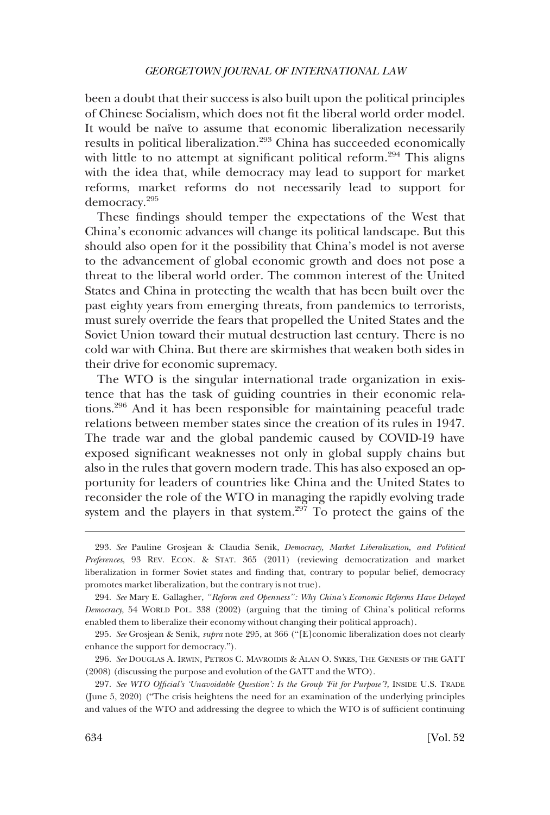been a doubt that their success is also built upon the political principles of Chinese Socialism, which does not fit the liberal world order model. It would be naïve to assume that economic liberalization necessarily results in political liberalization.<sup>293</sup> China has succeeded economically with little to no attempt at significant political reform.<sup>294</sup> This aligns with the idea that, while democracy may lead to support for market reforms, market reforms do not necessarily lead to support for democracy.295

These findings should temper the expectations of the West that China's economic advances will change its political landscape. But this should also open for it the possibility that China's model is not averse to the advancement of global economic growth and does not pose a threat to the liberal world order. The common interest of the United States and China in protecting the wealth that has been built over the past eighty years from emerging threats, from pandemics to terrorists, must surely override the fears that propelled the United States and the Soviet Union toward their mutual destruction last century. There is no cold war with China. But there are skirmishes that weaken both sides in their drive for economic supremacy.

The WTO is the singular international trade organization in existence that has the task of guiding countries in their economic relations.296 And it has been responsible for maintaining peaceful trade relations between member states since the creation of its rules in 1947. The trade war and the global pandemic caused by COVID-19 have exposed significant weaknesses not only in global supply chains but also in the rules that govern modern trade. This has also exposed an opportunity for leaders of countries like China and the United States to reconsider the role of the WTO in managing the rapidly evolving trade system and the players in that system.<sup>297</sup> To protect the gains of the

<sup>293.</sup> *See* Pauline Grosjean & Claudia Senik, *Democracy, Market Liberalization, and Political Preferences*, 93 REV. ECON. & STAT. 365 (2011) (reviewing democratization and market liberalization in former Soviet states and finding that, contrary to popular belief, democracy promotes market liberalization, but the contrary is not true).

<sup>294.</sup> *See* Mary E. Gallagher, *"Reform and Openness": Why China's Economic Reforms Have Delayed Democracy*, 54 WORLD POL. 338 (2002) (arguing that the timing of China's political reforms enabled them to liberalize their economy without changing their political approach).

<sup>295.</sup> *See* Grosjean & Senik, *supra* note 295, at 366 ("[E]conomic liberalization does not clearly enhance the support for democracy.").

<sup>296.</sup> *See* DOUGLAS A. IRWIN, PETROS C. MAVROIDIS & ALAN O. SYKES, THE GENESIS OF THE GATT (2008) (discussing the purpose and evolution of the GATT and the WTO).

<sup>297.</sup> See WTO Official's 'Unavoidable Question': Is the Group Fit for Purpose'?, INSIDE U.S. TRADE (June 5, 2020) ("The crisis heightens the need for an examination of the underlying principles and values of the WTO and addressing the degree to which the WTO is of sufficient continuing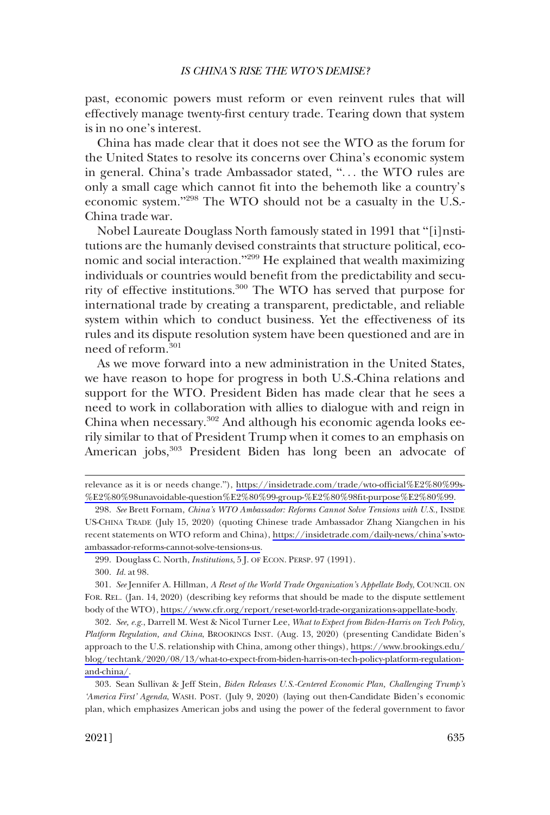past, economic powers must reform or even reinvent rules that will effectively manage twenty-first century trade. Tearing down that system is in no one's interest.

China has made clear that it does not see the WTO as the forum for the United States to resolve its concerns over China's economic system in general. China's trade Ambassador stated, ". . . the WTO rules are only a small cage which cannot fit into the behemoth like a country's economic system."<sup>298</sup> The WTO should not be a casualty in the U.S.-China trade war.

Nobel Laureate Douglass North famously stated in 1991 that "[i]nstitutions are the humanly devised constraints that structure political, economic and social interaction."299 He explained that wealth maximizing individuals or countries would benefit from the predictability and security of effective institutions.300 The WTO has served that purpose for international trade by creating a transparent, predictable, and reliable system within which to conduct business. Yet the effectiveness of its rules and its dispute resolution system have been questioned and are in need of reform.<sup>301</sup>

As we move forward into a new administration in the United States, we have reason to hope for progress in both U.S.-China relations and support for the WTO. President Biden has made clear that he sees a need to work in collaboration with allies to dialogue with and reign in China when necessary.<sup>302</sup> And although his economic agenda looks eerily similar to that of President Trump when it comes to an emphasis on American jobs,<sup>303</sup> President Biden has long been an advocate of

*See, e.g.*, Darrell M. West & Nicol Turner Lee, *What to Expect from Biden-Harris on Tech Policy,*  302. *Platform Regulation, and China*, BROOKINGS INST. (Aug. 13, 2020) (presenting Candidate Biden's approach to the U.S. relationship with China, among other things), [https://www.brookings.edu/](https://www.brookings.edu/blog/techtank/2020/08/13/what-to-expect-from-biden-harris-on-tech-policy-platform-regulation-and-china/) [blog/techtank/2020/08/13/what-to-expect-from-biden-harris-on-tech-policy-platform-regulation](https://www.brookings.edu/blog/techtank/2020/08/13/what-to-expect-from-biden-harris-on-tech-policy-platform-regulation-and-china/)[and-china/.](https://www.brookings.edu/blog/techtank/2020/08/13/what-to-expect-from-biden-harris-on-tech-policy-platform-regulation-and-china/)

Sean Sullivan & Jeff Stein, *Biden Releases U.S.-Centered Economic Plan, Challenging Trump's*  303. *'America First' Agenda*, WASH. POST. (July 9, 2020) (laying out then-Candidate Biden's economic plan, which emphasizes American jobs and using the power of the federal government to favor

relevance as it is or needs change."), [https://insidetrade.com/trade/wto-official%E2%80%99s-](https://insidetrade.com/trade/wto-official%E2%80%99s-%E2%80%98unavoidable-question%E2%80%99-group-%E2%80%98fit-purpose%E2%80%99) [%E2%80%98unavoidable-question%E2%80%99-group-%E2%80%98fit-purpose%E2%80%99](https://insidetrade.com/trade/wto-official%E2%80%99s-%E2%80%98unavoidable-question%E2%80%99-group-%E2%80%98fit-purpose%E2%80%99).

*See* Brett Fornam, *China's WTO Ambassador: Reforms Cannot Solve Tensions with U.S.*, INSIDE 298. US-CHINA TRADE (July 15, 2020) (quoting Chinese trade Ambassador Zhang Xiangchen in his recent statements on WTO reform and China), [https://insidetrade.com/daily-news/china's-wto](https://insidetrade.com/daily-news/china%E2%80%99s-wto-ambassador-reforms-cannot-solve-tensions-us)[ambassador-reforms-cannot-solve-tensions-us](https://insidetrade.com/daily-news/china%E2%80%99s-wto-ambassador-reforms-cannot-solve-tensions-us).

<sup>299.</sup> Douglass C. North, *Institutions*, 5 J. OF ECON. PERSP. 97 (1991).

<sup>300.</sup> *Id.* at 98.

*See* Jennifer A. Hillman, *A Reset of the World Trade Organization's Appellate Body*, COUNCIL ON 301. FOR. REL. (Jan. 14, 2020) (describing key reforms that should be made to the dispute settlement body of the WTO),<https://www.cfr.org/report/reset-world-trade-organizations-appellate-body>.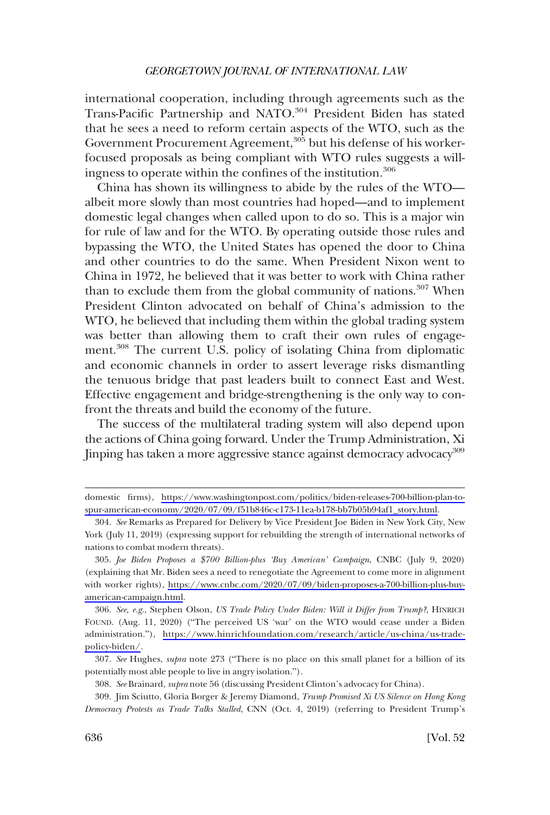international cooperation, including through agreements such as the Trans-Pacific Partnership and NATO.<sup>304</sup> President Biden has stated that he sees a need to reform certain aspects of the WTO, such as the Government Procurement Agreement,<sup>305</sup> but his defense of his workerfocused proposals as being compliant with WTO rules suggests a willingness to operate within the confines of the institution.<sup>306</sup>

China has shown its willingness to abide by the rules of the WTO albeit more slowly than most countries had hoped—and to implement domestic legal changes when called upon to do so. This is a major win for rule of law and for the WTO. By operating outside those rules and bypassing the WTO, the United States has opened the door to China and other countries to do the same. When President Nixon went to China in 1972, he believed that it was better to work with China rather than to exclude them from the global community of nations.<sup>307</sup> When President Clinton advocated on behalf of China's admission to the WTO, he believed that including them within the global trading system was better than allowing them to craft their own rules of engagement.308 The current U.S. policy of isolating China from diplomatic and economic channels in order to assert leverage risks dismantling the tenuous bridge that past leaders built to connect East and West. Effective engagement and bridge-strengthening is the only way to confront the threats and build the economy of the future.

The success of the multilateral trading system will also depend upon the actions of China going forward. Under the Trump Administration, Xi Jinping has taken a more aggressive stance against democracy advocacy<sup>309</sup>

domestic firms), [https://www.washingtonpost.com/politics/biden-releases-700-billion-plan-to](https://www.washingtonpost.com/politics/biden-releases-700-billion-plan-to-spur-american-economy/2020/07/09/f51b846c-c173-11ea-b178-bb7b05b94af1_story.html)[spur-american-economy/2020/07/09/f51b846c-c173-11ea-b178-bb7b05b94af1\\_story.html.](https://www.washingtonpost.com/politics/biden-releases-700-billion-plan-to-spur-american-economy/2020/07/09/f51b846c-c173-11ea-b178-bb7b05b94af1_story.html)

<sup>304.</sup> *See* Remarks as Prepared for Delivery by Vice President Joe Biden in New York City, New York (July 11, 2019) (expressing support for rebuilding the strength of international networks of nations to combat modern threats).

*Joe Biden Proposes a \$700 Billion-plus 'Buy American' Campaign*, CNBC (July 9, 2020) 305. (explaining that Mr. Biden sees a need to renegotiate the Agreement to come more in alignment with worker rights), [https://www.cnbc.com/2020/07/09/biden-proposes-a-700-billion-plus-buy](https://www.cnbc.com/2020/07/09/biden-proposes-a-700-billion-plus-buy-american-campaign.html)[american-campaign.html.](https://www.cnbc.com/2020/07/09/biden-proposes-a-700-billion-plus-buy-american-campaign.html)

*See, e.g.*, Stephen Olson, *US Trade Policy Under Biden: Will it Differ from Trump?*, HINRICH 306. FOUND. (Aug. 11, 2020) ("The perceived US 'war' on the WTO would cease under a Biden administration."), [https://www.hinrichfoundation.com/research/article/us-china/us-trade](https://www.hinrichfoundation.com/research/article/us-china/us-trade-policy-biden/)[policy-biden/](https://www.hinrichfoundation.com/research/article/us-china/us-trade-policy-biden/).

<sup>307.</sup> *See* Hughes, *supra* note 273 ("There is no place on this small planet for a billion of its potentially most able people to live in angry isolation.").

<sup>308.</sup> *See* Brainard, *supra* note 56 (discussing President Clinton's advocacy for China).

Jim Sciutto, Gloria Borger & Jeremy Diamond, *Trump Promised Xi US Silence on Hong Kong*  309. *Democracy Protests as Trade Talks Stalled*, CNN (Oct. 4, 2019) (referring to President Trump's